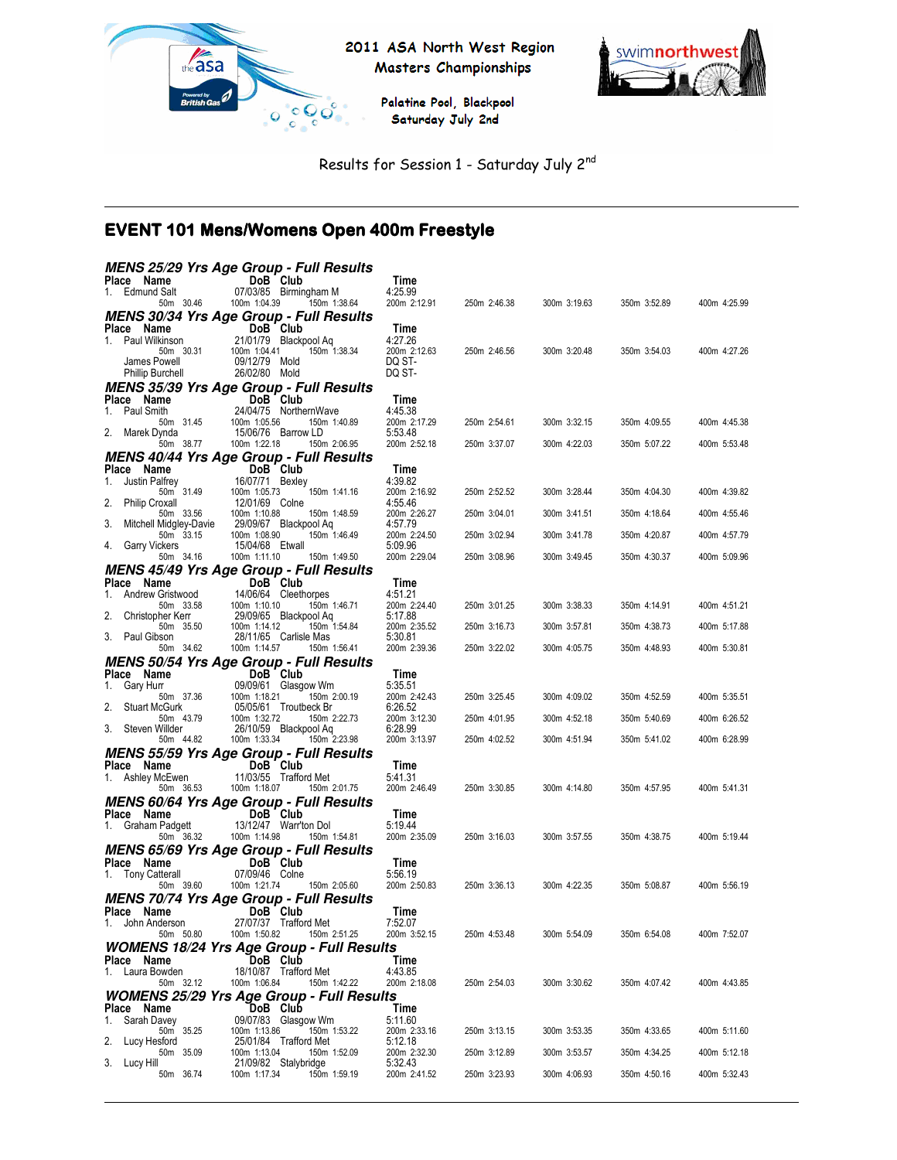

2011 ASA North West Region Masters Championships

> Palatine Pool, Blackpool Saturday July 2nd



Results for Session 1 - Saturday July 2nd

# EVENT 101 Mens/Womens Open 400m Freestyle

|                                           | <b>MENS 25/29 Yrs Age Group - Full Results</b>                                   |                         |              |              |              |              |
|-------------------------------------------|----------------------------------------------------------------------------------|-------------------------|--------------|--------------|--------------|--------------|
| Place Name<br>1. Edmund Salt              | DoB Club<br>07/03/85 Birmingham M                                                | Time<br>4:25.99         |              |              |              |              |
| 50m 30.46                                 | 100m 1:04.39<br>150m 1:38.64                                                     | 200m 2:12.91            | 250m 2:46.38 | 300m 3:19.63 | 350m 3:52.89 | 400m 4:25.99 |
|                                           | <b>MENS 30/34 Yrs Age Group - Full Results</b>                                   |                         |              |              |              |              |
| Place Name                                | DoB Club                                                                         | Time                    |              |              |              |              |
| 1. Paul Wilkinson                         | 21/01/79 Blackpool Aq<br>100m 1:04.41                                            | 4:27.26                 | 250m 2:46.56 |              |              |              |
| 50m 30.31<br>James Powell                 | 150m 1:38.34<br>09/12/79 Mold                                                    | 200m 2:12.63<br>DQ ST-  |              | 300m 3:20.48 | 350m 3:54.03 | 400m 4:27.26 |
| <b>Phillip Burchell</b>                   | 26/02/80 Mold                                                                    | DQ ST-                  |              |              |              |              |
|                                           | <b>MENS 35/39 Yrs Age Group - Full Results</b>                                   |                         |              |              |              |              |
| Place Name                                | $DoB$ Club                                                                       | Time                    |              |              |              |              |
| 1. Paul Smith<br>50m 31.45                | 24/04/75 NorthernWave<br>100m 1:05.56<br>150m 1:40.89                            | 4:45.38<br>200m 2:17.29 | 250m 2:54.61 | 300m 3:32.15 | 350m 4:09.55 | 400m 4:45.38 |
| 2.<br>Marek Dynda                         | 15/06/76 Barrow LD                                                               | 5:53.48                 |              |              |              |              |
| 50m 38.77                                 | 100m 1:22.18<br>150m 2:06.95                                                     | 200m 2:52.18            | 250m 3:37.07 | 300m 4:22.03 | 350m 5:07.22 | 400m 5:53.48 |
|                                           | <b>MENS 40/44 Yrs Age Group - Full Results</b>                                   |                         |              |              |              |              |
| Place Name<br>1.<br>Justin Palfrey        | DoB Club<br>16/07/71 Bexley                                                      | Time<br>4:39.82         |              |              |              |              |
| 50m 31.49                                 | 150m 1:41.16<br>100m 1:05.73                                                     | 200m 2:16.92            | 250m 2:52.52 | 300m 3:28.44 | 350m 4:04.30 | 400m 4:39.82 |
| 2.<br><b>Philip Croxall</b>               | 12/01/69 Colne                                                                   | 4:55.46                 |              |              |              |              |
| 50m 33.56<br>3.<br>Mitchell Midgley-Davie | 100m 1:10.88<br>150m 1:48.59<br>29/09/67 Blackpool Aq                            | 200m 2:26.27<br>4:57.79 | 250m 3:04.01 | 300m 3:41.51 | 350m 4:18.64 | 400m 4:55.46 |
| 50m 33.15                                 | 100m 1:08.90<br>150m 1:46.49                                                     | 200m 2:24.50            | 250m 3:02.94 | 300m 3:41.78 | 350m 4:20.87 | 400m 4:57.79 |
| 4.<br>Garry Vickers                       | 15/04/68 Etwall                                                                  | 5:09.96                 |              |              |              |              |
| 50m 34.16                                 | 100m 1:11.10<br>150m 1:49.50<br><b>MENS 45/49 Yrs Age Group - Full Results</b>   | 200m 2:29.04            | 250m 3:08.96 | 300m 3:49.45 | 350m 4:30.37 | 400m 5:09.96 |
| Place Name                                | DoB Club                                                                         | Time                    |              |              |              |              |
| Andrew Gristwood<br>1.                    | 14/06/64 Cleethorpes                                                             | 4:51.21                 |              |              |              |              |
| 50m 33.58                                 | 100m 1:10.10<br>150m 1:46.71                                                     | 200m 2:24.40            | 250m 3:01.25 | 300m 3:38.33 | 350m 4:14.91 | 400m 4:51.21 |
| 2.<br>Christopher Kerr<br>50m 35.50       | 29/09/65 Blackpool Aq<br>150m 1:54.84<br>100m 1:14.12                            | 5:17.88<br>200m 2:35.52 | 250m 3:16.73 | 300m 3:57.81 | 350m 4:38.73 | 400m 5:17.88 |
| 3. Paul Gibson                            | 28/11/65 Carlisle Mas                                                            | 5:30.81                 |              |              |              |              |
| 50m 34.62                                 | 100m 1:14.57<br>150m 1:56.41                                                     | 200m 2:39.36            | 250m 3:22.02 | 300m 4:05.75 | 350m 4:48.93 | 400m 5:30.81 |
|                                           | <b>MENS 50/54 Yrs Age Group - Full Results</b>                                   |                         |              |              |              |              |
| Place Name<br>Gary Hurr<br>1.             | DoB Club<br>09/09/61 Glasgow Wm                                                  | Time<br>5:35.51         |              |              |              |              |
| 50m 37.36                                 | 150m 2:00.19<br>100m 1:18.21                                                     | 200m 2:42.43            | 250m 3:25.45 | 300m 4:09.02 | 350m 4:52.59 | 400m 5:35.51 |
| 2.<br><b>Stuart McGurk</b>                | 05/05/61 Troutbeck Br                                                            | 6:26.52                 |              |              |              |              |
| 50m 43.79<br>3.<br>Steven Willder         | 100m 1:32.72<br>150m 2:22.73<br>26/10/59 Blackpool Aq                            | 200m 3:12.30<br>6:28.99 | 250m 4:01.95 | 300m 4:52.18 | 350m 5:40.69 | 400m 6:26.52 |
| 50m 44.82                                 | 100m 1:33.34<br>150m 2:23.98                                                     | 200m 3:13.97            | 250m 4:02.52 | 300m 4:51.94 | 350m 5:41.02 | 400m 6:28.99 |
|                                           | <b>MENS 55/59 Yrs Age Group - Full Results</b>                                   |                         |              |              |              |              |
| Place Name                                | DoB Club                                                                         | Time                    |              |              |              |              |
| 1. Ashley McEwen<br>50m 36.53             | 11/03/55 Trafford Met<br>100m 1:18.07<br>150m 2:01.75                            | 5:41.31<br>200m 2:46.49 | 250m 3:30.85 | 300m 4:14.80 | 350m 4:57.95 | 400m 5:41.31 |
|                                           | <b>MENS 60/64 Yrs Age Group - Full Results</b>                                   |                         |              |              |              |              |
| Place Name                                | DoB Club                                                                         | Time                    |              |              |              |              |
| 1. Graham Padgett                         | 13/12/47 Warr'ton Dol                                                            | 5:19.44                 |              |              |              |              |
| 50m 36.32                                 | 100m 1:14.98<br>150m 1:54.81                                                     | 200m 2:35.09            | 250m 3:16.03 | 300m 3:57.55 | 350m 4:38.75 | 400m 5:19.44 |
| Place Name                                | <b>MENS 65/69 Yrs Age Group - Full Results</b><br>DoB Club                       | Time                    |              |              |              |              |
| 1. Tony Catterall                         | 07/09/46 Colne                                                                   | 5:56.19                 |              |              |              |              |
| 50m 39.60                                 | 100m 1:21.74<br>150m 2:05.60                                                     | 200m 2:50.83            | 250m 3:36.13 | 300m 4:22.35 | 350m 5:08.87 | 400m 5:56.19 |
|                                           | <b>MENS 70/74 Yrs Age Group - Full Results</b>                                   |                         |              |              |              |              |
| Place Name                                | DoB Club<br>27/07/37 Trafford Met                                                | Time                    |              |              |              |              |
| 1.<br>John Anderson<br>50m 50.80          | 100m 1:50.82<br>150m 2:51.25                                                     | 7:52.07<br>200m 3:52.15 | 250m 4:53.48 | 300m 5:54.09 | 350m 6:54.08 | 400m 7:52.07 |
|                                           | <b>WOMENS 18/24 Yrs Age Group - Full Results</b>                                 |                         |              |              |              |              |
| Place Name                                | DoB Club                                                                         | Time                    |              |              |              |              |
| 1. Laura Bowden                           | 18/10/87 Trafford Met                                                            | 4:43.85                 |              |              |              |              |
| 50m 32.12                                 | 100m 1:06.84<br>150m 1:42.22<br><b>WOMENS 25/29 Yrs Age Group - Full Results</b> | 200m 2:18.08            | 250m 2:54.03 | 300m 3:30.62 | 350m 4:07.42 | 400m 4:43.85 |
| Place Name                                | DoB Club                                                                         | Time                    |              |              |              |              |
| 1. Sarah Davey                            | 09/07/83 Glasgow Wm                                                              | 5:11.60                 |              |              |              |              |
| 50m 35.25<br>2. Lucy Hesford              | 100m 1:13.86<br>150m 1:53.22<br>25/01/84 Trafford Met                            | 200m 2:33.16<br>5:12.18 | 250m 3:13.15 | 300m 3:53.35 | 350m 4:33.65 | 400m 5:11.60 |
| 50m 35.09                                 | 100m 1:13.04<br>150m 1:52.09                                                     | 200m 2:32.30            | 250m 3:12.89 | 300m 3:53.57 | 350m 4:34.25 | 400m 5:12.18 |
| 3. Lucy Hill                              | 21/09/82 Stalybridge                                                             | 5:32.43                 |              |              |              |              |
| 50m 36.74                                 | 100m 1:17.34<br>150m 1:59.19                                                     | 200m 2:41.52            | 250m 3:23.93 | 300m 4:06.93 | 350m 4:50.16 | 400m 5:32.43 |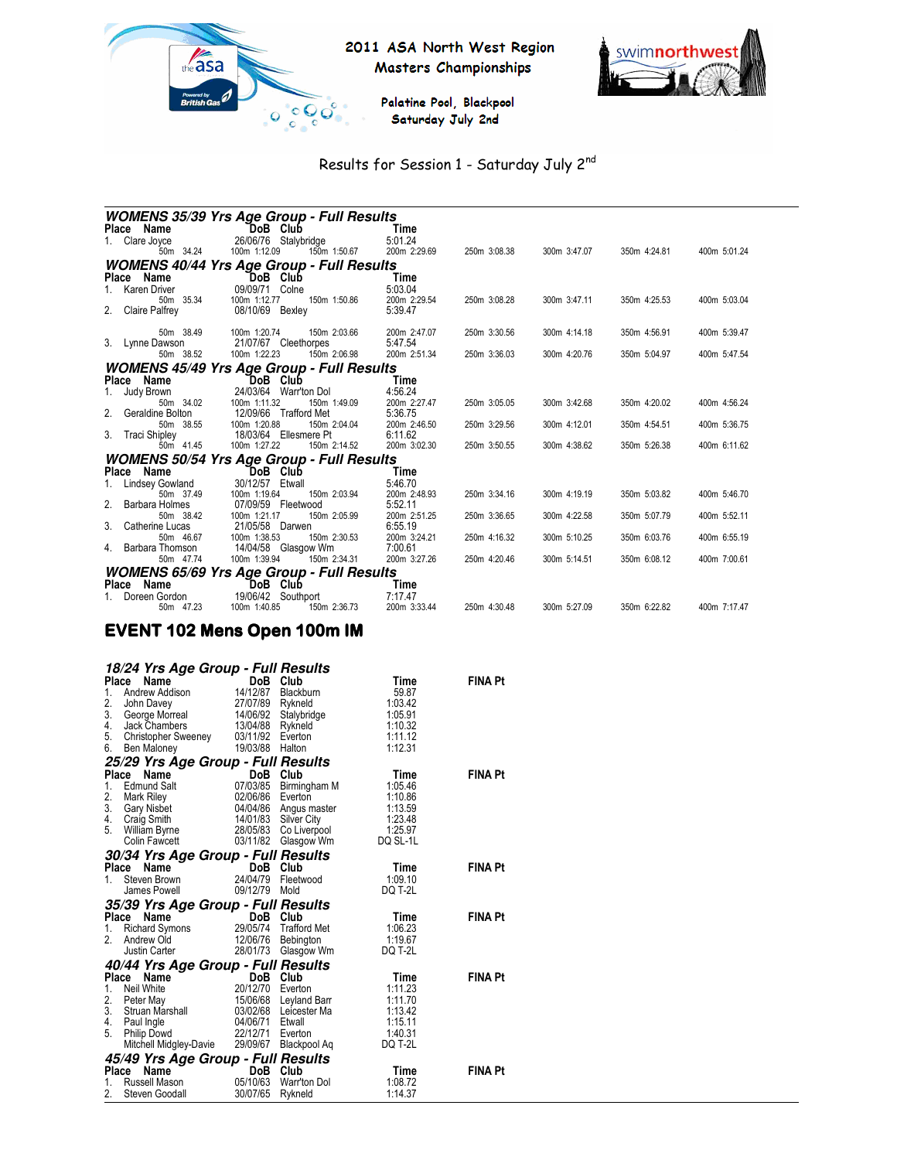



Palatine Pool, Blackpool Saturday July 2nd

# Results for Session 1 - Saturday July 2nd

|                                         | <i><b>WOMENS 35/39 Yrs Age Group - Full Results</b></i>         |                         |              |              |              |              |
|-----------------------------------------|-----------------------------------------------------------------|-------------------------|--------------|--------------|--------------|--------------|
| Place Name                              | `DoB Club                                                       | Time                    |              |              |              |              |
| Clare Joyce                             | 26/06/76 Stalybridge                                            | 5:01.24                 |              |              |              |              |
| 50m 34.24                               | 100m 1:12.09<br>150m 1:50.67                                    | 200m 2:29.69            | 250m 3:08.38 | 300m 3:47.07 | 350m 4:24.81 | 400m 5:01.24 |
|                                         | <b>WOMENS 40/44 Yrs Age Group - Full Results</b>                |                         |              |              |              |              |
| Place<br>Name                           | DoB Club                                                        | Time                    |              |              |              |              |
| Karen Driver                            | 09/09/71 Colne                                                  | 5:03.04                 |              |              |              |              |
| 50m 35.34                               | 100m 1:12.77<br>150m 1:50.86                                    | 200m 2:29.54            | 250m 3:08.28 | 300m 3:47.11 | 350m 4:25.53 | 400m 5:03.04 |
| 2.<br><b>Claire Palfrey</b>             | 08/10/69<br>Bexley                                              | 5:39.47                 |              |              |              |              |
| 50m 38.49                               | 100m 1:20.74<br>150m 2:03.66                                    | 200m 2:47.07            | 250m 3:30.56 | 300m 4:14.18 | 350m 4:56.91 | 400m 5:39.47 |
| 3. Lynne Dawson                         | 21/07/67 Cleethorpes                                            | 5:47.54                 |              |              |              |              |
| 50m 38.52                               | 100m 1:22.23<br>150m 2:06.98                                    | 200m 2:51.34            | 250m 3:36.03 | 300m 4:20.76 | 350m 5:04.97 | 400m 5:47.54 |
|                                         | <b>WOMENS 45/49 Yrs Age Group - Full Results</b>                |                         |              |              |              |              |
| Name<br>Place                           | Club<br>DoB.                                                    | Time                    |              |              |              |              |
| Judy Brown                              | 24/03/64<br>Warr'ton Dol                                        | 4:56.24                 |              |              |              |              |
| 50m 34.02                               | 100m 1:11.32<br>150m 1:49.09                                    | 200m 2:27.47            | 250m 3:05.05 | 300m 3:42.68 | 350m 4:20.02 | 400m 4:56.24 |
| Geraldine Bolton<br>2.                  | 12/09/66 Trafford Met                                           | 5:36.75                 |              |              |              |              |
| 50m 38.55                               | 100m 1:20.88<br>150m 2:04.04                                    | 200m 2:46.50            | 250m 3:29.56 | 300m 4:12.01 | 350m 4:54.51 | 400m 5:36.75 |
| 3.<br><b>Traci Shipley</b><br>50m 41.45 | 18/03/64 Ellesmere Pt<br>150m 2:14.52<br>100m 1:27.22           | 6:11.62<br>200m 3:02.30 | 250m 3:50.55 | 300m 4:38.62 | 350m 5:26.38 | 400m 6:11.62 |
|                                         |                                                                 |                         |              |              |              |              |
| Name                                    | <b>WOMENS 50/54 Yrs Age Group - Full Results</b><br>Club<br>DoB | Time                    |              |              |              |              |
| Place<br>Lindsey Gowland                | 30/12/57<br>Etwall                                              | 5:46.70                 |              |              |              |              |
| 50m 37.49                               | 100m 1:19.64<br>150m 2:03.94                                    | 200m 2:48.93            | 250m 3:34.16 | 300m 4:19.19 | 350m 5:03.82 | 400m 5:46.70 |
| 2.<br><b>Barbara Holmes</b>             | 07/09/59 Fleetwood                                              | 5:52.11                 |              |              |              |              |
| 50m 38.42                               | 100m 1:21.17<br>150m 2:05.99                                    | 200m 2:51.25            | 250m 3:36.65 | 300m 4:22.58 | 350m 5:07.79 | 400m 5:52.11 |
| 3.<br>Catherine Lucas                   | 21/05/58 Darwen                                                 | 6:55.19                 |              |              |              |              |
| 50m 46.67                               | 100m 1:38.53<br>150m 2:30.53                                    | 200m 3:24.21            | 250m 4:16.32 | 300m 5:10.25 | 350m 6:03.76 | 400m 6:55.19 |
| Barbara Thomson<br>4.                   | 14/04/58 Glasgow Wm                                             | 7:00.61                 |              |              |              |              |
| 50m 47.74                               | 150m 2:34.31<br>100m 1:39.94                                    | 200m 3:27.26            | 250m 4:20.46 | 300m 5:14.51 | 350m 6:08.12 | 400m 7:00.61 |
|                                         | <b>WOMENS 65/69 Yrs Age Group - Full Results</b>                |                         |              |              |              |              |
| Name<br>Place                           | DoB<br>Club                                                     | Time                    |              |              |              |              |
| Doreen Gordon<br>50m 47.23              | 19/06/42<br>Southport<br>100m 1:40.85<br>150m 2:36.73           | 7:17.47<br>200m 3:33.44 | 250m 4:30.48 | 300m 5:27.09 | 350m 6:22.82 | 400m 7:17.47 |
|                                         |                                                                 |                         |              |              |              |              |

# EVENT 102 Mens Open 100m IM

|       | 18/24 Yrs Age Group - Full Results                                                                                                            |                                                                  |                       |          |                |  |  |
|-------|-----------------------------------------------------------------------------------------------------------------------------------------------|------------------------------------------------------------------|-----------------------|----------|----------------|--|--|
| Place | Name                                                                                                                                          | DoB                                                              | Club                  | Time     | <b>FINA Pt</b> |  |  |
| 1.    |                                                                                                                                               |                                                                  | Blackburn             | 59.87    |                |  |  |
| 2.    |                                                                                                                                               |                                                                  |                       | 1:03.42  |                |  |  |
| 3.    |                                                                                                                                               |                                                                  | Stalybridge           | 1:05.91  |                |  |  |
| 4.    |                                                                                                                                               |                                                                  |                       | 1:10.32  |                |  |  |
| 5.    |                                                                                                                                               |                                                                  |                       | 1:11.12  |                |  |  |
| 6.    |                                                                                                                                               |                                                                  |                       | 1:12.31  |                |  |  |
|       | and Each<br>27/07/89 Rykneld<br>37/07/89 Rykneld<br>Jack Chambers<br>Christopher Sweeney<br>29 Yrs A --<br>25/29 Yrs Age Group - Full Results |                                                                  |                       |          |                |  |  |
| Place | Name                                                                                                                                          | DoB<br>$\begin{array}{c}\n\textbf{DoB} \\ 07/03/85\n\end{array}$ | Club                  | Time     | <b>FINA Pt</b> |  |  |
| 1.    | <b>Edmund Salt</b>                                                                                                                            |                                                                  | Birmingham M          | 1:05.46  |                |  |  |
| 2.    | Mark Riley                                                                                                                                    | 02/06/86 Everton                                                 |                       | 1:10.86  |                |  |  |
| 3.    | <b>Gary Nisbet</b>                                                                                                                            |                                                                  | 04/04/86 Angus master | 1:13.59  |                |  |  |
| 4.    | Craig Smith                                                                                                                                   |                                                                  | 14/01/83 Silver City  | 1:23.48  |                |  |  |
| 5.    | William Byrne                                                                                                                                 |                                                                  | 28/05/83 Co Liverpool | 1:25.97  |                |  |  |
|       | Colin Fawcett                                                                                                                                 | 03/11/82                                                         | Glasgow Wm            | DQ SL-1L |                |  |  |
|       | 30/34 Yrs Age Group - Full Results                                                                                                            |                                                                  |                       |          |                |  |  |
| Place | Name                                                                                                                                          |                                                                  | DoB Club              | Time     | <b>FINA Pt</b> |  |  |
| 1.    | Steven Brown                                                                                                                                  |                                                                  | 24/04/79 Fleetwood    | 1:09.10  |                |  |  |
|       | James Powell                                                                                                                                  | 09/12/79                                                         | Mold                  | DQ T-2L  |                |  |  |
|       | 35/39 Yrs Age Group - Full Results                                                                                                            |                                                                  |                       |          |                |  |  |
| Place | Name                                                                                                                                          | DoB                                                              | Club                  | Time     | <b>FINA Pt</b> |  |  |
| 1.    | Richard Symons                                                                                                                                |                                                                  | 29/05/74 Trafford Met | 1:06.23  |                |  |  |
| 2.    | Andrew Old                                                                                                                                    | 12/06/76                                                         | Bebington             | 1:19.67  |                |  |  |
|       | Justin Carter                                                                                                                                 |                                                                  | 28/01/73 Glasgow Wm   | DQ T-2L  |                |  |  |
|       | 40/44 Yrs Age Group - Full Results                                                                                                            |                                                                  |                       |          |                |  |  |
|       | Place<br>Name                                                                                                                                 |                                                                  | DoB Club              | Time     | <b>FINA Pt</b> |  |  |
| 1.    | Neil White                                                                                                                                    | 20/12/70 Everton                                                 |                       | 1:11.23  |                |  |  |
| 2.    | Peter May                                                                                                                                     | 15/06/68                                                         | Leyland Barr          | 1:11.70  |                |  |  |
| 3.    | Struan Marshall 03/02/68                                                                                                                      |                                                                  | Leicester Ma          | 1:13.42  |                |  |  |
| 4.    | Paul Ingle                                                                                                                                    | 04/06/71                                                         | Etwall                | 1:15.11  |                |  |  |
| 5.    | Philip Dowd                                                                                                                                   | 22/12/71                                                         | Everton               | 1:40.31  |                |  |  |
|       | Mitchell Midgley-Davie                                                                                                                        |                                                                  | 29/09/67 Blackpool Aq | DQ T-2L  |                |  |  |
|       | 45/49 Yrs Age Group - Full Results                                                                                                            |                                                                  |                       |          |                |  |  |
| Place | Name                                                                                                                                          | DoB                                                              | Club                  | Time     | <b>FINA Pt</b> |  |  |
| 1.    | Russell Mason                                                                                                                                 | 05/10/63                                                         | Warr'ton Dol          | 1:08.72  |                |  |  |
| 2.    | Steven Goodall                                                                                                                                | 30/07/65                                                         | Rykneld               | 1:14.37  |                |  |  |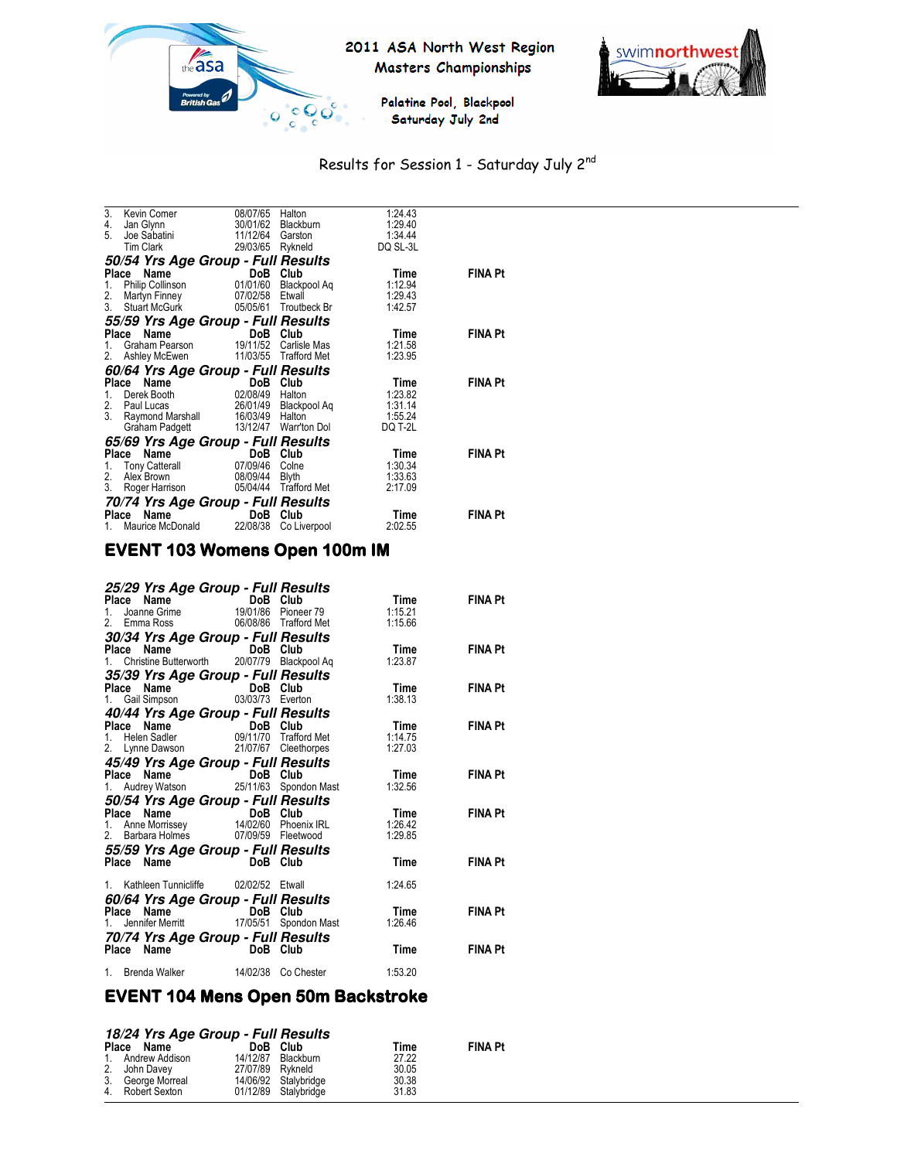

# 2011 ASA North West Region Masters Championships



Palatine Pool, Blackpool · Saturday July 2nd

# Results for Session 1 - Saturday July 2nd

| 3.<br>4. | Kevin Comer<br>Jan Glynn           | 08/07/65<br>30/01/62   | Halton<br>Blackburn   | 1:24.43<br>1:29.40  |                |
|----------|------------------------------------|------------------------|-----------------------|---------------------|----------------|
| 5.       | Joe Sabatini<br><b>Tim Clark</b>   | 11/12/64<br>29/03/65   | Garston<br>Rykneld    | 1:34.44<br>DQ SL-3L |                |
|          | 50/54 Yrs Age Group - Full Results |                        |                       |                     |                |
|          | Place<br>Name                      | DoB                    | Club                  | Time                | <b>FINA Pt</b> |
| 1.       | Philip Collinson                   |                        | 01/01/60 Blackpool Ag | 1:12.94             |                |
| 2.       | Martyn Finney                      | 07/02/58 Etwall        |                       | 1:29.43             |                |
| 3.       | <b>Stuart McGurk</b>               |                        | 05/05/61 Troutbeck Br | 1:42.57             |                |
|          | 55/59 Yrs Age Group - Full Results |                        |                       |                     |                |
|          | Place<br>Name                      | DoB Club               |                       | Time                | <b>FINA Pt</b> |
| 1.       | Graham Pearson                     |                        | 19/11/52 Carlisle Mas | 1:21.58             |                |
| 2.       | Ashley McEwen                      |                        | 11/03/55 Trafford Met | 1:23.95             |                |
|          | 60/64 Yrs Age Group - Full Results |                        |                       |                     |                |
|          | Place<br>Name<br>Derek Booth       | DoB<br>02/08/49 Halton | Club                  | Time<br>1:23.82     | <b>FINA Pt</b> |
| 1.<br>2. | Paul Lucas                         |                        | 26/01/49 Blackpool Aq | 1:31.14             |                |
| 3.       | Raymond Marshall                   | 16/03/49 Halton        |                       | 1:55.24             |                |
|          | Graham Padgett                     |                        | 13/12/47 Warr'ton Dol | DQ T-2L             |                |
|          | 65/69 Yrs Age Group - Full Results |                        |                       |                     |                |
|          | Name<br>Place                      | DoB Club               |                       | Time                | <b>FINA Pt</b> |
| 1.       | <b>Tony Catterall</b>              | 07/09/46 Colne         |                       | 1:30.34             |                |
| 2.       | Alex Brown                         | 08/09/44               | Blyth                 | 1:33.63             |                |
| 3.       | Roger Harrison                     |                        | 05/04/44 Trafford Met | 2:17.09             |                |
|          | 70/74 Yrs Age Group - Full Results |                        |                       |                     |                |
|          | Name<br>Place                      |                        | DoB Club              | Time                | <b>FINA Pt</b> |
| 1.       | Maurice McDonald                   | 22/08/38               | Co Liverpool          | 2:02.55             |                |

# **EVENT 103 Womens Open 100m IM**

| <b>25/29 Yrs Age Group - Full Results<br/> Place Name Grime DoB Club<br/> 1. Joanne Grime 19/01/86 Pioneer 79<br/> 2. Emma Ross 06/08/86 Trafford Met</b> |                     | Time<br>1:15.21<br>1:15.66 | FINA Pt        |
|-----------------------------------------------------------------------------------------------------------------------------------------------------------|---------------------|----------------------------|----------------|
| <b>30/34 Yrs Age Group - Full Results<br/>Place Name DoB Club<br/>1. Christine Butterworth 20/07/79 Blackpool Aq</b>                                      |                     | Time<br>1:23.87            | <b>FINA Pt</b> |
| <b>35/39 Yrs Age Group - Full Results<br/>Place Name DoB Club<br/>1. Gail Simpson 03/03/73 Everton</b>                                                    |                     | Time<br>1:38.13            | <b>FINA Pt</b> |
| <b>40/44 Yrs Age Group - Full Results<br/> Place Name DoB Club<br/> 1. Helen Sadler 09/11/70 Trafford Met<br/> 2. Lynne Dawson 21/07/67 Cleethorpes</b>   |                     | Time<br>1:14.75<br>1:27.03 | <b>FINA Pt</b> |
| <b>45/49 Yrs Age Group - Full Results<br/>Place Name DoB Club<br/>1. Audrey Watson 25/11/63 Spondon Mast</b>                                              |                     | Time<br>1:32.56            | <b>FINA Pt</b> |
| <b>50/54 Yrs Age Group - Full Results<br/> Place Name DoB Club<br/> 1. Anne Morrissey 14/02/60 Phoenix IRL<br/> 2. Barbara Holmes 07/09/59 Fleetwood</b>  |                     | Time<br>1:26.42<br>1:29.85 | <b>FINA Pt</b> |
| 55/59 Yrs Age Group - Full Results<br>Place Name DoB Club                                                                                                 |                     | Time                       | <b>FINA Pt</b> |
| 1. Kathleen Tunnicliffe 02/02/52 Etwall                                                                                                                   |                     | 1:24.65                    |                |
| <b>60/64 Yrs Age Group - Full Results<br/>Place Name DoB Club<br/>1. Jennifer Merritt 17/05/51 Spondon Mast</b>                                           |                     | Time<br>1:26.46            | <b>FINA Pt</b> |
| 70/74 Yrs Age Group - Full Results<br>Place Name DoB Club                                                                                                 |                     | Time                       | <b>FINA Pt</b> |
| 1. Brenda Walker                                                                                                                                          | 14/02/38 Co Chester | 1:53.20                    |                |

# EVENT 104 Mens Open 50m Backstroke

#### **18/24 Yrs Age Group - Full Results**

| Place Name        |                  | DoB Club             | Time  | <b>FINA Pt</b> |
|-------------------|------------------|----------------------|-------|----------------|
| 1. Andrew Addison |                  | 14/12/87 Blackburn   | 27.22 |                |
| 2. John Davey     | 27/07/89 Rykneld |                      | 30.05 |                |
| 3. George Morreal |                  | 14/06/92 Stalvbridge | 30.38 |                |
| 4. Robert Sexton  |                  | 01/12/89 Stalybridge | 31.83 |                |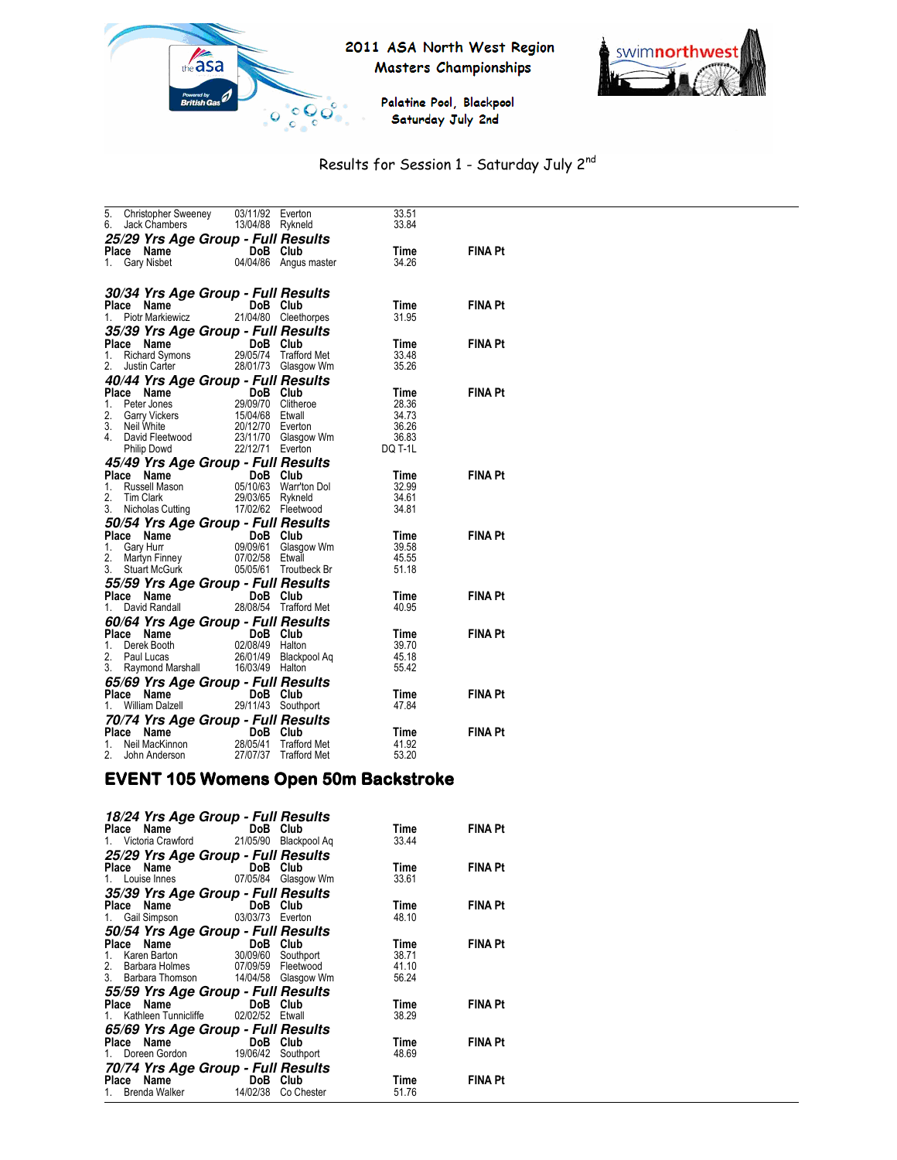

# 2011 ASA North West Region Masters Championships



Palatine Pool, Blackpool Saturday July 2nd

# Results for Session 1 - Saturday July 2nd

| 5.<br>6. | Christopher Sweeney<br>Jack Chambers 13/04/88 Rykneld                                                                                                                                                                                    | 03/11/92 | Everton                                               | 33.51<br>33.84 |                |
|----------|------------------------------------------------------------------------------------------------------------------------------------------------------------------------------------------------------------------------------------------|----------|-------------------------------------------------------|----------------|----------------|
|          | 25/29 Yrs Age Group - Full Results                                                                                                                                                                                                       |          |                                                       |                |                |
|          |                                                                                                                                                                                                                                          |          |                                                       | Time           | FINA Pt        |
|          | Place Name<br>1. Gary Nisbet 04/04/86 Angus master                                                                                                                                                                                       |          |                                                       | 34.26          |                |
|          |                                                                                                                                                                                                                                          |          |                                                       |                |                |
|          | 30/34 Yrs Age Group - Full Results                                                                                                                                                                                                       |          |                                                       |                |                |
|          | Place Name<br><b>ce Name</b><br>Piotr Markiewicz 21/                                                                                                                                                                                     | DoB Club |                                                       | Time           | <b>FINA Pt</b> |
| 1.       |                                                                                                                                                                                                                                          |          | 21/04/80 Cleethorpes                                  | 31.95          |                |
|          | 35/39 Yrs Age Group - Full Results                                                                                                                                                                                                       |          |                                                       |                |                |
| 1.       | Place Name                                                                                                                                                                                                                               |          |                                                       | Time<br>33.48  | <b>FINA Pt</b> |
| 2.       |                                                                                                                                                                                                                                          |          | 29/05/74 Trafford Met<br>28/01/73 Glasgow Wm          | 35.26          |                |
|          | 40/44 Yrs Age Group - Full Results<br>Place Name DoB Club Time<br>1. Peter Jones 29/09/70 Clitheroe 28.36<br>2. Garry Vickers 15/04/88 Elval 34.73<br>2. Garry Vickers 15/04/88 Elval 34.73<br>4. David Fleetwood 23/11/70 Glasgow Wm 36 |          |                                                       |                |                |
|          |                                                                                                                                                                                                                                          |          |                                                       |                | <b>FINA Pt</b> |
|          |                                                                                                                                                                                                                                          |          |                                                       |                |                |
|          |                                                                                                                                                                                                                                          |          |                                                       |                |                |
|          |                                                                                                                                                                                                                                          |          |                                                       |                |                |
|          |                                                                                                                                                                                                                                          |          |                                                       |                |                |
|          |                                                                                                                                                                                                                                          |          |                                                       |                |                |
|          | <b>45/49 Yrs Age Group - Full Results<br/>Place Name DoB Club<br/>1. Russell Mason 05/10/63 Warrton Dol<br/>29/03/65 Rykneld 29/03/65 Rykneld</b>                                                                                        |          |                                                       |                |                |
|          |                                                                                                                                                                                                                                          |          |                                                       | Time<br>32.99  | <b>FINA Pt</b> |
| 2.       |                                                                                                                                                                                                                                          |          |                                                       | 34.61          |                |
| 3.       |                                                                                                                                                                                                                                          |          |                                                       | 34.81          |                |
|          |                                                                                                                                                                                                                                          |          |                                                       |                |                |
|          | <b>50/54 Yrs Age Group - Full Results<br/>Place Name DoB Club<br/>1. Gary Hurr 09/09/61 Glasgow Wm<br/>2. Martyn Finney 07/02/58 Etwall</b>                                                                                              |          |                                                       | Time           | FINA Pt        |
|          |                                                                                                                                                                                                                                          |          |                                                       | 39.58          |                |
|          | Gary Flun<br>Martyn Finney                                                                                                                                                                                                               |          |                                                       | 45.55          |                |
|          | 3. Stuart McGurk                                                                                                                                                                                                                         |          | 05/05/61 Troutbeck Br                                 | 51.18          |                |
|          | <b>55/59 Yrs Age Group - Full Results<br/>Place Name DoB Club<br/>1. David Randall 28/08/54 Trafford Met</b>                                                                                                                             |          |                                                       |                |                |
|          |                                                                                                                                                                                                                                          |          |                                                       | Time           | <b>FINA Pt</b> |
|          |                                                                                                                                                                                                                                          |          |                                                       | 40.95          |                |
|          | 60/64 Yrs Age Group - Full Results                                                                                                                                                                                                       |          |                                                       |                |                |
|          | Place Name<br>1. Derek Booth 02/08/49 Halton<br>2. Paul Lucas 26/01/49 Blackpool Aq                                                                                                                                                      |          |                                                       | Time           | <b>FINA Pt</b> |
|          |                                                                                                                                                                                                                                          |          |                                                       | 39.70          |                |
|          | 3. Raymond Marshall 16/03/49 Halton                                                                                                                                                                                                      |          |                                                       | 45.18<br>55.42 |                |
|          |                                                                                                                                                                                                                                          |          |                                                       |                |                |
|          | <b>65/69 Yrs Age Group - Full Results<br/>Place Name DoB Club<br/>1. William Dalzell 29/11/43 Southport</b>                                                                                                                              |          |                                                       | Time           | <b>FINA Pt</b> |
|          |                                                                                                                                                                                                                                          |          |                                                       | 47.84          |                |
|          |                                                                                                                                                                                                                                          |          |                                                       |                |                |
|          | <b>70/74 Yrs Age Group - Full Results<br/>Place Name DoB Club<br/>1. Neil MacKinnon 28/05/41 Trafford Met</b><br>Place Name                                                                                                              |          |                                                       | Time           | <b>FINA Pt</b> |
|          |                                                                                                                                                                                                                                          |          |                                                       | 41.92          |                |
| 2.       | John Anderson                                                                                                                                                                                                                            |          | Trafford Met<br>Trafford Met<br>27/07/37 Trafford Met | 53.20          |                |

#### EVENT 105 Womens Open 50m Backstroke

| 18/24 Yrs Age Group - Full Results                        |  |       |                |
|-----------------------------------------------------------|--|-------|----------------|
|                                                           |  | Time  | <b>FINA Pt</b> |
|                                                           |  | 33.44 |                |
|                                                           |  |       |                |
| 25/29 Yrs Age Group - Full Results<br>Place Name DoB Club |  | Time  | <b>FINA Pt</b> |
| 1. Louise Innes 07/05/84 Glasgow Wm                       |  | 33.61 |                |
|                                                           |  |       |                |
| 35/39 Yrs Age Group - Full Results<br>Place Name DoB Club |  | Time  | <b>FINA Pt</b> |
| 1. Gail Simpson 03/03/73 Everton                          |  | 48.10 |                |
|                                                           |  |       |                |
| 50/54 Yrs Age Group - Full Results<br>Place Name DoB Club |  | Time  | <b>FINA Pt</b> |
| 1. Karen Barton 30/09/60 Southport                        |  | 38.71 |                |
| 2. Barbara Holmes 07/09/59 Fleetwood                      |  | 41.10 |                |
| 3. Barbara Thomson 14/04/58 Glasgow Wm                    |  | 56.24 |                |
| 55/59 Yrs Age Group - Full Results                        |  |       |                |
| Place Name DoB Club                                       |  | Time  | <b>FINA Pt</b> |
| 1. Kathleen Tunnicliffe 02/02/52 Etwall                   |  | 38.29 |                |
| 65/69 Yrs Age Group - Full Results                        |  |       |                |
| Place Name DoB Club                                       |  | Time  | <b>FINA Pt</b> |
| 1. Doreen Gordon 19/06/42 Southport                       |  | 48.69 |                |
| 70/74 Yrs Age Group - Full Results                        |  |       |                |
| Place Name DoB Club                                       |  | Time  | <b>FINA Pt</b> |
| 1. Brenda Walker 14/02/38 Co Chester                      |  | 51.76 |                |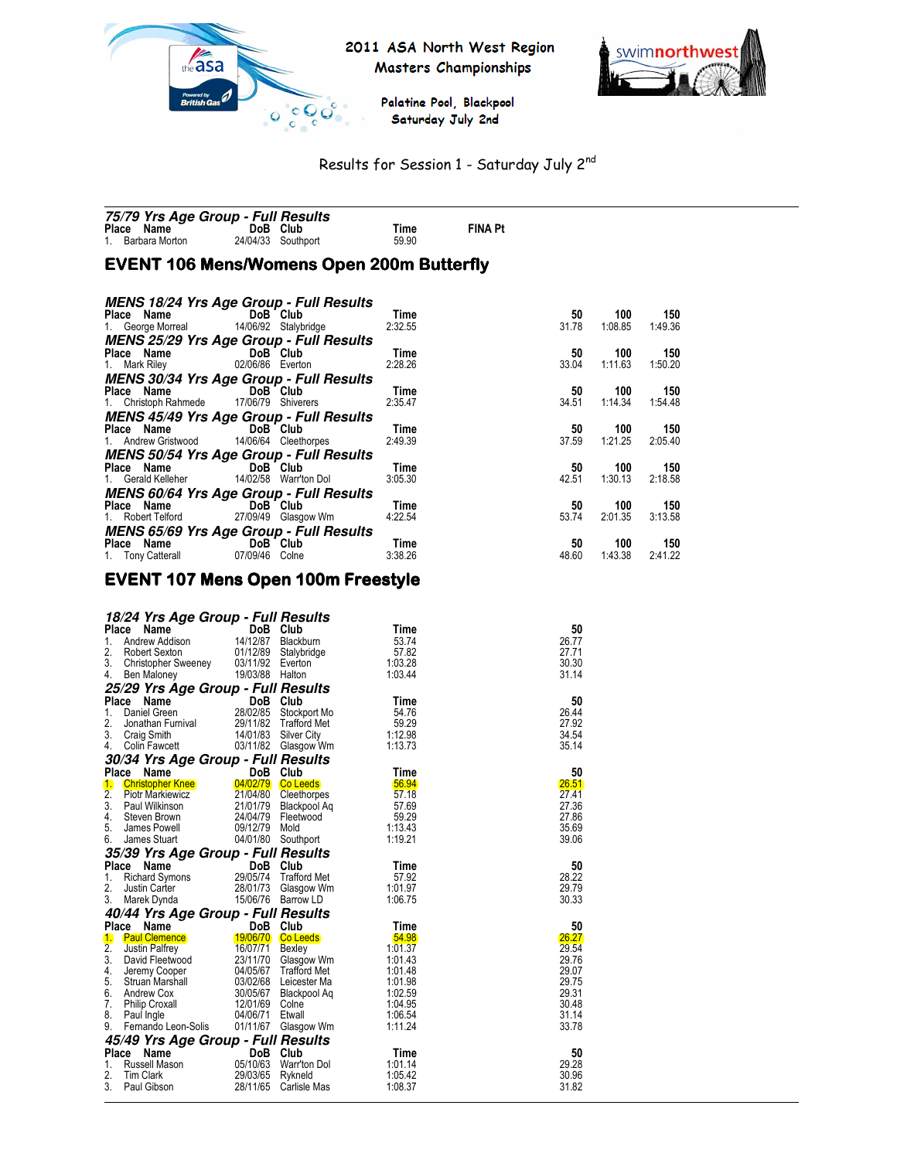

2011 ASA North West Region Masters Championships



Palatine Pool, Blackpool Saturday July 2nd

# Results for Session 1 - Saturday July 2nd

| 75/79 Yrs Age Group - Full Results |                    |       |                |
|------------------------------------|--------------------|-------|----------------|
| Place Name                         | DoB Club           | Time  | <b>FINA Pt</b> |
| 1. Barbara Morton                  | 24/04/33 Southport | 59.90 |                |

# EVENT 106 Mens/Womens Open 200m Butterfly

| <b>MENS 18/24 Yrs Age Group - Full Results</b> |                                                |  |         |       |         |         |  |
|------------------------------------------------|------------------------------------------------|--|---------|-------|---------|---------|--|
| Place Name DoB Club                            |                                                |  | Time    | 50    | 100     | 150     |  |
| 1. George Morreal 14/06/92 Stalybridge         |                                                |  | 2:32.55 | 31.78 | 1:08.85 | 1:49.36 |  |
| <b>MENS 25/29 Yrs Age Group - Full Results</b> |                                                |  |         |       |         |         |  |
| Place Name DoB Club                            |                                                |  | Time    | 50    | 100     | 150     |  |
| 1. Mark Riley 02/06/86 Everton                 |                                                |  | 2:28.26 | 33.04 | 1:11.63 | 1:50.20 |  |
| <b>MENS 30/34 Yrs Age Group - Full Results</b> |                                                |  |         |       |         |         |  |
| Place Name DoB Club                            |                                                |  | Time    | 50    | 100     | 150     |  |
| 1. Christoph Rahmede 17/06/79 Shiverers        |                                                |  | 2:35.47 | 34.51 | 1:14.34 | 1:54.48 |  |
| <b>MENS 45/49 Yrs Age Group - Full Results</b> |                                                |  |         |       |         |         |  |
| Place Name DoB Club                            |                                                |  | Time    | 50    | 100     | 150     |  |
| 1. Andrew Gristwood 14/06/64 Cleethorpes       |                                                |  | 2:49.39 | 37.59 | 1:21.25 | 2:05.40 |  |
| <b>MENS 50/54 Yrs Age Group - Full Results</b> |                                                |  |         |       |         |         |  |
| Place Name DoB Club                            |                                                |  | Time    | 50    | 100     | 150     |  |
| 1. Gerald Kelleher 14/02/58 Warr'ton Dol       |                                                |  | 3:05.30 | 42.51 | 1:30.13 | 2:18.58 |  |
| <b>MENS 60/64 Yrs Age Group - Full Results</b> |                                                |  |         |       |         |         |  |
| Place Name DoB Club                            |                                                |  | Time    | 50    | 100     | 150     |  |
| 1. Robert Telford 27/09/49 Glasgow Wm          |                                                |  | 4:22.54 | 53.74 | 2:01.35 | 3:13.58 |  |
|                                                | <b>MENS 65/69 Yrs Age Group - Full Results</b> |  |         |       |         |         |  |
| Place Name                                     | DoB Club                                       |  | Time    | 50    | 100     | 150     |  |
| 1. Tony Catterall 07/09/46 Colne               |                                                |  | 3:38.26 | 48.60 | 1:43.38 | 2:41.22 |  |

# EVENT 107 Mens Open 100m Freestyle

|                  | 18/24 Yrs Age Group - Full Results         |                  |                                             |                    |                |
|------------------|--------------------------------------------|------------------|---------------------------------------------|--------------------|----------------|
| Place            | Name                                       | DoB Club         |                                             | Time               | 50             |
| 1.               | Andrew Addison                             |                  | 14/12/87 Blackburn                          | 53.74              | 26.77          |
| 2.               | <b>Robert Sexton</b>                       | 01/12/89         | Stalybridge                                 | 57.82              | 27.71          |
| 3.               | Christopher Sweeney                        | 03/11/92 Everton |                                             | 1:03.28            | 30.30          |
| 4.               | Ben Maloney                                | 19/03/88 Halton  |                                             | 1:03.44            | 31.14          |
|                  | 25/29 Yrs Age Group - Full Results         |                  |                                             |                    |                |
|                  | Place Name                                 | DoB Club         |                                             | Time               | 50             |
| 1.<br>2.         | Daniel Green                               |                  | 28/02/85 Stockport Mo                       | 54.76              | 26.44          |
| 3.               | Jonathan Furnival                          |                  | 29/11/82 Trafford Met                       | 59.29              | 27.92          |
| 4.               | Craig Smith<br>Colin Fawcett               |                  | 14/01/83 Silver City<br>03/11/82 Glasgow Wm | 1:12.98<br>1:13.73 | 34.54<br>35.14 |
|                  |                                            |                  |                                             |                    |                |
| Place            | 30/34 Yrs Age Group - Full Results<br>Name | DoB Club         |                                             | Time               | 50             |
| 1.               | <b>Christopher Knee</b>                    |                  | 04/02/79 Co Leeds                           | 56.94              | 26.51          |
| $\overline{2}$ . | <b>Piotr Markiewicz</b>                    |                  | 21/04/80 Cleethorpes                        | 57.18              | 27.41          |
| 3.               | Paul Wilkinson                             |                  | 21/01/79 Blackpool Aq                       | 57.69              | 27.36          |
| 4.               | Steven Brown                               |                  | 24/04/79 Fleetwood                          | 59.29              | 27.86          |
| 5.               | James Powell                               | 09/12/79 Mold    |                                             | 1:13.43            | 35.69          |
| 6.               | James Stuart                               |                  | 04/01/80 Southport                          | 1:19.21            | 39.06          |
|                  | 35/39 Yrs Age Group - Full Results         |                  |                                             |                    |                |
|                  | Place Name                                 | DoB Club         |                                             | Time               | 50             |
| 1.               | <b>Richard Symons</b>                      |                  | 29/05/74 Trafford Met                       | 57.92              | 28.22          |
| 2.               | Justin Carter                              |                  | 28/01/73 Glasgow Wm                         | 1:01.97            | 29.79          |
| 3.               | Marek Dynda                                |                  | 15/06/76 Barrow LD                          | 1:06.75            | 30.33          |
|                  | 40/44 Yrs Age Group - Full Results         |                  |                                             |                    |                |
| Place            | Name                                       | DoB Club         |                                             | Time               | 50             |
| 1.               | <b>Paul Clemence</b>                       |                  | 19/06/70 Co Leeds                           | 54.98              | 26.27          |
| 2.               | Justin Palfrey                             | 16/07/71 Bexley  |                                             | 1:01.37            | 29.54          |
| 3.               | David Fleetwood                            |                  | 23/11/70 Glasgow Wm                         | 1:01.43            | 29.76          |
| 4.               | Jeremy Cooper                              |                  | 04/05/67 Trafford Met                       | 1:01.48            | 29.07          |
| 5.               | Struan Marshall                            |                  | 03/02/68 Leicester Ma                       | 1:01.98            | 29.75          |
| 6.<br>7.         | Andrew Cox<br><b>Philip Croxall</b>        | 12/01/69 Colne   | 30/05/67 Blackpool Aq                       | 1:02.59<br>1:04.95 | 29.31<br>30.48 |
| 8.               | Paul Ingle                                 | 04/06/71         | Etwall                                      | 1:06.54            | 31.14          |
| 9.               | Fernando Leon-Solis                        |                  | 01/11/67 Glasgow Wm                         | 1:11.24            | 33.78          |
|                  |                                            |                  |                                             |                    |                |
| Place            | 45/49 Yrs Age Group - Full Results<br>Name | <b>DoB</b>       | Club                                        | Time               | 50             |
| 1.               | Russell Mason                              |                  | 05/10/63 Warr'ton Dol                       | 1:01.14            | 29.28          |
| 2.               | <b>Tim Clark</b>                           | 29/03/65         | Rykneld                                     | 1:05.42            | 30.96          |
| 3.               | Paul Gibson                                | 28/11/65         | Carlisle Mas                                | 1:08.37            | 31.82          |
|                  |                                            |                  |                                             |                    |                |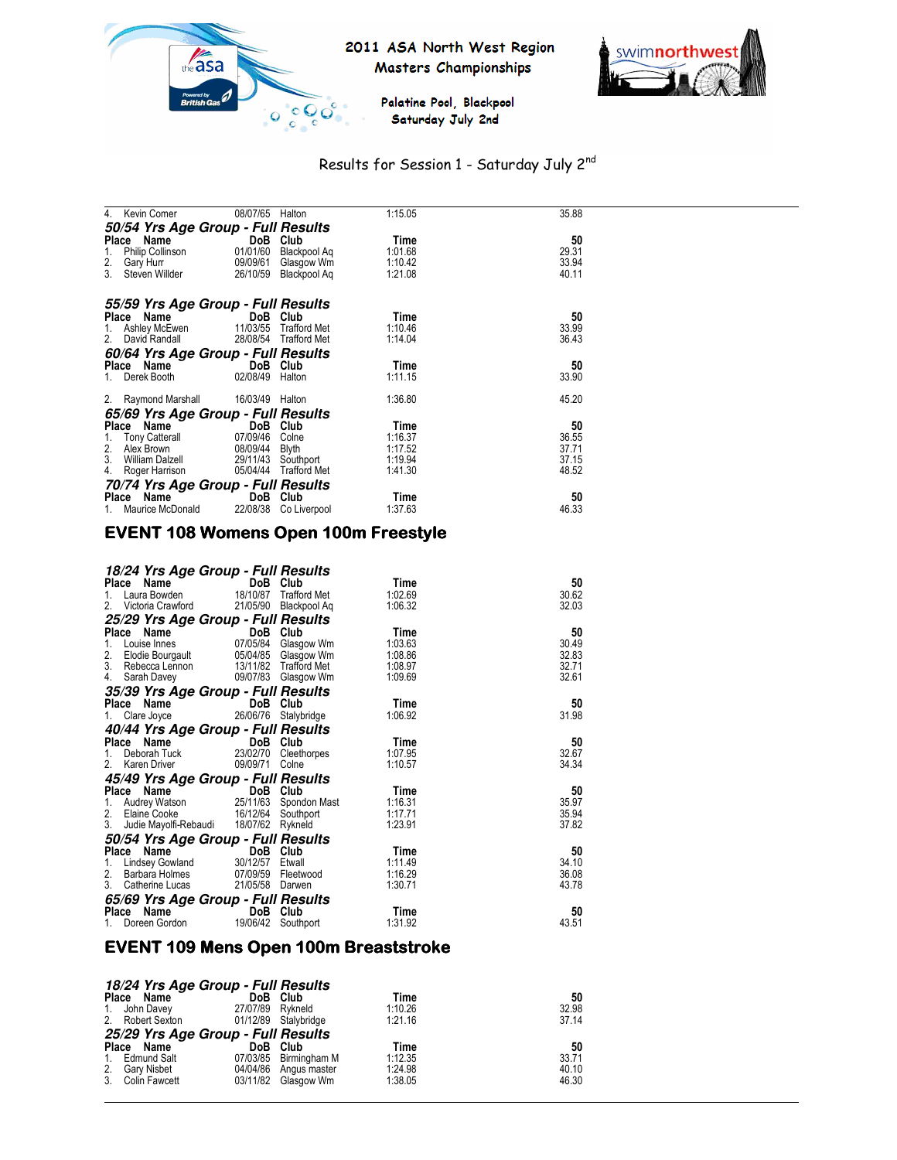





# Results for Session 1 - Saturday July 2nd

| 4.<br>Kevin Comer                  | 08/07/65              | Halton       | 1:15.05 | 35.88 |
|------------------------------------|-----------------------|--------------|---------|-------|
| 50/54 Yrs Age Group - Full Results |                       |              |         |       |
| Place Name                         | DoB                   | Club         | Time    | 50    |
| 1.<br>Philip Collinson             | 01/01/60              | Blackpool Aq | 1:01.68 | 29.31 |
| 2.<br>Gary Hurr                    | 09/09/61 Glasgow Wm   |              | 1:10.42 | 33.94 |
| 3.<br>Steven Willder               | 26/10/59              | Blackpool Ag | 1:21.08 | 40.11 |
| 55/59 Yrs Age Group - Full Results |                       |              |         |       |
| Place<br>Name                      | DoB                   | Club         | Time    | 50    |
| 1.<br>Ashley McEwen                | 11/03/55 Trafford Met |              | 1:10.46 | 33.99 |
| 2.<br>David Randall                | 28/08/54 Trafford Met |              | 1:14.04 | 36.43 |
| 60/64 Yrs Age Group - Full Results |                       |              |         |       |
| Place Name                         | DoB Club              |              | Time    | 50    |
| Derek Booth<br>1.                  | 02/08/49              | Halton       | 1:11.15 | 33.90 |
| 2. Raymond Marshall                | 16/03/49              | Halton       | 1:36.80 | 45.20 |
| 65/69 Yrs Age Group - Full Results |                       |              |         |       |
| Place<br>Name                      | DoB Club              |              | Time    | 50    |
| 1.<br><b>Tony Catterall</b>        | 07/09/46              | Colne        | 1:16.37 | 36.55 |
| 2.<br>Alex Brown                   | 08/09/44 Blyth        |              | 1:17.52 | 37.71 |
| 3.<br>William Dalzell              | 29/11/43 Southport    |              | 1:19.94 | 37.15 |
| Roger Harrison<br>4.               | 05/04/44 Trafford Met |              | 1:41.30 | 48.52 |
| 70/74 Yrs Age Group - Full Results |                       |              |         |       |
| Place Name                         | <b>DoB</b>            | Club         | Time    | 50    |
| Maurice McDonald<br>1.             | 22/08/38              | Co Liverpool | 1:37.63 | 46.33 |

# EVENT 108 Womens Open 100m Freestyle

| 18/24 Yrs Age Group - Full Results           |                      |                       |         |       |
|----------------------------------------------|----------------------|-----------------------|---------|-------|
| Place Name                                   | DoB Club             |                       | Time    | 50    |
| Laura Bowden<br>1.                           |                      | 18/10/87 Trafford Met | 1:02.69 | 30.62 |
| Victoria Crawford<br>$2_{\cdot}$             |                      | 21/05/90 Blackpool Aq | 1:06.32 | 32.03 |
| 25/29 Yrs Age Group - Full Results           |                      |                       |         |       |
| Place Name                                   |                      | DoB Club              | Time    | 50    |
| Louise Innes<br>1.                           |                      | 07/05/84 Glasgow Wm   | 1:03.63 | 30.49 |
| 2. Elodie Bourgault                          |                      | 05/04/85 Glasgow Wm   | 1:08.86 | 32.83 |
| 3. Rebecca Lennon                            |                      | 13/11/82 Trafford Met | 1:08.97 | 32.71 |
| 4.<br>Sarah Davey                            |                      | 09/07/83 Glasgow Wm   | 1:09.69 | 32.61 |
| 35/39 Yrs Age Group - Full Results           |                      |                       |         |       |
| Place Name                                   | DoB Club             |                       | Time    | 50    |
| Clare Joyce<br>1.                            | 26/06/76 Stalybridge |                       | 1:06.92 | 31.98 |
| 40/44 Yrs Age Group - Full Results           |                      |                       |         |       |
| Place Name                                   | DoB                  | Club                  | Time    | 50    |
| Deborah Tuck<br>1.                           |                      | 23/02/70 Cleethorpes  | 1:07.95 | 32.67 |
| 2 <sub>1</sub><br>Karen Driver               | 09/09/71 Colne       |                       | 1:10.57 | 34.34 |
| 45/49 Yrs Age Group - Full Results           |                      |                       |         |       |
| Place Name                                   | DoB Club             |                       | Time    | 50    |
| 1. Audrey Watson 25/11/63 Spondon Mast       |                      |                       | 1:16.31 | 35.97 |
| 2.<br>Elaine Cooke 16/12/64 Southport        |                      |                       | 1:17.71 | 35.94 |
| 3.<br>Judie Mayolfi-Rebaudi 18/07/62 Rykneld |                      |                       | 1:23.91 | 37.82 |
| 50/54 Yrs Age Group - Full Results           |                      |                       |         |       |
| Place Name                                   |                      | DoB Club              | Time    | 50    |
| Lindsey Gowland<br>1.                        | 30/12/57             | Etwall                | 1:11.49 | 34.10 |
| 2.<br>Barbara Holmes                         |                      | 07/09/59 Fleetwood    | 1:16.29 | 36.08 |
| 3.<br>Catherine Lucas                        | 21/05/58 Darwen      |                       | 1:30.71 | 43.78 |
| 65/69 Yrs Age Group - Full Results           |                      |                       |         |       |
| Name<br>Place                                | DoB                  | Club                  | Time    | 50    |
| Doreen Gordon<br>1.                          |                      | 19/06/42 Southport    | 1:31.92 | 43.51 |

# EVENT 109 Mens Open 100m Breaststroke

|    | 18/24 Yrs Age Group - Full Results |                  |                       |         |       |
|----|------------------------------------|------------------|-----------------------|---------|-------|
|    | Place Name                         |                  | DoB Club              | Time    | 50    |
|    | 1. John Davey                      | 27/07/89 Rykneld |                       | 1:10.26 | 32.98 |
|    | 2. Robert Sexton                   |                  | 01/12/89 Stalybridge  | 1:21.16 | 37.14 |
|    | 25/29 Yrs Age Group - Full Results |                  |                       |         |       |
|    | Place Name                         |                  | DoB Club              | Time    | 50    |
|    | 1. Edmund Salt                     |                  | 07/03/85 Birmingham M | 1:12.35 | 33.71 |
|    | 2. Gary Nisbet                     |                  | 04/04/86 Angus master | 1:24.98 | 40.10 |
| 3. | Colin Fawcett                      |                  | 03/11/82 Glasgow Wm   | 1:38.05 | 46.30 |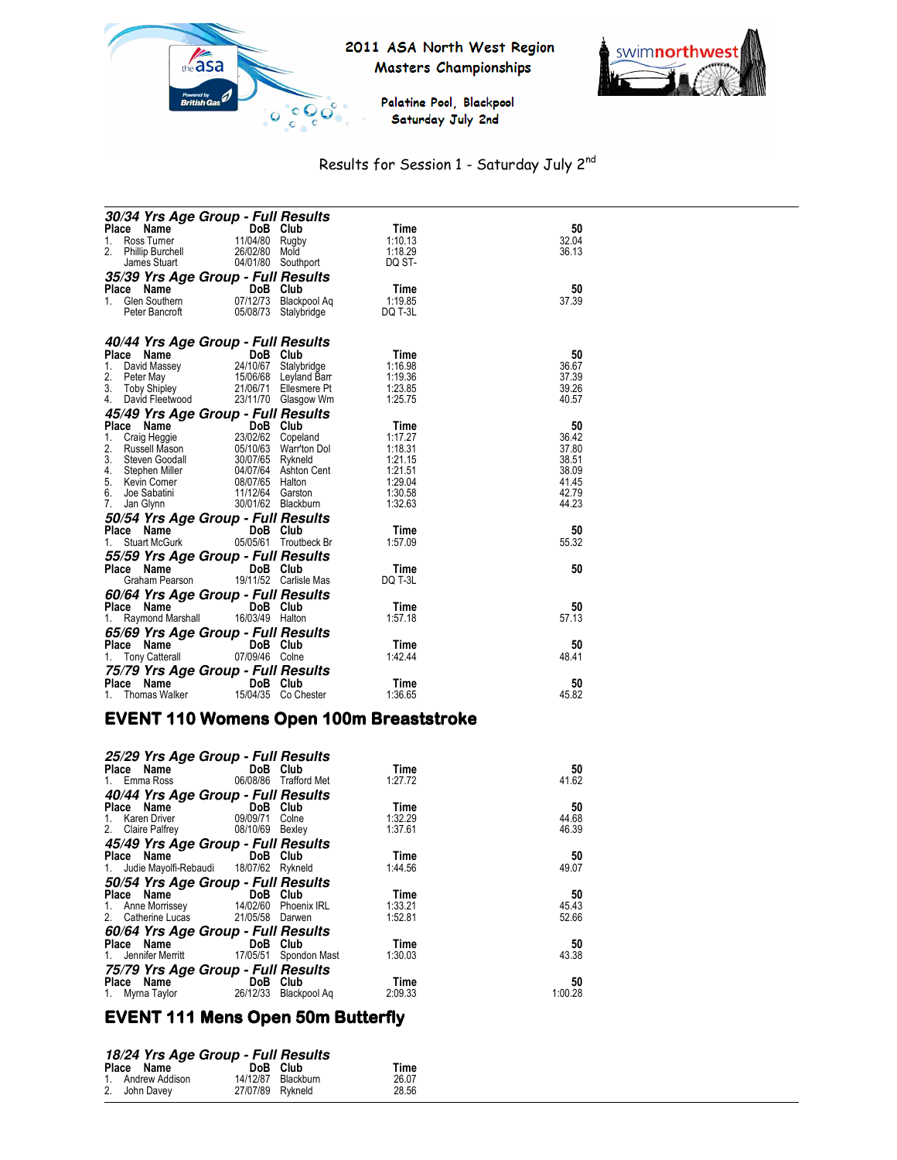



Palatine Pool, Blackpool Saturday July 2nd

# Results for Session 1 - Saturday July 2nd

| 30/34 Yrs Age Group - Full Results                                                                                                           |                                                           |                       |                    |                |
|----------------------------------------------------------------------------------------------------------------------------------------------|-----------------------------------------------------------|-----------------------|--------------------|----------------|
| Place Name                                                                                                                                   | DoB Club                                                  |                       | Time               | 50             |
| Ross Turner<br>1.                                                                                                                            | 11/04/80 Rugby                                            |                       | 1:10.13            | 32.04          |
| 2.<br><b>Phillip Burchell</b>                                                                                                                | 26/02/80 Mold                                             |                       | 1:18.29            | 36.13          |
| James Stuart                                                                                                                                 |                                                           | 04/01/80 Southport    | DQ ST-             |                |
| 35/39 Yrs Age Group - Full Results                                                                                                           |                                                           |                       |                    |                |
| Place Name                                                                                                                                   | DoB Club                                                  |                       | Time               | 50             |
| <b>Commental Science Marine Comment</b> OT<br>1.                                                                                             | 07/12/73                                                  | Blackpool Aq          | 1:19.85            | 37.39          |
| Peter Bancroft                                                                                                                               | 05/08/73                                                  | Stalybridge           | DQ T-3L            |                |
|                                                                                                                                              |                                                           |                       |                    |                |
| 40/44 Yrs Age Group - Full Results                                                                                                           |                                                           |                       |                    |                |
| Place Name<br>Ce Name DoB Club<br>David Massey 24/10/67 Stalybridge<br>Peter May 15/06/68 Leyland Barr<br>Toby Shipley 21/06/71 Ellesmere Pt |                                                           |                       | Time               | 50             |
| 1.                                                                                                                                           |                                                           |                       | 1:16.98            | 36.67          |
| 2.<br>3.                                                                                                                                     |                                                           |                       | 1:19.36            | 37.39<br>39.26 |
| 4.<br>David Fleetwood                                                                                                                        |                                                           | 23/11/70 Glasgow Wm   | 1:23.85<br>1:25.75 | 40.57          |
|                                                                                                                                              |                                                           |                       |                    |                |
| 45/49 Yrs Age Group - Full Results                                                                                                           |                                                           |                       |                    |                |
| Place Name                                                                                                                                   | $\overline{5}$ DoB Club<br>$\overline{23/02/62}$ Copeland |                       | Time               | 50<br>36.42    |
| Craig Heggie<br>1.<br>2.<br>Russell Mason                                                                                                    |                                                           |                       | 1:17.27<br>1:18.31 | 37.80          |
| 3.                                                                                                                                           | 05/10/63 Warr'ton Dol<br>30/07/65 Rvkneld                 |                       | 1:21.15            | 38.51          |
| Steven Goodall 30/07/65 Rykneid<br>Stephen Miller 04/07/64 Ashton Cent<br>4.                                                                 |                                                           |                       | 1:21.51            | 38.09          |
| 5.<br>Kevin Comer                                                                                                                            | 08/07/65 Halton                                           |                       | 1:29.04            | 41.45          |
| 6.<br>Joe Sabatini                                                                                                                           | 11/12/64 Garston                                          |                       | 1:30.58            | 42.79          |
| 7.<br>Jan Glynn                                                                                                                              |                                                           | 30/01/62 Blackburn    | 1:32.63            | 44.23          |
| 50/54 Yrs Age Group - Full Results                                                                                                           |                                                           |                       |                    |                |
| Place Name                                                                                                                                   | DoB Club                                                  |                       | Time               | 50             |
| Stuart McGurk<br>1.                                                                                                                          |                                                           | 05/05/61 Troutbeck Br | 1:57.09            | 55.32          |
| 55/59 Yrs Age Group - Full Results                                                                                                           |                                                           |                       |                    |                |
| Place Name                                                                                                                                   | DoB Club                                                  |                       | Time               | 50             |
| Graham Pearson                                                                                                                               |                                                           | 19/11/52 Carlisle Mas | DQ T-3L            |                |
| 60/64 Yrs Age Group - Full Results                                                                                                           |                                                           |                       |                    |                |
| Place Name                                                                                                                                   | DoB Club                                                  |                       | Time               | 50             |
| Raymond Marshall                                                                                                                             | 16/03/49 Halton                                           |                       | 1:57.18            | 57.13          |
| 65/69 Yrs Age Group - Full Results                                                                                                           |                                                           |                       |                    |                |
| Place Name                                                                                                                                   | DoB Club<br>an an Alba                                    |                       | Time               | 50             |
| <b>Tony Catterall</b>                                                                                                                        | 07/09/46 Colne                                            |                       | 1:42.44            | 48.41          |
| 75/79 Yrs Age Group - Full Results                                                                                                           |                                                           |                       |                    |                |
| Place<br>Name                                                                                                                                | DoB Club                                                  |                       | Time               | 50             |
| 1. Thomas Walker                                                                                                                             | 15/04/35                                                  | Co Chester            | 1:36.65            | 45.82          |
|                                                                                                                                              |                                                           |                       |                    |                |

# **EVENT 110 Womens Open 100m Breaststroke**

| 25/29 Yrs Age Group - Full Results                                                                                                                     |          |         |         |
|--------------------------------------------------------------------------------------------------------------------------------------------------------|----------|---------|---------|
| Place Name                                                                                                                                             | DoB Club | Time    | 50      |
| 1. Emma Ross 06/08/86 Trafford Met                                                                                                                     |          | 1:27.72 | 41.62   |
| 40/44 Yrs Age Group - Full Results                                                                                                                     |          |         |         |
| Place Name DoB Club                                                                                                                                    |          | Time    | 50      |
| 1. Karen Driver 09/09/71 Colne                                                                                                                         |          | 1:32.29 | 44.68   |
| 2. Claire Palfrey 08/10/69 Bexley                                                                                                                      |          | 1:37.61 | 46.39   |
| 45/49 Yrs Age Group - Full Results                                                                                                                     |          |         |         |
| Place Name DoB Club                                                                                                                                    |          | Time    | 50      |
| 1. Judie Mayolfi-Rebaudi 18/07/62 Rykneld                                                                                                              |          | 1:44.56 | 49.07   |
| <b>50/54 Yrs Age Group - Full Results<br/> Place Name DoB Club<br/> 1. Anne Morrissey 14/02/60 Phoenix IRL<br/> 2. Catherine Lucas 21/05/58 Darwen</b> |          |         |         |
|                                                                                                                                                        |          | Time    | 50      |
|                                                                                                                                                        |          | 1:33.21 | 45.43   |
|                                                                                                                                                        |          | 1:52.81 | 52.66   |
| 60/64 Yrs Age Group - Full Results                                                                                                                     |          |         |         |
| Place Name DoB Club                                                                                                                                    |          | Time    | 50      |
| 1. Jennifer Merritt 17/05/51 Spondon Mast                                                                                                              |          | 1:30.03 | 43.38   |
|                                                                                                                                                        |          |         |         |
|                                                                                                                                                        |          | Time    | 50      |
|                                                                                                                                                        |          | 2:09.33 | 1:00.28 |

# EVENT 111 Mens Open 50m Butterfly

| 18/24 Yrs Age Group - Full Results |                   |                  |                    |       |  |
|------------------------------------|-------------------|------------------|--------------------|-------|--|
|                                    | Place Name        |                  | DoB Club           | Time  |  |
|                                    | 1. Andrew Addison |                  | 14/12/87 Blackburn | 26.07 |  |
|                                    | 2. John Davey     | 27/07/89 Rykneld |                    | 28.56 |  |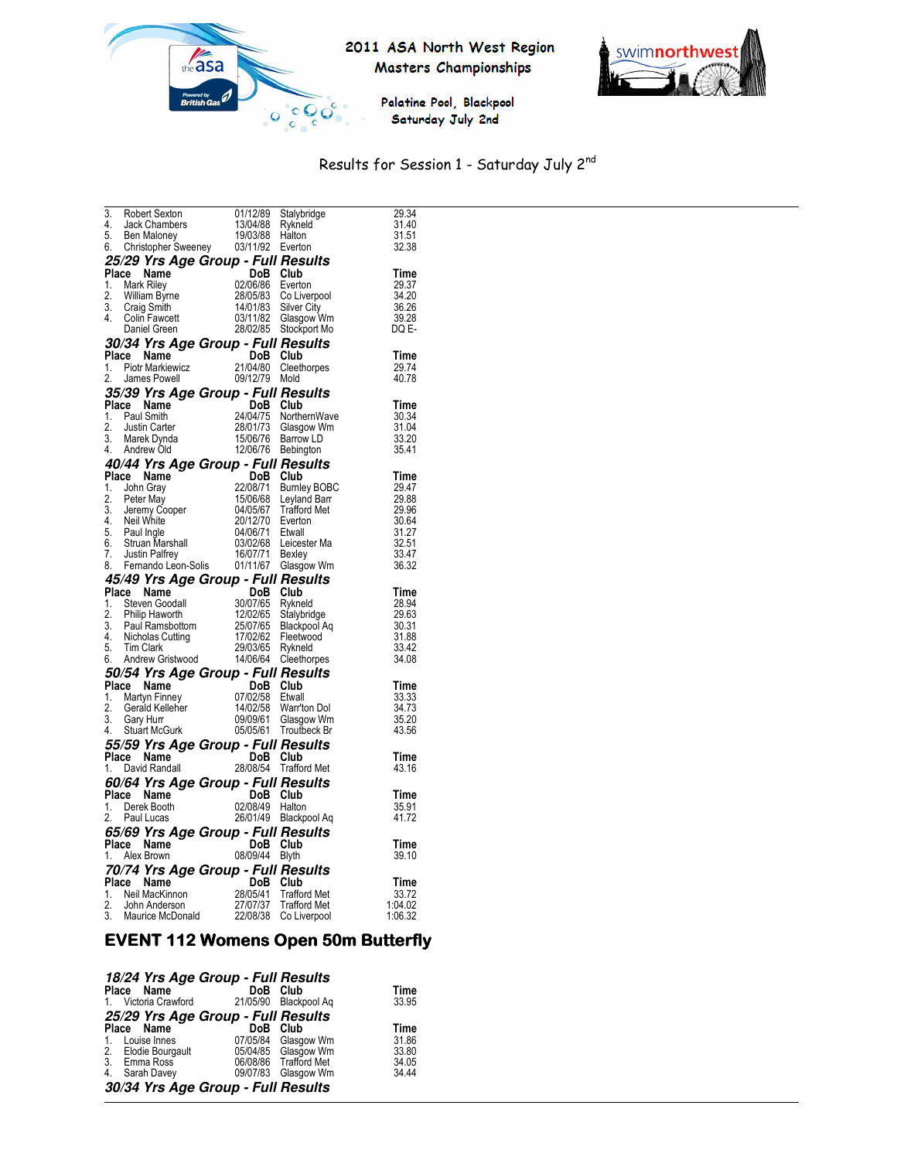

#### 2011 ASA North West Region Masters Championships



Palatine Pool, Blackpool Saturday July 2nd

#### Results for Session 1 - Saturday July 2nd

|    |                                                                                                                                                                                                                                                                  |                                                   | Stalybridge                                                                      | 29.34              |
|----|------------------------------------------------------------------------------------------------------------------------------------------------------------------------------------------------------------------------------------------------------------------|---------------------------------------------------|----------------------------------------------------------------------------------|--------------------|
|    |                                                                                                                                                                                                                                                                  |                                                   | Rykneld                                                                          | 31.40              |
|    |                                                                                                                                                                                                                                                                  |                                                   |                                                                                  | 31.51<br>32.38     |
|    |                                                                                                                                                                                                                                                                  |                                                   |                                                                                  |                    |
|    | 25/29 Yrs Age Group - Full Results                                                                                                                                                                                                                               |                                                   |                                                                                  |                    |
|    | Place Name                                                                                                                                                                                                                                                       | DoB Club                                          |                                                                                  | Time               |
|    |                                                                                                                                                                                                                                                                  |                                                   |                                                                                  | 29.37<br>34.20     |
|    |                                                                                                                                                                                                                                                                  |                                                   |                                                                                  | 36.26              |
|    |                                                                                                                                                                                                                                                                  |                                                   |                                                                                  | 39.28              |
|    | <b>Place Name</b><br>1. Mark Riley<br>2. William Byrne<br>2. William Byrne<br>3. Craig Smith<br>4. Colin Fawcett<br>4. Colin Fawcett<br>1. Colin Fawcett<br>28/02/85 Stockport My<br>28/02/85 Stockport My<br>28/02/85 Stockport My<br>28/02/85 Stockport        |                                                   |                                                                                  | DQ E-              |
|    | 30/34 Yrs Age Group - Full Results                                                                                                                                                                                                                               |                                                   |                                                                                  |                    |
|    | Place Name                                                                                                                                                                                                                                                       | DoB Club                                          |                                                                                  | Time               |
|    | 1. Piotr Markiewicz                                                                                                                                                                                                                                              |                                                   | Cleethorpes                                                                      | 29.74              |
| 2. | James Powell                                                                                                                                                                                                                                                     | 21/04/80 Cleet<br>21/04/80 Cleet<br>09/12/79 Mold |                                                                                  | 40.78              |
|    | 35/39 Yrs Age Group - Full Results                                                                                                                                                                                                                               |                                                   |                                                                                  |                    |
|    | <b>35/39 Yrs Age Group - Tall Club</b><br>Place Name<br>1. Paul Smith<br>2. Justin Carter<br>2. Justin Carter<br>2. Solution 2.001/73 Glasgow Wm<br>3. Marek Dynda<br>4. Andrew Old<br><b>2.</b> 2/06/76 Bebington<br>4. Andrew Old<br><b>2.</b> 2006/76 Bebingt |                                                   |                                                                                  | Time               |
|    |                                                                                                                                                                                                                                                                  |                                                   |                                                                                  | 30.34              |
|    |                                                                                                                                                                                                                                                                  |                                                   |                                                                                  |                    |
|    |                                                                                                                                                                                                                                                                  |                                                   |                                                                                  | 31.04<br>33.20     |
|    |                                                                                                                                                                                                                                                                  |                                                   |                                                                                  | 35.41              |
|    | 40/44 Yrs Age Group - Full Results                                                                                                                                                                                                                               |                                                   |                                                                                  |                    |
|    | <b>Place Name</b><br><b>Place Name</b><br>1. John Gray<br>1. John Gray<br>2. Peter May<br>1. Some 2. Peter May<br>1. Nois 2012/12 Burnley BOBC<br>2. Peter May<br>1. Neil White<br>2012/12 Decree 16. Struan Marshall<br>6. Struan Marshall<br>7. Justin Palfr   | DoB Club                                          |                                                                                  | Time               |
|    |                                                                                                                                                                                                                                                                  |                                                   |                                                                                  | 29.47              |
|    |                                                                                                                                                                                                                                                                  |                                                   |                                                                                  | 29.88<br>29.96     |
|    |                                                                                                                                                                                                                                                                  |                                                   |                                                                                  |                    |
|    |                                                                                                                                                                                                                                                                  |                                                   |                                                                                  | 30.64              |
|    |                                                                                                                                                                                                                                                                  |                                                   |                                                                                  | 31.27              |
|    |                                                                                                                                                                                                                                                                  |                                                   |                                                                                  | 32.51<br>33.47     |
|    |                                                                                                                                                                                                                                                                  |                                                   |                                                                                  | 36.32              |
|    |                                                                                                                                                                                                                                                                  |                                                   |                                                                                  |                    |
|    |                                                                                                                                                                                                                                                                  |                                                   |                                                                                  |                    |
|    | 45/49 Yrs Age Group - Full Results                                                                                                                                                                                                                               |                                                   |                                                                                  |                    |
|    |                                                                                                                                                                                                                                                                  |                                                   |                                                                                  | Time               |
|    |                                                                                                                                                                                                                                                                  |                                                   |                                                                                  | 28.94<br>29.63     |
|    |                                                                                                                                                                                                                                                                  |                                                   |                                                                                  | 30.31              |
|    |                                                                                                                                                                                                                                                                  |                                                   |                                                                                  | 31.88              |
| 5. | <b>Place Name DoB Club</b><br>1. Steven Goodall 30/07/65 Rykneld<br>2. Philip Haworth 12/02/65 Stalybridge<br>3. Paul Ramsbottom 25/07/65 Blackpool Aq<br>4. Nicholas Cutting 17/02/62 Fleetwood<br>5. Tim Clark 29/03/65 Rykneld<br>Tim Clark                   | 29/03/65                                          | Rykneld                                                                          | 33.42              |
| 6. | <b>Andrew Gristwood</b>                                                                                                                                                                                                                                          |                                                   | 14/06/64 Cleethorpes                                                             | 34.08              |
|    | 50/54 Yrs Age Group - Full Results                                                                                                                                                                                                                               |                                                   |                                                                                  |                    |
|    |                                                                                                                                                                                                                                                                  |                                                   |                                                                                  | Time               |
|    |                                                                                                                                                                                                                                                                  |                                                   |                                                                                  |                    |
|    |                                                                                                                                                                                                                                                                  |                                                   |                                                                                  | 33.33<br>34.73     |
|    |                                                                                                                                                                                                                                                                  |                                                   |                                                                                  | 35.20              |
|    | Place Name<br>1. Martyn Finney<br>1. Martyn Finney<br>1. Gerald Kelleher<br>1. Stuart McGurk<br>1. Stuart McGurk<br>1. Stuart McGurk<br>1. Stuart McGurk<br>1. Stuart McGurk<br>1. Stuart McGurk<br>1. Stuart McGurk<br>1. Stuart McGurk<br>1. Stuart            |                                                   |                                                                                  | 43.56              |
|    | 55/59 Yrs Age Group - Full Results                                                                                                                                                                                                                               |                                                   |                                                                                  |                    |
|    | Place Name                                                                                                                                                                                                                                                       | DoB Club                                          |                                                                                  | Time               |
|    | 1. David Randall                                                                                                                                                                                                                                                 |                                                   | DoB Club<br>28/08/54 Trafford Met                                                | 43.16              |
|    | 60/64 Yrs Age Group - Full Results                                                                                                                                                                                                                               |                                                   |                                                                                  |                    |
|    | Place Name                                                                                                                                                                                                                                                       |                                                   |                                                                                  | Time               |
|    | 1. Derek Booth                                                                                                                                                                                                                                                   |                                                   |                                                                                  | 35.91              |
| 2. | Paul Lucas                                                                                                                                                                                                                                                       |                                                   |                                                                                  | 41.72              |
|    | 65/69 Yrs Age Group - Full Results                                                                                                                                                                                                                               |                                                   | ge <b>Crick Bob Community Branch</b><br>02/08/49 Halton<br>26/01/49 Blackpool Aq |                    |
|    | Place Name                                                                                                                                                                                                                                                       | DoB Club                                          |                                                                                  | Time               |
|    | 1. Alex Brown                                                                                                                                                                                                                                                    | 08/09/44 Blyth                                    |                                                                                  | 39.10              |
|    |                                                                                                                                                                                                                                                                  |                                                   |                                                                                  |                    |
|    |                                                                                                                                                                                                                                                                  |                                                   |                                                                                  | Time               |
|    |                                                                                                                                                                                                                                                                  |                                                   |                                                                                  | 33.72              |
|    | <b>70/74 Yrs Age Group - Full Results<br/> Place Name DoB Club<br/> 1. Neil MacKinnon 28/05/41 Trafford Met<br/> 2. John Anderson 27/07/37 Trafford Met<br/> 3. Maurice McDonald 22/08/38 Co Liverpool</b>                                                       |                                                   |                                                                                  | 1:04.02<br>1:06.32 |

#### **EVENT 112 Womens Open 50m Butterfly**

| 18/24 Yrs Age Group - Full Results |          |                       |       |
|------------------------------------|----------|-----------------------|-------|
| Place Name                         | DoB Club |                       | Time  |
| 1. Victoria Crawford               | 21/05/90 | Blackpool Ag          | 33.95 |
| 25/29 Yrs Age Group - Full Results |          |                       |       |
| Place Name                         | DoB      | Club                  | Time  |
| Louise Innes<br>$1_{-}$            |          | 07/05/84 Glasgow Wm   | 31.86 |
| 2. Elodie Bourgault                |          | 05/04/85 Glasgow Wm   | 33.80 |
| 3. Emma Ross                       |          | 06/08/86 Trafford Met | 34.05 |
| 4.<br>Sarah Davey                  |          | 09/07/83 Glasgow Wm   | 34.44 |
| 30/34 Yrs Age Group - Full Results |          |                       |       |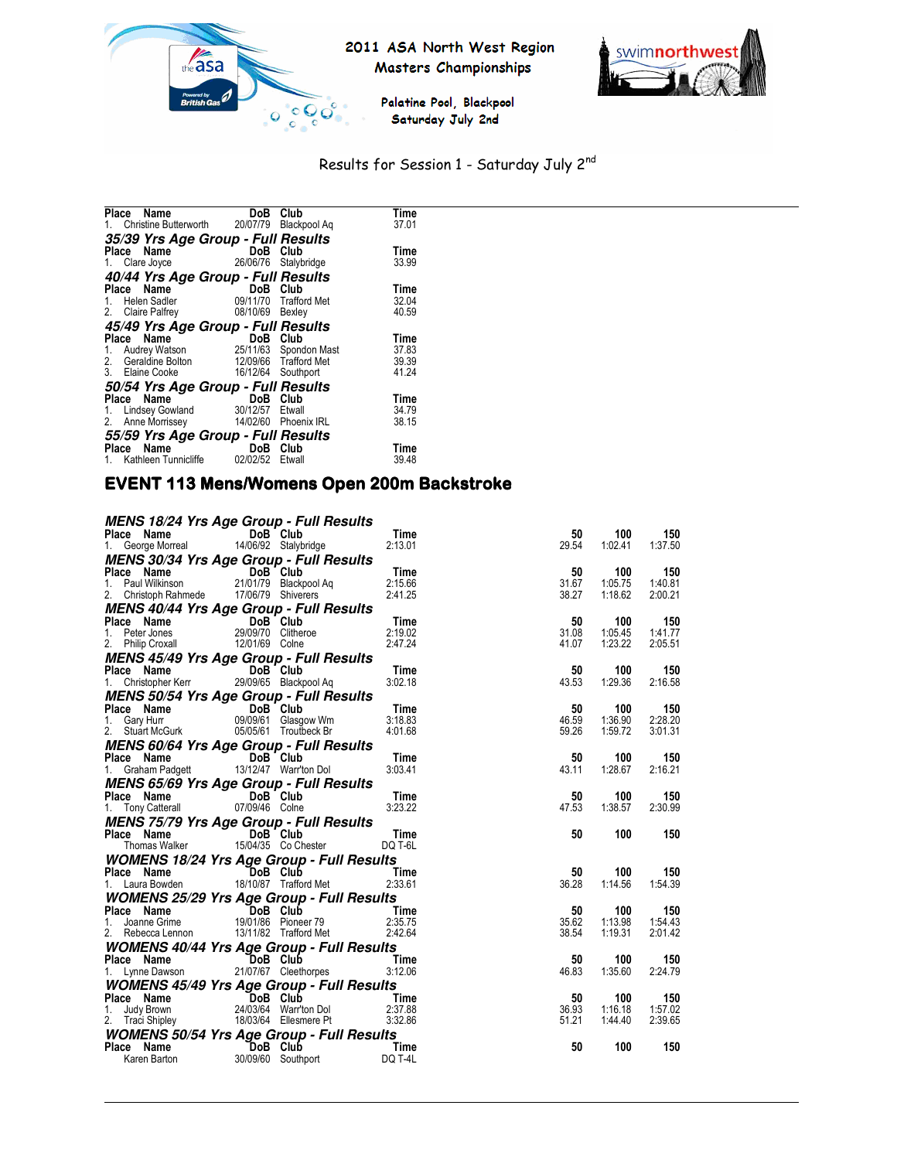



Palatine Pool, Blackpool Saturday July 2nd

# Results for Session 1 - Saturday July 2nd

| Place<br>Name                      | DoB                | Club                  | Time  |
|------------------------------------|--------------------|-----------------------|-------|
| 1. Christine Butterworth 20/07/79  |                    | Blackpool Ag          | 37.01 |
| 35/39 Yrs Age Group - Full Results |                    |                       |       |
| Place Name                         | DoB                | Club                  | Time  |
| 1. Clare Joyce                     | 26/06/76           | Stalybridge           | 33.99 |
| 40/44 Yrs Age Group - Full Results |                    |                       |       |
| Name<br>Place                      | DoB                | Club                  | Time  |
| 1. Helen Sadler                    |                    | 09/11/70 Trafford Met | 32.04 |
| 2. Claire Palfrey                  | 08/10/69           | Bexley                | 40.59 |
| 45/49 Yrs Age Group - Full Results |                    |                       |       |
| Place Name                         | DoB                | Club                  | Time  |
| 1. Audrey Watson                   |                    | 25/11/63 Spondon Mast | 37.83 |
| 2. Geraldine Bolton                |                    | 12/09/66 Trafford Met | 39.39 |
| 3. Elaine Cooke                    | 16/12/64 Southport |                       | 41.24 |
| 50/54 Yrs Age Group - Full Results |                    |                       |       |
| Place Name                         | DoB                | Club                  | Time  |
| 1. Lindsey Gowland                 | 30/12/57           | Etwall                | 34.79 |
| 2.<br>Anne Morrissey               | 14/02/60           | <b>Phoenix IRL</b>    | 38.15 |
| 55/59 Yrs Age Group - Full Results |                    |                       |       |
| Place Name                         | DoB                | Club                  | Time  |
| Kathleen Tunnicliffe               | 02/02/52           | Etwall                | 39.48 |
|                                    |                    |                       |       |

# EVENT 113 Mens/Womens Open 200m Backstroke

| <b>MENS 18/24 Yrs Age Group - Full Results</b>                                                                                        |                      |                       |             |                |                |
|---------------------------------------------------------------------------------------------------------------------------------------|----------------------|-----------------------|-------------|----------------|----------------|
| <b>Place Name</b><br>1. George Morreal 14/06/92 Stalybridge                                                                           |                      | Time                  | 50<br>29.54 | 100            | 150            |
|                                                                                                                                       |                      | 2:13.01               |             | 1:02.41        | 1:37.50        |
| MENS 30/34 Yrs Age Group - Full Results                                                                                               |                      |                       |             |                |                |
|                                                                                                                                       |                      |                       | 50<br>31.67 | 100<br>1:05.75 | 150<br>1:40.81 |
| Place Name <b>DoB</b> Club Time<br>1. Paul Wilkinson 21/01/79 Blackpool Aq 2:15.66<br>2. Christoph Rahmede 17/06/79 Shiverers 2:41.25 |                      |                       | 38.27       | 1:18.62        | 2:00.21        |
| MENS 40/44 Yrs Age Group - Full Results                                                                                               |                      |                       |             |                |                |
|                                                                                                                                       |                      |                       | 50          | 100            | 150            |
| Place Name <b>DoB Club</b> Time<br>1. Peter Jones 29/09/70 Clitheroe 2:19.02                                                          |                      |                       | 31.08       | 1:05.45        | 1:41.77        |
| 2. Philip Croxall 12/01/69 Colne                                                                                                      |                      | 2:47.24               | 41.07       | 1:23.22        | 2:05.51        |
| <b>MENS 45/49 Yrs Age Group - Full Results</b>                                                                                        |                      |                       |             |                |                |
| DoB Club<br>Place Name                                                                                                                |                      | Time                  | 50          | 100            | 150            |
| 1. Christopher Kerr 29/09/65 Blackpool Aq                                                                                             |                      | 3:02.18               | 43.53       | 1:29.36        | 2:16.58        |
| <b>MENS 50/54 Yrs Age Group - Full Results</b>                                                                                        |                      |                       |             |                |                |
| <b>Place Name DoB Club</b> Time<br>1. Gary Hurr 09/09/61 Glasgow Wm 3:18.83<br>2. Stuart McGurk 05/05/61 Troutbeck Br 4:01.68         |                      |                       | 50          | 100            | 150            |
|                                                                                                                                       |                      |                       | 46.59       | 1:36.90        | 2:28.20        |
|                                                                                                                                       |                      |                       | 59.26       | 1:59.72        | 3:01.31        |
| <b>MENS 60/64 Yrs Age Group - Full Results</b>                                                                                        |                      |                       |             |                |                |
| <b>Place Name CODE Club Time</b><br>1. Graham Padgett 13/12/47 Warr'ton Dol 3:03.41                                                   |                      |                       | 50          | 100            | 150            |
|                                                                                                                                       |                      |                       | 43.11       | 1:28.67        | 2:16.21        |
| MENS 65/69 Yrs Age Group - Full Results                                                                                               |                      |                       |             |                |                |
| Place Name<br>1. Tony Catterall 07/09/46 Colne                                                                                        |                      | $Time$<br>$3:23.22$   | 50          | 100            | 150            |
|                                                                                                                                       |                      |                       | 47.53       | 1:38.57        | 2:30.99        |
| <b>MENS 75/79 Yrs Age Group - Full Results</b>                                                                                        |                      |                       |             |                |                |
| Place Name DoB Club                                                                                                                   |                      | <b>Example 2</b> Time | 50          | 100            | 150            |
| Thomas Walker 15/04/35 Co Chester                                                                                                     |                      | DQ T-6L               |             |                |                |
| <b>WOMENS 18/24 Yrs Age Group - Full Results</b>                                                                                      |                      |                       |             |                |                |
| Place Name DoB Club<br>1. Laura Bowden 18/10/87 Trafford Met 2:33.61                                                                  |                      |                       | 50          | 100            | 150            |
|                                                                                                                                       |                      |                       | 36.28       | 1:14.56        | 1:54.39        |
| <b>WOMENS 25/29 Yrs Age Group - Full Results</b>                                                                                      |                      |                       |             |                |                |
| Place Name <b>DoB Club</b><br>1. Joanne Grime 19/01/86 Pioneer 79 2:35.75                                                             |                      |                       | 50          | 100            | 150            |
|                                                                                                                                       |                      |                       | 35.62       | 1:13.98        | 1:54.43        |
| 2. Rebecca Lennon 13/11/82 Trafford Met 2:42.64                                                                                       |                      |                       | 38.54       | 1:19.31        | 2:01.42        |
| <b>WOMENS 40/44 Yrs Age Group - Full Results</b>                                                                                      |                      |                       |             |                |                |
| Place Name DoB Club Time<br>1. Lynne Dawson 21/07/67 Cleethorpes 3:12.06                                                              |                      |                       | 50          | 100            | 150            |
|                                                                                                                                       |                      |                       | 46.83       | 1:35.60        | 2:24.79        |
| <b>WOMENS 45/49 Yrs Age Group - Full Results</b>                                                                                      |                      |                       |             |                |                |
| Place Name <b>DoB Club</b><br>1. Judy Brown 24/03/64 Warr'ton Dol 2:37.88<br>2. Traci Shipley 18/03/64 Ellesmere Pt 3:32.86           |                      |                       | 50          | 100            | 150            |
|                                                                                                                                       |                      |                       | 36.93       | 1:16.18        | 1:57.02        |
|                                                                                                                                       |                      |                       | 51.21       | 1:44.40        | 2:39.65        |
| <b>WOMENS 50/54 Yrs Age Group - Full Results</b>                                                                                      |                      |                       |             |                |                |
| Place Name DoB Club                                                                                                                   | $30/09/60$ Southport | <b>Example 2</b> Time | 50          | 100            | 150            |
| Karen Barton                                                                                                                          |                      | DQ T-4L               |             |                |                |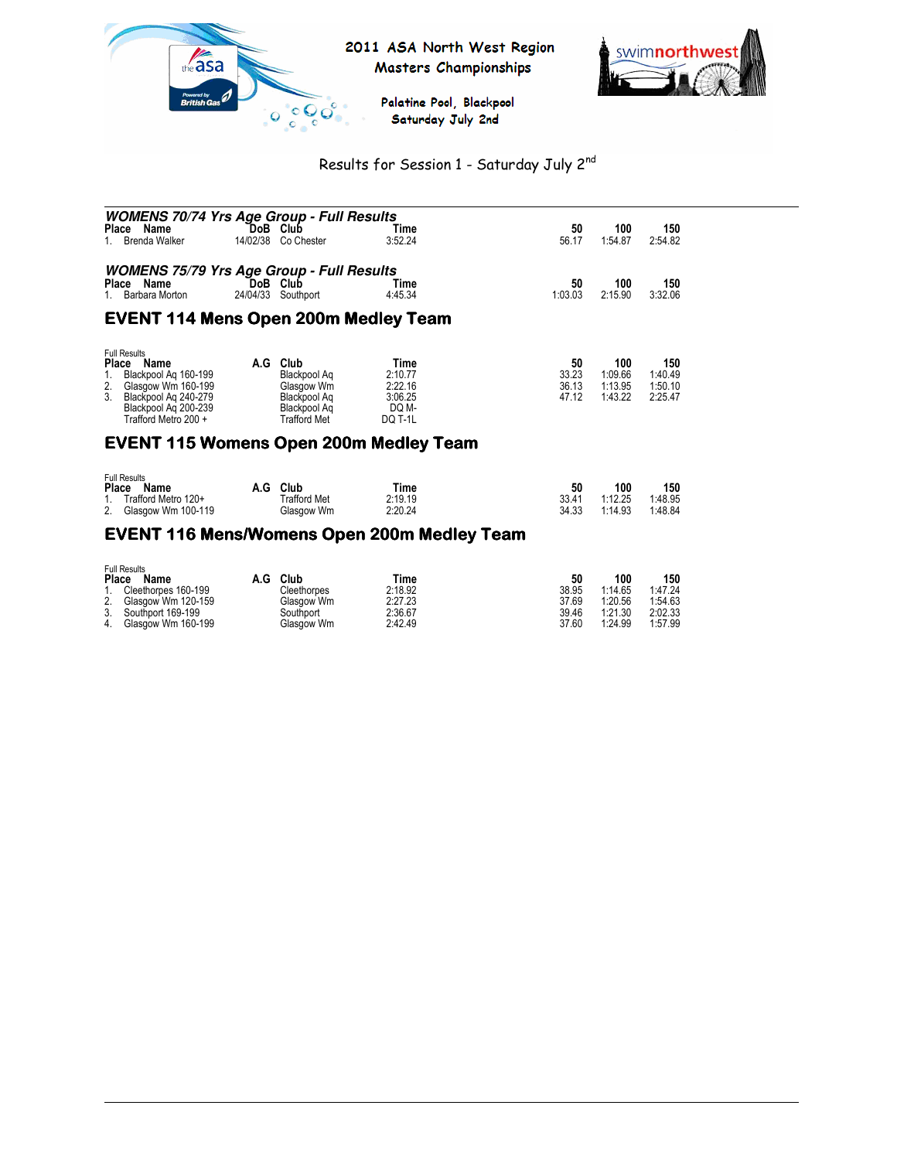



Palatine Pool, Blackpool Saturday July 2nd

# Results for Session 1 - Saturday July 2nd

| <b>WOMENS 70/74 Yrs Age Group - Full Results</b><br>Place Name<br>Brenda Walker                                                                                               | `DoB<br>14/02/38 | Club<br>Co Chester                                                                        | Time<br>3:52.24                                                  | 50<br>56.17                   | 100<br>1:54.87                       | 150<br>2:54.82                       |  |
|-------------------------------------------------------------------------------------------------------------------------------------------------------------------------------|------------------|-------------------------------------------------------------------------------------------|------------------------------------------------------------------|-------------------------------|--------------------------------------|--------------------------------------|--|
| <b>WOMENS 75/79 Yrs Age Group - Full Results</b><br>Name<br><b>Place</b><br>Barbara Morton                                                                                    | DoB.<br>24/04/33 | Club<br>Southport                                                                         | Time<br>4:45.34                                                  | 50<br>1:03.03                 | 100<br>2:15.90                       | 150<br>3:32.06                       |  |
| <b>EVENT 114 Mens Open 200m Medley Team</b>                                                                                                                                   |                  |                                                                                           |                                                                  |                               |                                      |                                      |  |
| <b>Full Results</b><br><b>Place</b><br>Name<br>Blackpool Ag 160-199<br>Glasgow Wm 160-199<br>2.<br>Blackpool Ag 240-279<br>3.<br>Blackpool Ag 200-239<br>Trafford Metro 200 + | A.G              | Club<br>Blackpool Ag<br>Glasgow Wm<br>Blackpool Ag<br>Blackpool Aq<br><b>Trafford Met</b> | Time<br>2:10.77<br>2:22.16<br>3:06.25<br>DQ M-<br><b>DQ T-1L</b> | 50<br>33.23<br>36.13<br>47.12 | 100<br>1:09.66<br>1:13.95<br>1:43.22 | 150<br>1:40.49<br>1:50.10<br>2:25.47 |  |

#### **EVENT 115 Womens Open 200m Medley Team**

| <b>Full Results</b>      |              |         |       |         |         |
|--------------------------|--------------|---------|-------|---------|---------|
| Place<br>Name            | A.G Club     | Time    |       | 100     | 150     |
| 1. Trafford Metro 120+   | Trafford Met | 2:19.19 | 33.41 | 1:12.25 | 1:48.95 |
| Glasgow Wm 100-119<br>2. | Glasgow Wm   | 2:20.24 | 34.33 | 1:14.93 | 1:48.84 |

#### EVENT 116 Mens/Womens Open 200m Medley Team

| Place | <b>Full Results</b><br>Name | A.G | Club        | Time    | 50    | 100     | 150     |
|-------|-----------------------------|-----|-------------|---------|-------|---------|---------|
|       | Cleethorpes 160-199         |     | Cleethorpes | 2:18.92 | 38.95 | 1:14.65 | 1:47.24 |
| 2.    | Glasgow Wm 120-159          |     | Glasgow Wm  | 2:27.23 | 37.69 | 1:20.56 | 1:54.63 |
|       | 3. Southport 169-199        |     | Southport   | 2:36.67 | 39.46 | 1:21.30 | 2:02.33 |
| 4.    | Glasgow Wm 160-199          |     | Glasgow Wm  | 2:42.49 | 37.60 | 1:24.99 | 1:57.99 |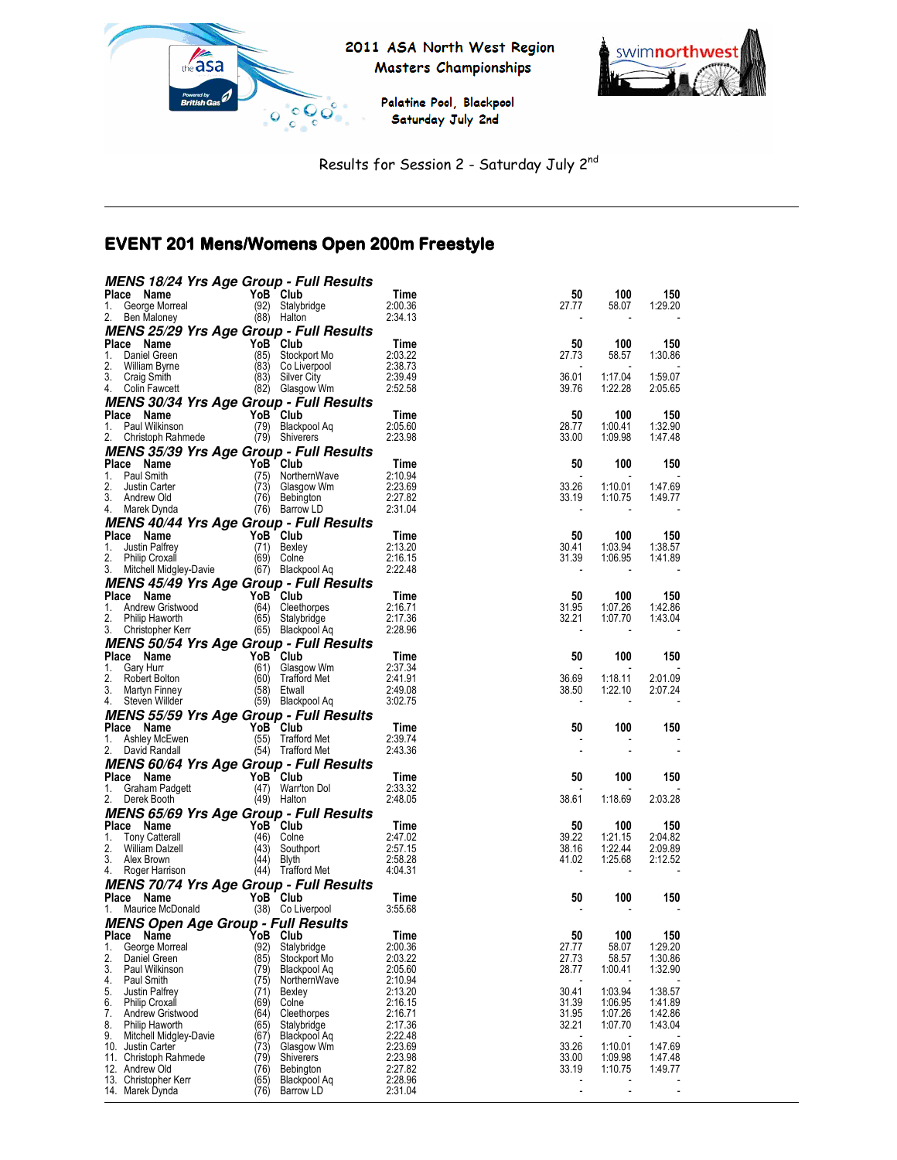

2011 ASA North West Region Masters Championships





Results for Session 2 - Saturday July 2nd

# EVENT 201 Mens/Womens Open 200m Freestyle

| <b>MENS 18/24 Yrs Age Group - Full Results</b>                            |              |                                       |                               |                |                    |                    |
|---------------------------------------------------------------------------|--------------|---------------------------------------|-------------------------------|----------------|--------------------|--------------------|
| Place Name                                                                |              | YoB Club                              | Time                          | 50             | 100                | 150                |
| George Morreal<br>1.<br>2.<br>Ben Maloney                                 |              | (92) Stalybridge<br>(88) Halton       | 2:00.36<br>2:34.13            | 27.77          | 58.07              | 1:29.20            |
| MENS 25/29 Yrs Age Group - Full Results                                   |              |                                       |                               |                |                    |                    |
| Place<br>Name                                                             |              | YoB Club                              | Time                          | 50             | 100                | 150                |
| Daniel Green<br>1.                                                        |              | (85) Stockport Mo                     | 2:03.22                       | 27.73          | 58.57              | 1:30.86            |
| 2.<br>William Byrne<br>3.<br>Craig Smith                                  |              | (83) Co Liverpool<br>(83) Silver City | 2:38.73<br>2:39.49            | 36.01          | 1:17.04            | 1:59.07            |
| 4.<br>Colin Fawcett                                                       |              | (82) Glasgow Wm                       | 2:52.58                       | 39.76          | 1:22.28            | 2:05.65            |
| MENS 30/34 Yrs Age Group - Full Results                                   |              |                                       |                               |                |                    |                    |
| Place Name                                                                |              | YoB Club                              | Time                          | 50             | 100                | 150                |
| Paul Wilkinson<br>1.                                                      |              | (79) Blackpool Aq                     | 2:05.60<br>2:23.98            | 28.77<br>33.00 | 1:00.41<br>1:09.98 | 1:32.90<br>1:47.48 |
| 2.<br>Christoph Rahmede<br><b>MENS 35/39 Yrs Age Group - Full Results</b> |              | (79) Shiverers                        |                               |                |                    |                    |
| Place Name                                                                |              | YoB Club                              | Time                          | 50             | 100                | 150                |
| Paul Smith<br>1.                                                          |              | (75) NorthernWave                     | 2:10.94                       |                |                    |                    |
| 2.<br>Justin Carter                                                       |              | (73) Glasgow Wm                       | 2:23.69                       | 33.26          | 1:10.01            | 1:47.69            |
| 3.<br>Andrew Old                                                          |              | (76) Bebington                        | 2:27.82<br>2:31.04            | 33.19          | 1:10.75            | 1:49.77            |
| 4. Marek Dynda<br>MENS 40/44 Yrs Age Group - Full Results                 |              | (76) Barrow LD                        |                               |                |                    |                    |
| Place Name                                                                |              | YoB Club                              | Time                          | 50             | 100                | 150                |
| Justin Palfrey<br>1.                                                      |              | (71) Bexley                           | 2:13.20                       | 30.41          | 1:03.94            | 1:38.57            |
| 2.<br><b>Philip Croxall</b>                                               |              | $(69)$ Colne                          | 2:16.15                       | 31.39          | 1:06.95            | 1:41.89            |
| 3. Mitchell Midgley-Davie                                                 |              | (67) Blackpool Aq                     | 2:22.48                       |                |                    |                    |
| <b>MENS 45/49 Yrs Age Group - Full Results</b>                            |              |                                       |                               |                |                    |                    |
| Place Name<br>1.<br>Andrew Gristwood                                      |              | YoB Club<br>(64) Cleethorpes          | Time<br>2:16.71               | 50<br>31.95    | 100<br>1:07.26     | 150<br>1:42.86     |
| 2.<br>Philip Haworth                                                      | (65)         | Stalybridge                           | 2:17.36                       | 32.21          | 1:07.70            | 1:43.04            |
| 3.<br>Christopher Kerr                                                    |              | (65) Blackpool Aq                     | 2:28.96                       |                |                    |                    |
| MENS 50/54 Yrs Age Group - Full Results                                   |              |                                       |                               |                |                    |                    |
| Place Name                                                                |              | YoB Club                              | Time                          | 50             | 100                | 150                |
| 1.<br>Gary Hurr                                                           | (61)         | Glasgow Wm                            | 2:37.34<br>2:41.91            |                |                    |                    |
| 2.<br>Robert Bolton                                                       | (60)         | <b>Trafford Met</b>                   |                               | 36.69          | 1:18.11            | 2:01.09            |
|                                                                           |              |                                       |                               |                |                    |                    |
| 3.<br>Martyn Finney<br>4.                                                 |              | (58) Etwall                           | 2:49.08<br>3:02.75            | 38.50          | 1:22.10            | 2:07.24            |
| Steven Willder                                                            |              | (59) Blackpool Aq                     |                               |                |                    |                    |
| MENS 55/59 Yrs Age Group - Full Results<br>Place Name                     |              | YoB Club                              | Time                          | 50             | 100                | 150                |
| 1.<br>Ashley McEwen                                                       |              | (55) Trafford Met                     | 2:39.74                       |                |                    |                    |
| 2.<br>David Randall                                                       |              | (54) Trafford Met                     | 2:43.36                       |                |                    |                    |
| <b>MENS 60/64 Yrs Age Group - Full Results</b>                            |              |                                       |                               |                |                    |                    |
| Place Name                                                                |              | YoB Club                              | Time                          | 50             | 100                | 150                |
| 1.<br>Graham Padgett<br>2.<br>Derek Booth                                 |              | (47) Warr'ton Dol<br>(49) Halton      | 2:33.32<br>2:48.05            | 38.61          | 1:18.69            | 2:03.28            |
|                                                                           |              |                                       |                               |                |                    |                    |
| MENS 65/69 Yrs Age Group - Full Results<br>Place Name                     |              | YoB Club                              | Time                          | 50             | 100                | 150                |
| <b>Tony Catterall</b><br>1.                                               | (46)         | Colne                                 | 2:47.02                       | 39.22          | 1:21.15            | 2:04.82            |
| 2.<br>William Dalzell                                                     |              | (43) Southport                        | 2:57.15                       | 38.16          | 1:22.44            | 2:09.89            |
| 3.<br>Alex Brown<br>4.                                                    |              | (44) Blyth                            | 2:58.28<br>4:04.31            | 41.02          | 1:25.68            | 2:12.52            |
| Roger Harrison                                                            |              | (44) Trafford Met                     |                               |                |                    |                    |
| <b>MENS 70/74 Yrs Age Group - Full Results</b><br>Place Name              |              | YoB Club                              | Time                          | 50             | 100                | 150                |
| Maurice McDonald<br>1.                                                    |              | (38) Co Liverpool                     | 3:55.68                       |                |                    |                    |
| <b>MENS Open Age Group - Full Results</b>                                 |              |                                       |                               |                |                    |                    |
| Place<br>Name                                                             | YoB          | Club                                  | Time                          | 50             | 100                | 150                |
| 1.<br>George Morreal                                                      | (92)         | Stalybridge                           | 2:00.36                       | 27.77          | 58.07              | 1:29.20            |
| 2.<br>Daniel Green<br>3.<br>Paul Wilkinson                                | (85)         | Stockport Mo<br>Blackpool Aq          | 2:03.22<br>2:05.60            | 27.73<br>28.77 | 58.57<br>1:00.41   | 1:30.86<br>1:32.90 |
| 4.<br>Paul Smith                                                          | (79)<br>(75) | NorthernWave                          | 2:10.94                       |                |                    |                    |
| 5.<br>Justin Palfrey                                                      | (71)         | Bexley                                | 2:13.20                       | 30.41          | 1:03.94            | 1:38.57            |
| 6.<br><b>Philip Croxall</b>                                               | (69)         | Colne                                 | 2:16.15                       | 31.39          | 1:06.95            | 1:41.89            |
| 7.<br>Andrew Gristwood<br>8.<br>Philip Haworth                            | (64)<br>(65) | Cleethorpes<br>Stalybridge            | 2:16.71<br>2:17.36            | 31.95<br>32.21 | 1:07.26<br>1:07.70 | 1:42.86<br>1:43.04 |
| 9.<br>Mitchell Midgley-Davie                                              | (67)         | Blackpool Aq                          | 2:22.48                       |                |                    |                    |
| 10. Justin Carter                                                         | (73)         | Glasgow Wm                            | 2:23.69                       | 33.26          | 1:10.01            | 1:47.69            |
| 11. Christoph Rahmede                                                     | (79)         | <b>Shiverers</b>                      | 2:23.98                       | 33.00          | 1:09.98            | 1:47.48            |
| Andrew Old<br>12.<br>Christopher Kerr<br>13.                              | (76)<br>(65) | Bebington<br>Blackpool Aq             | 2:27.82<br>2:28.96<br>2:31.04 | 33.19          | 1:10.75            | 1:49.77            |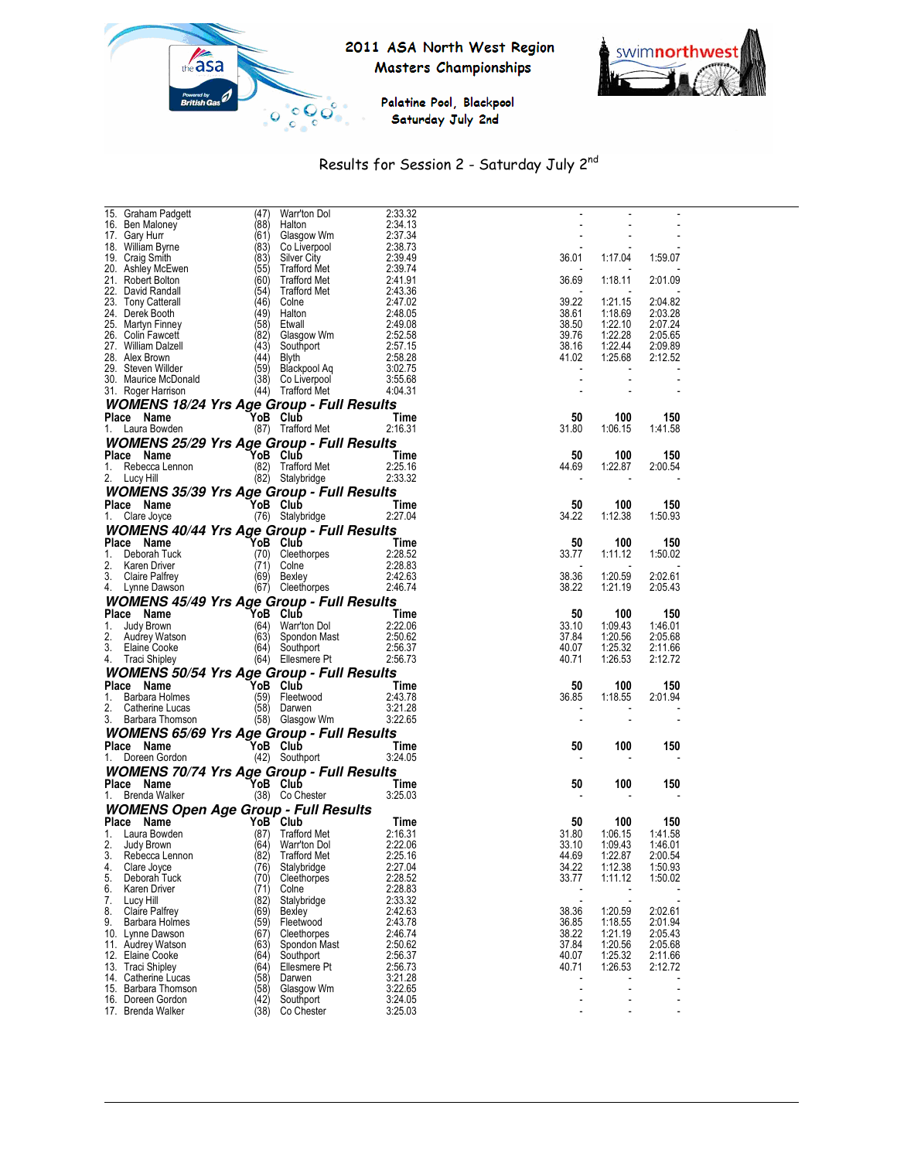





# Results for Session 2 - Saturday July 2nd

| 15. Graham Padgett                                               | (47)                           | Warr'ton Dol            | 2:33.32            |                          |                |         |  |
|------------------------------------------------------------------|--------------------------------|-------------------------|--------------------|--------------------------|----------------|---------|--|
| 16. Ben Maloney                                                  |                                | $(88)$ Halton           | 2:34.13            |                          |                |         |  |
| 17. Gary Hurr                                                    |                                | (61) Glasgow Wm         | 2:37.34            |                          |                |         |  |
| 18. William Byrne                                                |                                | (83) Co Liverpool       | 2:38.73            |                          |                |         |  |
| 19. Craig Smith                                                  |                                | (83) Silver City        | 2:39.49            | 36.01                    | 1:17.04        | 1:59.07 |  |
| 20. Ashley McEwen                                                | (55)                           | Trafford Met            | 2:39.74            |                          |                |         |  |
| 21. Robert Bolton                                                |                                | (60) Trafford Met       | 2:41.91            | 36.69                    | 1:18.11        | 2:01.09 |  |
| 22. David Randall                                                |                                | (54) Trafford Met       | 2:43.36            |                          |                |         |  |
| 23. Tony Catterall                                               |                                | (46) Colne              | 2:47.02            | 39.22                    | 1:21.15        | 2:04.82 |  |
| 24. Derek Booth                                                  |                                | $(49)$ Halton           | 2:48.05            | 38.61                    | 1:18.69        | 2:03.28 |  |
| 25. Martyn Finney                                                |                                | $(58)$ Etwall           | 2:49.08            | 38.50                    | 1:22.10        | 2:07.24 |  |
| 26. Colin Fawcett                                                |                                | (82) Glasgow Wm         | 2:52.58            | 39.76                    | 1:22.28        | 2:05.65 |  |
| 27. William Dalzell                                              |                                | (43) Southport          | 2:57.15            | 38.16                    | 1:22.44        | 2:09.89 |  |
| 28. Alex Brown                                                   |                                | $(44)$ Blyth            | 2:58.28            | 41.02                    | 1:25.68        | 2:12.52 |  |
| 29. Steven Willder                                               |                                | (59) Blackpool Aq       | 3:02.75            | $\overline{\phantom{a}}$ |                |         |  |
| 30. Maurice McDonald                                             |                                | (38) Co Liverpool       | 3:55.68            | $\overline{\phantom{a}}$ |                |         |  |
|                                                                  |                                | (44) Trafford Met       | 4:04.31            |                          |                |         |  |
| 31. Roger Harrison                                               |                                |                         |                    |                          |                |         |  |
| <b>WOMENS 18/24 Yrs Age Group - Full Results</b>                 |                                |                         |                    |                          |                |         |  |
| Place Name                                                       |                                | YoB Club                | Time               | 50                       | 100            | 150     |  |
| 1. Laura Bowden                                                  |                                | (87) Trafford Met       | 2:16.31            | 31.80                    | 1:06.15        | 1:41.58 |  |
| <b>WOMENS 25/29 Yrs Age Group - Full Results</b>                 |                                |                         |                    |                          |                |         |  |
|                                                                  |                                |                         |                    |                          |                |         |  |
| Place Name                                                       |                                | YoB Club                | Time               | 50                       | 100            | 150     |  |
| 1. Rebecca Lennon                                                |                                | (82) Trafford Met       | 2:25.16            | 44.69                    | 1:22.87        | 2:00.54 |  |
| 2. Lucy Hill                                                     |                                | (82) Stalybridge        | 2:33.32            |                          |                |         |  |
| <b>WOMENS 35/39 Yrs Age Group - Full Results</b>                 |                                |                         |                    |                          |                |         |  |
| Place Name                                                       |                                | YoB Club                | Time               | 50                       | 100            | 150     |  |
| 1. Clare Joyce                                                   |                                | (76) Stalybridge        | 2:27.04            | 34.22                    | 1:12.38        | 1:50.93 |  |
|                                                                  |                                |                         |                    |                          |                |         |  |
| <b>WOMENS 40/44 Yrs Age Group - Full Results</b>                 |                                |                         |                    |                          |                |         |  |
| Place Name                                                       |                                | `YoB Club               | Time               | 50                       | 100            | 150     |  |
| 1. Deborah Tuck                                                  |                                | (70) Cleethorpes        | 2:28.52            | 33.77                    | 1:11.12        | 1:50.02 |  |
| 2. Karen Driver                                                  |                                | $(71)$ Colne            | 2:28.83            |                          |                |         |  |
| 3. Claire Palfrey                                                |                                | (69) Bexley             | 2:42.63            | 38.36                    | 1:20.59        | 2:02.61 |  |
| 4. Lynne Dawson                                                  |                                | (67) Cleethorpes        | 2:46.74            | 38.22                    | 1:21.19        | 2:05.43 |  |
|                                                                  |                                |                         |                    |                          |                |         |  |
| <b>WOMENS 45/49 Yrs Age Group - Full Results</b>                 |                                |                         |                    |                          |                |         |  |
| Place Name                                                       | <b>YoB Club</b><br>(64) Warr't |                         | Time               | 50                       | 100            | 150     |  |
| Judy Brown<br>1.                                                 |                                | (64) Warr'ton Dol       | 2:22.06            | 33.10                    | 1:09.43        | 1:46.01 |  |
| 2.<br>Audrey Watson                                              |                                | (63) Spondon Mast       | 2:50.62            | 37.84                    | 1:20.56        | 2:05.68 |  |
| 3. Elaine Cooke                                                  |                                | (64) Southport          | 2:56.37            | 40.07                    | 1:25.32        | 2:11.66 |  |
| 4. Traci Shipley                                                 |                                | (64) Ellesmere Pt       | 2:56.73            | 40.71                    | 1:26.53        | 2:12.72 |  |
|                                                                  |                                |                         |                    |                          |                |         |  |
| WOMENS 50/54 Yrs Age Group - Full Results<br>Place Name YoB Club |                                |                         |                    |                          |                |         |  |
| Place Name                                                       |                                |                         | <b>Time</b>        | 50                       | 100            | 150     |  |
| 1. Barbara Holmes                                                |                                | (59) Fleetwood          | 2:43.78            | 36.85                    | 1:18.55        | 2:01.94 |  |
| 2.<br>Catherine Lucas                                            |                                | (58) Darwen             | 3:21.28            |                          |                |         |  |
| 3. Barbara Thomson                                               |                                | (58) Glasgow Wm         | 3:22.65            | $\overline{\phantom{a}}$ | $\overline{a}$ |         |  |
| <b>WOMENS 65/69 Yrs Age Group - Full Results</b>                 |                                |                         |                    |                          |                |         |  |
| Place Name                                                       |                                | YoB Club                | Time               | 50                       | 100            | 150     |  |
| 1. Doreen Gordon                                                 |                                | (42) Southport          | 3:24.05            |                          |                |         |  |
|                                                                  |                                |                         |                    |                          |                |         |  |
| <b>WOMENS 70/74 Yrs Age Group - Full Results</b>                 |                                |                         |                    |                          |                |         |  |
| Place Name                                                       |                                | YoB Club                | Time               | 50                       | 100            | 150     |  |
| 1. Brenda Walker                                                 |                                | (38) Co Chester         | 3:25.03            |                          |                |         |  |
| <b>WOMENS Open Age Group - Full Results</b>                      |                                |                         |                    |                          |                |         |  |
| Place Name                                                       |                                | YoB Club                | Time               | 50                       | 100            | 150     |  |
|                                                                  |                                |                         | 2:16.31            | 31.80                    | 1:06.15        | 1:41.58 |  |
|                                                                  |                                |                         |                    |                          |                |         |  |
| 1. Laura Bowden                                                  |                                | (87) Trafford Met       |                    |                          |                |         |  |
| 2.<br>Judy Brown                                                 |                                | (64) Warr'ton Dol       | 2:22.06            | 33.10                    | 1:09.43        | 1:46.01 |  |
| 3.<br>Rebecca Lennon                                             | (82)                           | <b>Trafford Met</b>     | 2:25.16            | 44.69                    | 1:22.87        | 2:00.54 |  |
| Clare Joyce<br>4.                                                | (76)                           | Stalybridge             | 2:27.04            | 34.22                    | 1:12.38        | 1:50.93 |  |
| Deborah Tuck<br>5.                                               | (70)                           | Cleethorpes             | 2:28.52            | 33.77                    | 1:11.12        | 1:50.02 |  |
| Karen Driver<br>6.                                               | (71)                           | Colne                   |                    |                          |                |         |  |
| 7.<br>Lucy Hill                                                  | (82)                           | Stalybridge             | 2:28.83<br>2:33.32 | $\sim$                   |                |         |  |
| <b>Claire Palfrey</b><br>8.                                      | (69)                           | Bexley                  | 2:42.63            | 38.36                    | 1:20.59        | 2:02.61 |  |
| <b>Barbara Holmes</b><br>9.                                      | (59)                           | Fleetwood               | 2:43.78            | 36.85                    | 1:18.55        | 2:01.94 |  |
| 10. Lynne Dawson                                                 | (67)                           | Cleethorpes             | 2:46.74            | 38.22                    | 1:21.19        | 2:05.43 |  |
| 11. Audrey Watson                                                | (63)                           | Spondon Mast            | 2:50.62            | 37.84                    | 1:20.56        | 2:05.68 |  |
| 12. Elaine Cooke                                                 | (64)                           | Southport               | 2:56.37            | 40.07                    | 1:25.32        | 2:11.66 |  |
| 13. Traci Shipley                                                | (64)                           | Ellesmere Pt            | 2:56.73            | 40.71                    | 1:26.53        | 2:12.72 |  |
| 14. Catherine Lucas                                              | (58)                           | Darwen                  | 3:21.28            |                          |                |         |  |
| 15. Barbara Thomson                                              | (58)                           | Glasgow Wm              | 3:22.65            | ÷,                       | ÷,             |         |  |
|                                                                  |                                |                         |                    |                          |                |         |  |
| 16. Doreen Gordon<br>17. Brenda Walker                           | (42)<br>(38)                   | Southport<br>Co Chester | 3:24.05<br>3:25.03 |                          |                |         |  |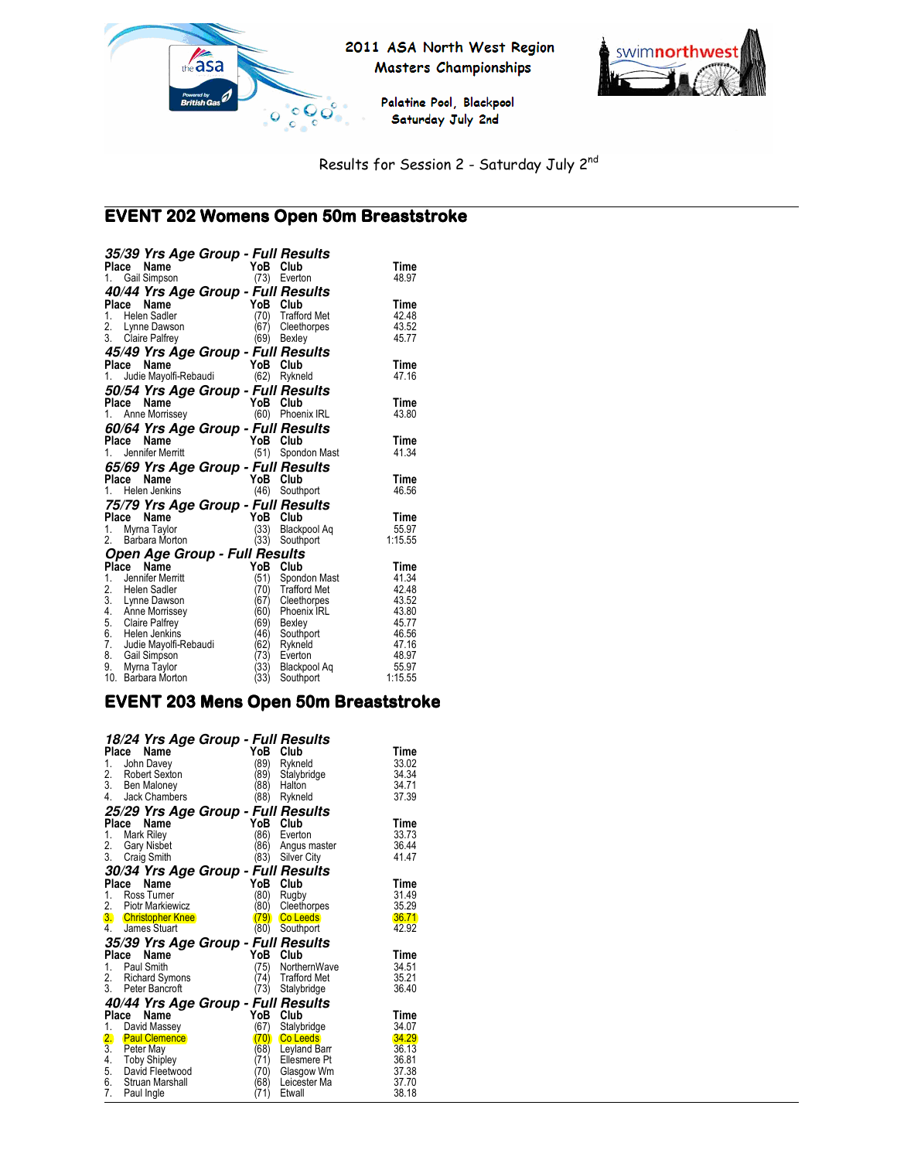



Palatine Pool, Blackpool Saturday July 2nd

Results for Session 2 - Saturday July 2nd

#### $\overline{a}$ EVENT 202 Womens Open 50m Breaststroke

| 35/39 Yrs Age Group - Full Results                                        |                |
|---------------------------------------------------------------------------|----------------|
| YoB<br>Place<br>Name<br>Club                                              | Time           |
| 1. Gail Simpson<br>(73) Everton                                           | 48.97          |
| 40/44 Yrs Age Group - Full Results                                        |                |
| YoB<br>Place<br>Name<br>Club                                              | Time           |
| 1. Helen Sadler<br>(70)<br><b>Trafford Met</b>                            | 42.48          |
| 2. Lynne Dawson<br>Cleethorpes<br>(67)                                    | 43.52          |
| 3. Claire Palfrey<br>(69)<br>Bexley                                       | 45.77          |
| 45/49 Yrs Age Group - Full Results                                        |                |
| YoB<br>Club<br>Place<br>Name                                              | Time           |
| Judie Mayolfi-Rebaudi<br>(62)<br>1.<br>Rykneld                            | 47.16          |
|                                                                           |                |
| 50/54 Yrs Age Group - Full Results<br>YoB<br>Club<br>Place<br>Name        | Time           |
| (60) Phoenix IRL<br>1. Anne Morrissey                                     | 43.80          |
|                                                                           |                |
| 60/64 Yrs Age Group - Full Results                                        |                |
| Name<br>YoB<br>Club<br>Place                                              | Time           |
| (51)<br>Spondon Mast<br>Jennifer Merritt<br>1.                            | 41.34          |
| 65/69 Yrs Age Group - Full Results                                        |                |
| Place<br>Name<br>YoB Club                                                 | Time           |
| (46) Southport<br>1. Helen Jenkins                                        | 46.56          |
| 75/79 Yrs Age Group - Full Results                                        |                |
| YoB<br>Place<br>Name<br>Club                                              | Time           |
| Myrna Taylor<br>Blackpool Aq<br>1.<br>(33)                                | 55.97          |
| 2. Barbara Morton<br>(33)<br>Southport                                    | 1:15.55        |
| Open Age Group - Full Results                                             |                |
| Place<br>Name<br>YoB Club                                                 | Time           |
| $1_{-}$<br>Jennifer Merritt<br>(51)<br>Spondon Mast                       | 41.34          |
| (70)<br>2. Helen Sadler<br>3. Lynne Dawson<br><b>Trafford Met</b>         | 42.48          |
| (67)<br>Cleethorpes                                                       | 43.52          |
| 4. Anne Morrissey<br>(60)<br>Phoenix IRL                                  | 43.80          |
| 5. Claire Palfrey<br>(69)<br>Bexley                                       | 45.77          |
| 6. Helen Jenkins<br>(46)<br>Southport<br>(62)                             | 46.56          |
| 7. Judie Mayolfi-Rebaudi<br>Rykneld<br>8. Gail Simpson<br>(73)<br>Everton | 47.16<br>48.97 |
| 9.<br>(33)<br>Myrna Taylor<br>Blackpool Aq                                | 55.97          |
| (33)<br>10.<br>Barbara Morton<br>Southport                                | 1:15.55        |

#### EVENT 203 Mens Open 50m Breaststroke

|                                      | 18/24 Yrs Age Group - Full Results |             |                              |                |
|--------------------------------------|------------------------------------|-------------|------------------------------|----------------|
|                                      | Place<br>Name                      | YoB         | Club                         | Time           |
| 1.                                   | John Davey<br>Robert Sexton        | (89)<br>89) | Rykneld                      | 33.02<br>34.34 |
| 2.<br>3.                             | Ben Maloney                        | 88)         | Stalybridge<br>Halton        | 34.71          |
| 4.                                   | Jack Chambers                      | (88)        | Rykneld                      | 37.39          |
|                                      | 25/29 Yrs Age Group - Full Results |             |                              |                |
|                                      | Place<br>Name                      | YoB         | Club                         | Time           |
| 1.                                   | Mark Riley                         | 86)         | Everton                      | 33.73          |
| 2.                                   | <b>Gary Nisbet</b>                 | '86)        | Angus master                 | 36.44          |
| 3.                                   | Craig Smith                        | (83)        | Silver City                  | 41.47          |
|                                      | 30/34 Yrs Age Group - Full Results |             |                              |                |
|                                      | Name<br>Place                      | YoB         | Club                         | Time           |
| 1.                                   | Ross Tumer                         | (80         | Rugby                        | 31.49          |
| 2.                                   | Piotr Markiewicz                   | (80         | Cleethorpes                  | 35.29          |
|                                      | 3. Christopher Knee                | 79)         | <b>Co Leeds</b>              | 36.71          |
| 4.                                   | <b>James Stuart</b>                | (80)        | Southport                    | 42.92          |
|                                      | 35/39 Yrs Age Group - Full Results |             |                              |                |
|                                      | Name<br>Place                      | YoB         | Club                         | Time           |
|                                      | 1. Paul Smith                      | (75)        | NorthernWave                 | 34.51          |
| 2.                                   | Richard Symons                     | (74)        | <b>Trafford Met</b>          | 35.21          |
|                                      | 3. Peter Bancroft                  | (73)        | Stalybridge                  | 36.40          |
|                                      | 40/44 Yrs Age Group - Full Results |             |                              |                |
|                                      | Name<br>Place                      | YoB         | Club                         | Time           |
| 1.                                   | David Massey                       | (67)        | Stalybridge                  | 34.07          |
| $\overline{2}$ .<br>$\overline{3}$ . | <b>Paul Clemence</b>               | 70<br>(68)  | <b>Co Leeds</b>              | 34.29<br>36.13 |
| 4.                                   | Peter May<br>Toby Shipley          | (71)        | Leyland Barr<br>Ellesmere Pt | 36.81          |
| 5.                                   | David Fleetwood                    | (70)        | Glasgow Wm                   | 37.38          |
| 6.                                   | Struan Marshall                    | (68)        | Leicester Ma                 | 37.70          |
| 7.                                   | Paul Ingle                         | (71)        | Etwall                       | 38.18          |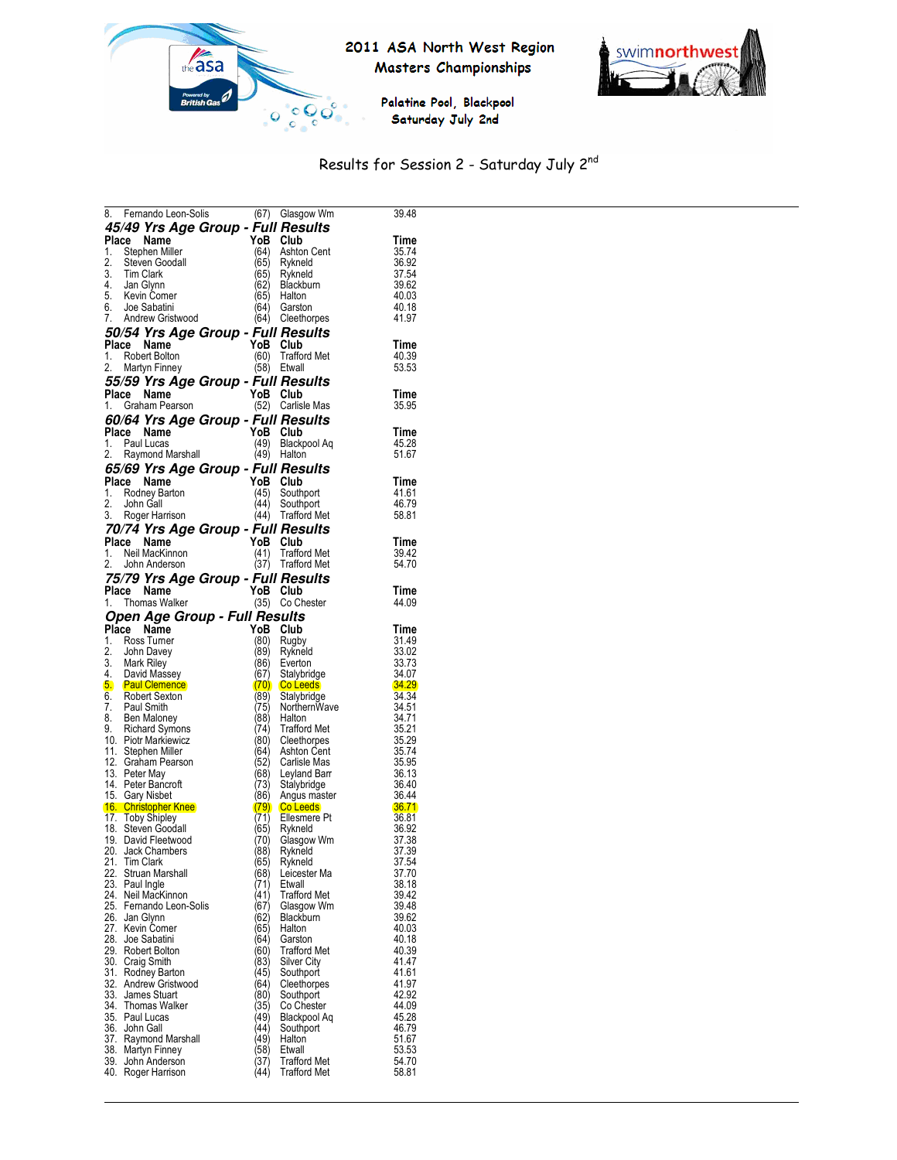



Palatine Pool, Blackpool Saturday July 2nd

# Results for Session 2 - Saturday July 2nd

|       | 8. Fernando Leon-Solis                                                                                                          |              | (67) Glasgow Wm                            | 39.48              |
|-------|---------------------------------------------------------------------------------------------------------------------------------|--------------|--------------------------------------------|--------------------|
|       |                                                                                                                                 |              |                                            |                    |
|       | 45/49 Yrs Age Group - Full Results                                                                                              |              |                                            |                    |
| Place | Name                                                                                                                            | YoB          | Club                                       | Time               |
|       | 1. Stephen Miller<br>2. Steven Goodal<br>3. Tim Clark<br>4. Jan Glynn<br>5. Kevin Comer<br>1. Stephen Comer<br>1. Stephen Comer | (64)         | Ashton Cent                                | 35.74              |
|       | Steven Goodall                                                                                                                  | (65)         | Rykneld                                    | 36.92              |
|       |                                                                                                                                 | (65)         | Rykneld                                    | 37.54              |
|       |                                                                                                                                 | (62)         | <b>Blackburn</b>                           | 39.62              |
|       |                                                                                                                                 | (65          | Halton                                     | 40.03              |
|       | 6. Joe Sabatini                                                                                                                 | (64)         | Garston                                    | 40.18              |
|       |                                                                                                                                 |              |                                            |                    |
|       | 7. Andrew Gristwood                                                                                                             |              | (64) Cleethorpes                           | 41.97              |
|       | 50/54 Yrs Age Group - Full Results                                                                                              |              |                                            |                    |
|       | Place Name                                                                                                                      |              | YoB Club                                   | Time               |
|       | 1. Robert Bolton                                                                                                                |              | (60) Trafford Met                          | 40.39              |
| 2.    |                                                                                                                                 |              |                                            |                    |
|       | Martyn Finney                                                                                                                   |              | (58) Etwall                                | 53.53              |
|       | 55/59 Yrs Age Group - Full Results                                                                                              |              |                                            |                    |
|       | Place Name                                                                                                                      |              | YoB Club                                   | Time               |
|       | an T<br>1. Graham Pearson                                                                                                       |              | (52) Carlisle Mas                          | 35.95              |
|       |                                                                                                                                 |              |                                            |                    |
|       | 60/64 Yrs Age Group - Full Results                                                                                              |              |                                            |                    |
|       | Place Name                                                                                                                      | YoB Club     |                                            | Time               |
|       | 1. Paul Lucas                                                                                                                   | (49)         | Blackpool Aq                               | 45.28              |
|       | 2. Raymond Marshall                                                                                                             |              | (49) Halton                                | 51.67              |
|       |                                                                                                                                 |              |                                            |                    |
|       | 65/69 Yrs Age Group - Full Results                                                                                              |              |                                            |                    |
|       | Place Name                                                                                                                      |              | YoB Club                                   | Time               |
|       |                                                                                                                                 |              |                                            | 41.61              |
|       | 1. Rodney Barton<br>2. John Gall                                                                                                |              | (45) Southport<br>(44) Southport           | 46.79              |
|       | 3. Roger Harrison                                                                                                               |              | (44) Trafford Met                          | 58.81              |
|       |                                                                                                                                 |              |                                            |                    |
|       | 70/74 Yrs Age Group - Full Results                                                                                              |              |                                            |                    |
|       | Place Name                                                                                                                      | YoB Club     |                                            | Time               |
|       | 1. Neil MacKinnon                                                                                                               | (41)         | <b>Trafford Met</b>                        | 39.42              |
|       | 2. John Anderson                                                                                                                |              | (37) Trafford Met                          | 54.70              |
|       |                                                                                                                                 |              |                                            |                    |
|       | 75/79 Yrs Age Group - Full Results                                                                                              |              |                                            |                    |
|       | Place Name                                                                                                                      | YoB Club     |                                            | Time               |
|       | 1. Thomas Walker                                                                                                                |              | (35) Co Chester                            | 44.09              |
|       | Open Age Group - Full Results                                                                                                   |              |                                            |                    |
|       | Place Name                                                                                                                      |              | YoB Club                                   | Time               |
|       |                                                                                                                                 |              |                                            |                    |
|       |                                                                                                                                 |              |                                            |                    |
|       | 1. Ross Turner                                                                                                                  | (80)         | Rugby                                      | 31.49              |
|       |                                                                                                                                 | (89)         | Rykneld                                    | 33.02              |
|       |                                                                                                                                 | (86)         | Everton                                    | 33.73              |
|       |                                                                                                                                 | (67)         |                                            | 34.07              |
|       | 2. John Davey<br>3. Mark Riley<br>4. David Massey                                                                               |              | Stalybridge                                | <b>34.29</b>       |
|       | 5. Paul Clemence                                                                                                                |              | (70) Co Leeds                              |                    |
|       | 6. Robert Sexton                                                                                                                | (89)         | Stalybridge                                | 34.34              |
|       | 7. Paul Smith                                                                                                                   | (75)         | NorthernWave                               | 34.51              |
|       |                                                                                                                                 | (88)         | Halton                                     | 34.71              |
|       | 8. Ben Maloney<br>9. Richard Symons                                                                                             | (74)         | <b>Trafford Met</b>                        | 35.21              |
|       | 10. Piotr Markiewicz                                                                                                            | (80)         | Cleethorpes                                |                    |
|       | 11. Stephen Miller                                                                                                              | (64)         | Ashton Cent                                | 35.29<br>35.74     |
|       | 12. Graham Pearson                                                                                                              | (52)         | Carlisle Mas                               |                    |
|       | 13. Peter May                                                                                                                   | (68)         | Leyland Barr                               | 35.95<br>36.13     |
|       | 14. Peter Bancroft                                                                                                              | (73)         | Stalybridge                                |                    |
|       |                                                                                                                                 | (86)         | Angus master                               | 36.40<br>36.44     |
|       |                                                                                                                                 |              | $(79)$ Co Leeds                            | <mark>36.71</mark> |
|       | 15. Gary Nisbet<br><b>16. Christopher Knee</b>                                                                                  | (71)         | Ellesmere Pt                               | 36.81              |
|       |                                                                                                                                 | (65)         |                                            |                    |
|       | 17. Toby Shipley<br>18. Steven Goodall                                                                                          |              | Rykneld                                    | 36.92              |
|       | 19. David Fleetwood                                                                                                             | (70)         | Glasgow Wm                                 | 37.38              |
|       | 20. Jack Chambers                                                                                                               | (88)         | Rykneld                                    | 37.39              |
| 21.   | <b>Tim Clark</b>                                                                                                                | (65)         | Rykneld                                    | 37.54              |
|       | 22. Struan Marshall                                                                                                             | (68          | Leicester Ma                               | 37.70              |
|       | 23. Paul Ingle                                                                                                                  | (71)         | Etwall                                     | 38.18              |
|       | 24. Neil MacKinnon                                                                                                              | (41)         | Trafford Met                               | 39.42              |
|       | 25. Fernando Leon-Solis                                                                                                         | '67)         | Glasgow Wm                                 | 39.48              |
|       | 26. Jan Glynn                                                                                                                   | 62)          | Blackburn                                  | 39.62              |
|       | 27. Kevin Comer                                                                                                                 | (65)         | Halton                                     | 40.03              |
|       |                                                                                                                                 | (64)         | Garston                                    | 40.18              |
|       | 28. Joe Sabatini                                                                                                                |              |                                            | 40.39              |
|       | 29. Robert Bolton                                                                                                               | '60)         | <b>Trafford Met</b>                        |                    |
|       | 30. Craig Smith                                                                                                                 | (83)         | Silver City                                | 41.47              |
|       | 31. Rodňey Barton                                                                                                               | (45)         | Southport                                  | 41.61              |
|       | 32. Andrew Gristwood                                                                                                            | '64)         | Cleethorpes                                | 41.97              |
|       | 33. James Stuart                                                                                                                | (80          | Southport                                  | 42.92              |
| 34.   | Thomas Walker                                                                                                                   | (35)         | Co Chester                                 | 44.09              |
|       | 35. Paul Lucas                                                                                                                  | (49)         | Blackpool Aq                               | 45.28              |
|       |                                                                                                                                 | 44)          | Southport                                  | 46.79              |
|       | 36. John Gall<br>37. Raymond Marshall                                                                                           | 49)          | Halton                                     | 51.67              |
|       |                                                                                                                                 |              |                                            |                    |
|       | 38. Martyn Finney                                                                                                               | 58)          | Etwall                                     | 53.53              |
|       | 39. John Anderson<br>40. Roger Harrison                                                                                         | (37)<br>(44) | <b>Trafford Met</b><br><b>Trafford Met</b> | 54.70<br>58.81     |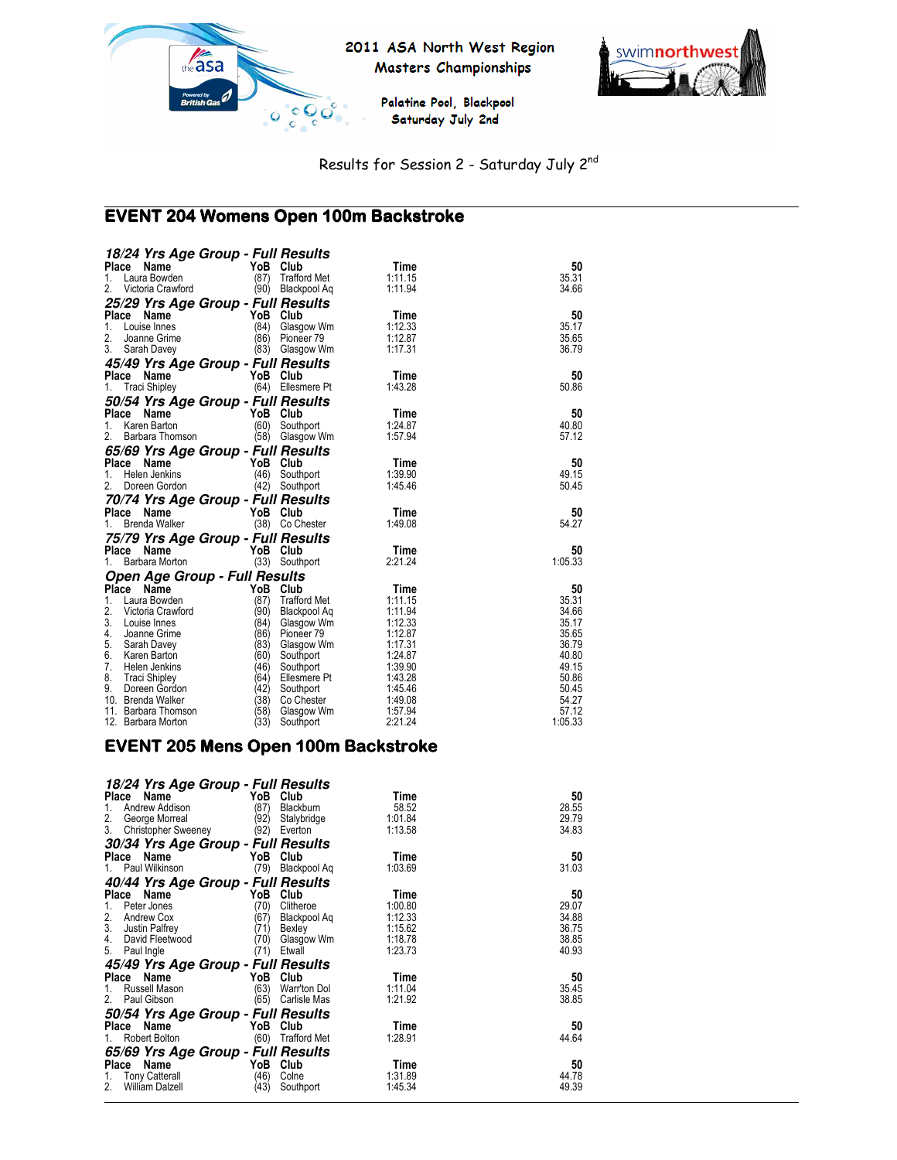



Palatine Pool, Blackpool Saturday July 2nd

Results for Session 2 - Saturday July 2nd

#### $\overline{a}$ EVENT 204 Womens Open 100m Backstroke

| 18/24 Yrs Age Group - Full Results         |              |                         |                    |                |
|--------------------------------------------|--------------|-------------------------|--------------------|----------------|
| Place<br>Name                              | YoB Club     |                         | Time               | 50             |
| Laura Bowden<br>1.                         | (87)         | <b>Trafford Met</b>     | 1:11.15            | 35.31          |
| 2.<br>Victoria Crawford                    |              | (90) Blackpool Aq       | 1:11.94            | 34.66          |
| 25/29 Yrs Age Group - Full Results         |              |                         |                    |                |
| Place<br>Name                              | YoB          | Club                    | Time               | 50             |
| 1.<br>Louise Innes                         | (84)         | Glasgow Wm              | 1:12.33            | 35.17          |
| 2.<br>Joanne Grime                         | (86)         | Pioneer 79              | 1:12.87            | 35.65          |
| 3.<br>Sarah Davey                          | (83)         | Glasgow Wm              | 1:17.31            | 36.79          |
| 45/49 Yrs Age Group - Full Results         |              |                         |                    |                |
| Name<br>Place                              | YoB          | Club                    | Time               | 50             |
| <b>Traci Shipley</b><br>1.                 |              | (64) Ellesmere Pt       | 1:43.28            | 50.86          |
| 50/54 Yrs Age Group - Full Results         |              |                         |                    |                |
| Place<br>Name                              | YoB          | Club                    | Time               | 50             |
| Karen Barton<br>1.                         | (60)         | Southport               | 1:24.87            | 40.80          |
| 2.<br>Barbara Thomson                      | (58)         | Glasgow Wm              | 1:57.94            | 57.12          |
| 65/69 Yrs Age Group - Full Results         |              |                         |                    |                |
| Place Name                                 | YoB Club     |                         | Time               | 50             |
| 1.<br>Helen Jenkins                        |              | (46) Southport          | 1:39.90            | 49.15          |
| 2.<br>Doreen Gordon                        | (42)         | Southport               | 1:45.46            | 50.45          |
| 70/74 Yrs Age Group - Full Results         |              |                         |                    |                |
| Place<br>Name                              | YoB          | Club                    | Time               | 50             |
| Brenda Walker<br>1.                        |              | (38) Co Chester         | 1:49.08            | 54.27          |
| 75/79 Yrs Age Group - Full Results         |              |                         |                    |                |
| Place Name                                 | YoB Club     |                         | Time               | 50             |
| Barbara Morton<br>1.                       | (33)         | Southport               | 2:21.24            | 1:05.33        |
| <b>Open Age Group - Full Results</b>       |              |                         |                    |                |
| Place<br>Name                              | YoB          | Club                    | Time               | 50             |
| 1.<br>Laura Bowden                         | (87)         | <b>Trafford Met</b>     | 1:11.15            | 35.31          |
| 2.<br>Victoria Crawford                    | (90)         | Blackpool Aq            | 1:11.94            | 34.66          |
| 3.<br>Louise Innes                         | (84)         | Glasgow Wm              | 1:12.33            | 35.17          |
| 4.<br>Joanne Grime                         | (86)         | Pioneer 79              | 1:12.87            | 35.65          |
| 5.<br>Sarah Davey                          | (83)         | Glasgow Wm              | 1:17.31            | 36.79          |
| 6.<br>Karen Barton                         | (60)         | Southport               | 1:24.87            | 40.80          |
| 7.<br>Helen Jenkins                        | (46)         | Southport               | 1:39.90            | 49.15          |
| 8.<br><b>Traci Shipley</b>                 | (64)         | Ellesmere Pt            | 1:43.28            | 50.86          |
| 9.<br>Doreen Gordon                        | (42)         | Southport               | 1:45.46            | 50.45          |
| 10. Brenda Walker<br>11. Barbara Thomson   | (38)<br>(58) | Co Chester              | 1:49.08            | 54.27<br>57.12 |
| 12. Barbara Morton                         | (33)         | Glasgow Wm<br>Southport | 1:57.94<br>2:21.24 | 1:05.33        |
|                                            |              |                         |                    |                |
| <b>EVENT 205 Mens Open 100m Backstroke</b> |              |                         |                    |                |
|                                            |              |                         |                    |                |

| 18/24 Yrs Age Group - Full Results |      |                     |         |       |
|------------------------------------|------|---------------------|---------|-------|
| Name<br>Place                      | YoB  | Club                | Time    | 50    |
| 1.<br>Andrew Addison               | (87) | <b>Blackburn</b>    | 58.52   | 28.55 |
| 2.<br>George Morreal               | (92) | Stalybridge         | 1:01.84 | 29.79 |
| 3.<br><b>Christopher Sweeney</b>   | (92) | Everton             | 1:13.58 | 34.83 |
| 30/34 Yrs Age Group - Full Results |      |                     |         |       |
| Place Name                         | YoB  | Club                | Time    | 50    |
| Paul Wilkinson<br>1.               | (79) | Blackpool Aq        | 1:03.69 | 31.03 |
| 40/44 Yrs Age Group - Full Results |      |                     |         |       |
| Name<br>Place                      | YoB  | Club                | Time    | 50    |
| 1.<br>Peter Jones                  | (70) | Clitheroe           | 1:00.80 | 29.07 |
| 2.<br>Andrew Cox                   | (67) | Blackpool Ag        | 1:12.33 | 34.88 |
| 3.<br>Justin Palfrey               | (71) | Bexley              | 1:15.62 | 36.75 |
| 4.<br>David Fleetwood              | (70) | Glasgow Wm          | 1:18.78 | 38.85 |
| 5.<br>Paul Ingle                   | (71) | Etwall              | 1:23.73 | 40.93 |
| 45/49 Yrs Age Group - Full Results |      |                     |         |       |
| Place Name                         | YoB  | Club                | Time    | 50    |
| Russell Mason<br>1.                | (63) | Warr'ton Dol        | 1:11.04 | 35.45 |
| 2.<br>Paul Gibson                  | (65) | Carlisle Mas        | 1:21.92 | 38.85 |
| 50/54 Yrs Age Group - Full Results |      |                     |         |       |
| Name<br>Place                      | YoB  | Club                | Time    | 50    |
| Robert Bolton<br>1.                | (60) | <b>Trafford Met</b> | 1:28.91 | 44.64 |
| 65/69 Yrs Age Group - Full Results |      |                     |         |       |
| Place<br>Name                      | YoB  | Club                | Time    | 50    |
| <b>Tony Catterall</b><br>1.        | (46) | Colne               | 1:31.89 | 44.78 |
| 2.<br><b>William Dalzell</b>       | (43) | Southport           | 1:45.34 | 49.39 |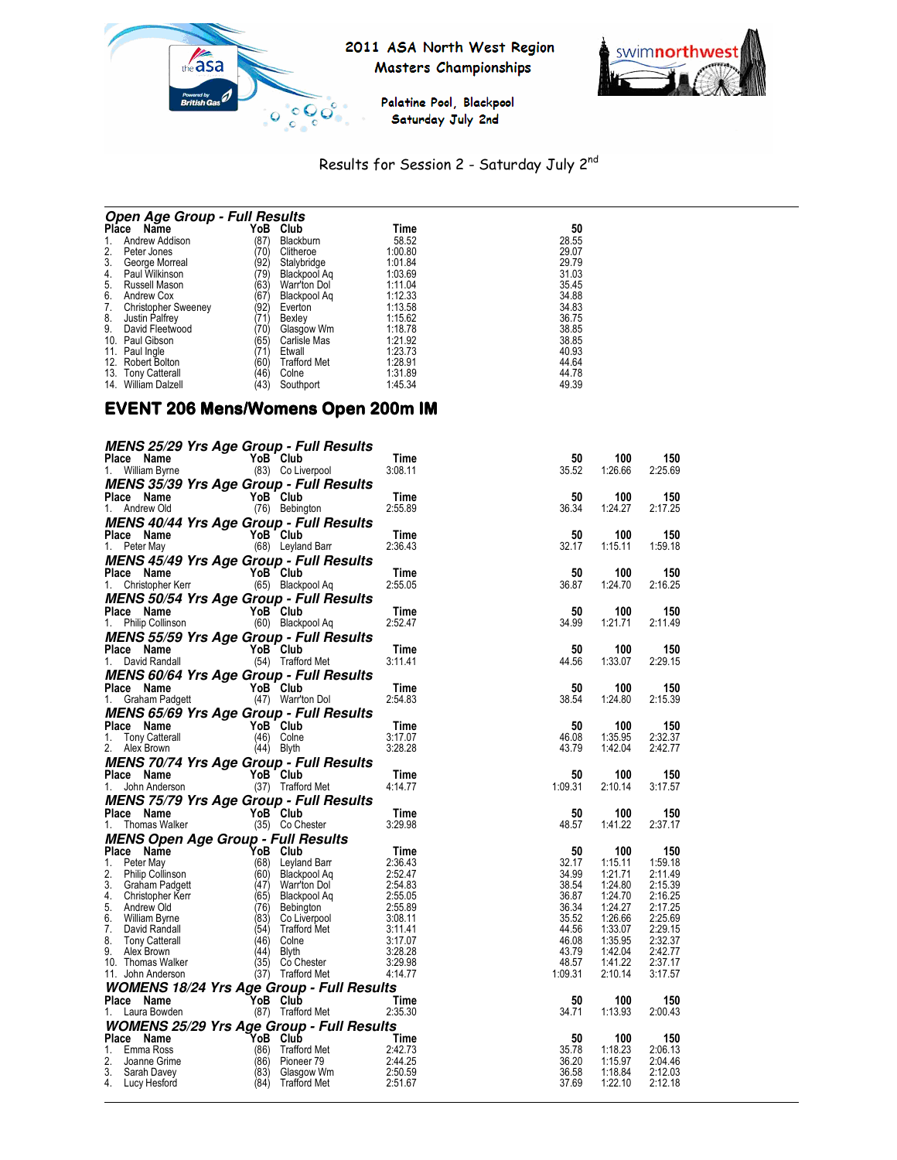



Palatine Pool, Blackpool Saturday July 2nd

# Results for Session 2 - Saturday July 2nd

| <b>Open Age Group - Full Results</b> |      |                     |         |       |  |  |  |
|--------------------------------------|------|---------------------|---------|-------|--|--|--|
| Name<br>Place                        | YoB  | Club                | Time    | 50    |  |  |  |
| Andrew Addison                       | (87) | Blackburn           | 58.52   | 28.55 |  |  |  |
| Peter Jones                          | (70) | Clitheroe           | 1:00.80 | 29.07 |  |  |  |
| 3.<br>George Morreal                 | (92) | Stalybridge         | 1:01.84 | 29.79 |  |  |  |
| Paul Wilkinson<br>4.                 | (79) | Blackpool Ag        | 1:03.69 | 31.03 |  |  |  |
| Russell Mason<br>5.                  | (63) | Warr'ton Dol        | 1:11.04 | 35.45 |  |  |  |
| 6.<br>Andrew Cox                     | (67  | Blackpool Ag        | 1:12.33 | 34.88 |  |  |  |
| <b>Christopher Sweeney</b>           | (92) | Everton             | 1:13.58 | 34.83 |  |  |  |
| Justin Palfrey<br>8.                 | 71   | Bexlev              | 1:15.62 | 36.75 |  |  |  |
| David Fleetwood<br>9.                | (70  | Glasgow Wm          | 1:18.78 | 38.85 |  |  |  |
| Paul Gibson<br>10.                   | (65) | Carlisle Mas        | 1:21.92 | 38.85 |  |  |  |
| Paul Ingle<br>11.                    | 71   | Etwall              | 1:23.73 | 40.93 |  |  |  |
| 12.<br><b>Robert Bolton</b>          | (60) | <b>Trafford Met</b> | 1:28.91 | 44.64 |  |  |  |
| 13. Tony Catterall                   | (46) | Colne               | 1:31.89 | 44.78 |  |  |  |
| William Dalzell<br>14.               | (43) | Southport           | 1:45.34 | 49.39 |  |  |  |

#### EVENT 206 Mens/Womens Open 200m IM

| <b>MENS 25/29 Yrs Age Group - Full Results</b>                                                                                                                                                                                                       |                               |                                                                                                         |                |                    |                    |
|------------------------------------------------------------------------------------------------------------------------------------------------------------------------------------------------------------------------------------------------------|-------------------------------|---------------------------------------------------------------------------------------------------------|----------------|--------------------|--------------------|
|                                                                                                                                                                                                                                                      |                               | Time                                                                                                    | 50             | 100                | 150                |
| riace Name<br>1. William Byrne (83) Colive                                                                                                                                                                                                           | YoB Club<br>(83) Co Liverpool | 3:08.11                                                                                                 | 35.52          | 1:26.66            | 2:25.69            |
| MENS 35/39 Yrs Age Group - Full Results                                                                                                                                                                                                              |                               |                                                                                                         |                |                    |                    |
| <b>Place Name</b><br>1. Andrew Old <b>COM</b> (76) Bebington                                                                                                                                                                                         |                               | Time                                                                                                    | 50             | 100                | 150                |
|                                                                                                                                                                                                                                                      |                               | 2:55.89                                                                                                 | 36.34          | 1:24.27            | 2:17.25            |
| <b>MENS 40/44 Yrs Age Group - Full Results</b>                                                                                                                                                                                                       |                               |                                                                                                         |                |                    |                    |
| <b>Place Name YoB Club</b><br>1. Peter May (68) Leyland Barr                                                                                                                                                                                         |                               | Time                                                                                                    | 50             | 100                | 150                |
|                                                                                                                                                                                                                                                      |                               | 2:36.43                                                                                                 | 32.17          | 1:15.11            | 1:59.18            |
| <b>MENS 45/49 Yrs Age Group - Full Results<br/>Place Name YoB Club<br/>1. Christopher Kerr (65) Blackpool Aq</b>                                                                                                                                     |                               |                                                                                                         |                |                    |                    |
|                                                                                                                                                                                                                                                      |                               | Time                                                                                                    | 50             | 100                | 150                |
|                                                                                                                                                                                                                                                      |                               | 2:55.05                                                                                                 | 36.87          | 1:24.70            | 2:16.25            |
| <b>MENS 50/54 Yrs Age Group - Full Results<br/>Place Name YoB Club<br/>1. Philip Collinson (60) Blackpool Aq</b>                                                                                                                                     |                               |                                                                                                         |                |                    |                    |
|                                                                                                                                                                                                                                                      |                               | Time<br>2:52.47                                                                                         | 50<br>34.99    | 100                | 150<br>2:11.49     |
|                                                                                                                                                                                                                                                      |                               |                                                                                                         |                | 1:21.71            |                    |
| MENS 55/59 Yrs Age Group - Full Results                                                                                                                                                                                                              |                               |                                                                                                         |                |                    |                    |
| <b>Place Name</b><br>1. David Randall <b>Canada (54)</b> Traffor                                                                                                                                                                                     | YoB Club<br>(54) Trafford Met | Time<br>3:11.41                                                                                         | 50<br>44.56    | 100<br>1:33.07     | 150<br>2:29.15     |
|                                                                                                                                                                                                                                                      |                               |                                                                                                         |                |                    |                    |
| MENS 60/64 Yrs Age Group - Full Results                                                                                                                                                                                                              |                               | Time                                                                                                    | 50             | 100                | 150                |
| <b>Place Name</b><br>1. Graham Padgett (47) Warr'ton Dol                                                                                                                                                                                             |                               | 2:54.83                                                                                                 | 38.54          | 1:24.80            | 2:15.39            |
| <b>MENS 65/69 Yrs Age Group - Full Results</b>                                                                                                                                                                                                       |                               |                                                                                                         |                |                    |                    |
|                                                                                                                                                                                                                                                      |                               | Time                                                                                                    | 50             | 100                | 150                |
|                                                                                                                                                                                                                                                      |                               | 3:17.07                                                                                                 | 46.08          | 1:35.95            | 2:32.37            |
| <b>Place Name YoB Club</b><br>1. Tony Catterall (46) Colne<br>2. Alex Brown (44) Blyth                                                                                                                                                               |                               | 3:28.28                                                                                                 | 43.79          | 1:42.04            | 2:42.77            |
|                                                                                                                                                                                                                                                      |                               |                                                                                                         |                |                    |                    |
|                                                                                                                                                                                                                                                      |                               |                                                                                                         |                |                    |                    |
|                                                                                                                                                                                                                                                      |                               | Time                                                                                                    | 50             | 100                | 150                |
|                                                                                                                                                                                                                                                      |                               | 4:14.77                                                                                                 | 1:09.31        | 2:10.14            | 3:17.57            |
| <b>MENS 70/74 Yrs Age Group - Full Results<br/>Place Name YoB Club<br/>1. John Anderson (37) Trafford Met</b><br>Ce Name<br>John Anderson (37) Traffor                                                                                               |                               |                                                                                                         |                |                    |                    |
| <b>MENS 75/79 Yrs Age Group - Full Results</b>                                                                                                                                                                                                       |                               | Time                                                                                                    | 50             | 100                | 150                |
|                                                                                                                                                                                                                                                      |                               | 3:29.98                                                                                                 | 48.57          | 1:41.22            | 2:37.17            |
|                                                                                                                                                                                                                                                      |                               |                                                                                                         |                |                    |                    |
|                                                                                                                                                                                                                                                      |                               | Time                                                                                                    | 50             | 100                | 150                |
|                                                                                                                                                                                                                                                      |                               |                                                                                                         | 32.17          | 1:15.11            | 1:59.18            |
|                                                                                                                                                                                                                                                      |                               |                                                                                                         | 34.99          | 1:21.71            | 2:11.49            |
|                                                                                                                                                                                                                                                      |                               |                                                                                                         | 38.54          | 1:24.80            | 2:15.39            |
|                                                                                                                                                                                                                                                      |                               |                                                                                                         | 36.87          | 1:24.70            | 2:16.25            |
|                                                                                                                                                                                                                                                      |                               |                                                                                                         | 36.34<br>35.52 | 1:24.27<br>1:26.66 | 2:17.25<br>2:25.69 |
|                                                                                                                                                                                                                                                      |                               |                                                                                                         | 44.56          | 1:33.07            | 2:29.15            |
|                                                                                                                                                                                                                                                      |                               |                                                                                                         | 46.08          | 1:35.95            | 2:32.37            |
|                                                                                                                                                                                                                                                      |                               | Time<br>2:36.43<br>2:52.47<br>2:54.83<br>2:55.05<br>2:55.89<br>3:01.14<br>3:11.07<br>3:28.28<br>3:28.28 | 43.79          | 1:42.04            | 2:42.77            |
|                                                                                                                                                                                                                                                      |                               | 3:29.98                                                                                                 | 48.57          | 1:41.22            | 2:37.17            |
|                                                                                                                                                                                                                                                      |                               | 4:14.77                                                                                                 | 1:09.31        | 2:10.14            | 3:17.57            |
| <b>WOMENS 18/24 Yrs Age Group - Full Results</b>                                                                                                                                                                                                     |                               |                                                                                                         |                |                    |                    |
| MENS 75/79 Yrs Age Group - Full Results<br>Place Name<br>1. Thomas Walker<br>1. Thomas Walker<br>1. Thomas Walker<br>1. Peter May<br>1. Peter May<br>2. Philip Collinson<br>1. Peter May<br>2. Philip Collinson<br>1. Peter May<br>2. Philip Collins |                               |                                                                                                         | 50<br>34.71    | 100<br>1:13.93     | 150<br>2:00.43     |
| Place Name YoB Club<br>1. Laura Bowden (87) Trafford Met 2:35.30                                                                                                                                                                                     |                               |                                                                                                         |                |                    |                    |
| <b>WOMENS 25/29 Yrs Age Group - Full Results</b>                                                                                                                                                                                                     |                               |                                                                                                         | 50             |                    |                    |
|                                                                                                                                                                                                                                                      |                               |                                                                                                         | 35.78          | 100<br>1:18.23     | 150<br>2:06.13     |
|                                                                                                                                                                                                                                                      |                               |                                                                                                         | 36.20          | 1:15.97            | 2:04.46            |
| Place Name<br>1. Emma Ross (86) Trafford Met<br>2. Joanne Grime<br>3. Sarah Davey (86) Pioneer 79 2:44.25<br>4. Lucy Hesford (84) Trafford Met<br>2.50.59<br>4. Lucy Hesford (84) Trafford Met<br>2.50.59                                            |                               |                                                                                                         | 36.58<br>37.69 | 1:18.84<br>1:22.10 | 2:12.03<br>2:12.18 |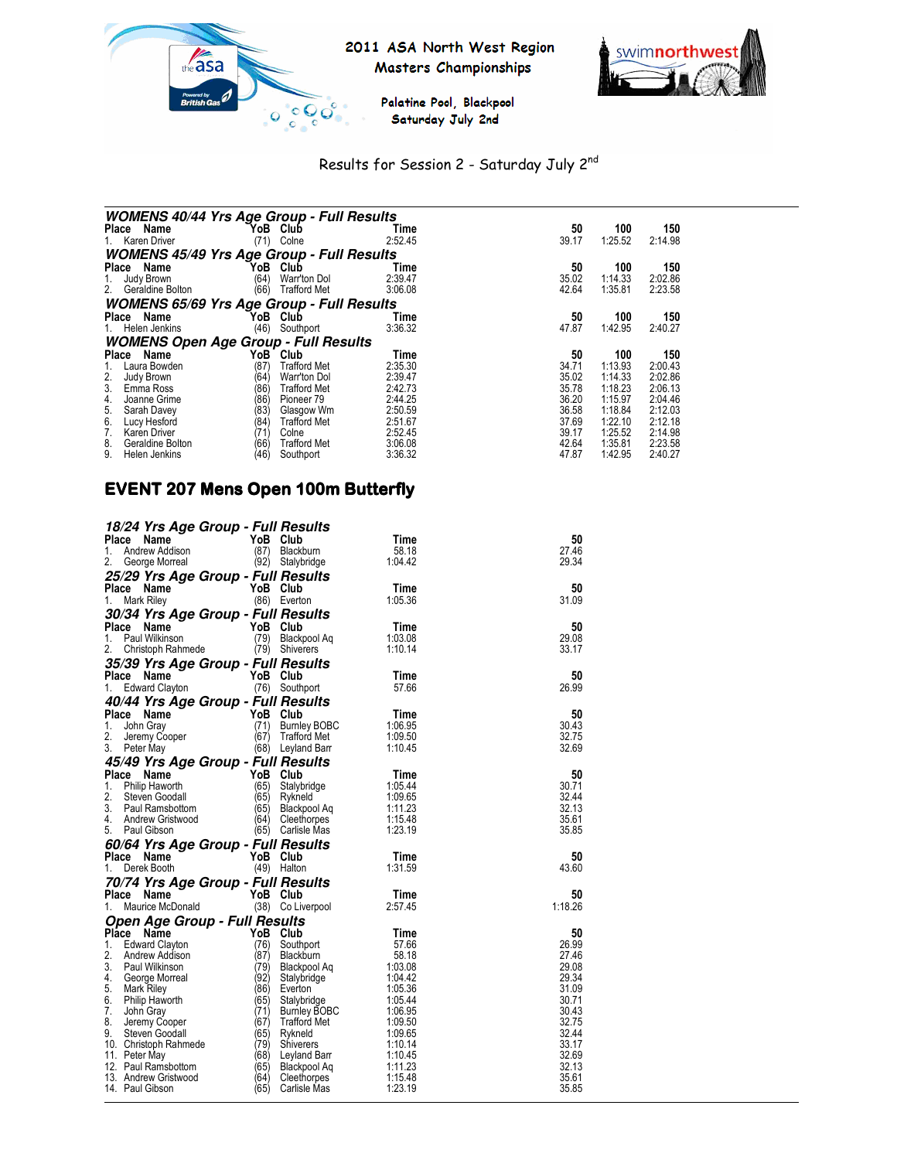



Palatine Pool, Blackpool Saturday July 2nd

# Results for Session 2 - Saturday July 2nd

| <b>WOMENS 40/44 Yrs Age Group - Full Results</b> |      |                     |         |       |         |         |  |
|--------------------------------------------------|------|---------------------|---------|-------|---------|---------|--|
| Place Name                                       | YoB  | Club                | Time    | 50    | 100     | 150     |  |
| Karen Driver<br>1.                               | (71) | Colne               | 2:52.45 | 39.17 | 1:25.52 | 2:14.98 |  |
| <b>WOMENS 45/49 Yrs Age Group - Full Results</b> |      |                     |         |       |         |         |  |
| Place Name                                       | YoB  | Club                | Time    | 50    | 100     | 150     |  |
| Judy Brown<br>1.                                 | (64) | Warr'ton Dol        | 2:39.47 | 35.02 | 1:14.33 | 2:02.86 |  |
| 2.<br>Geraldine Bolton                           | (66) | <b>Trafford Met</b> | 3:06.08 | 42.64 | 1:35.81 | 2:23.58 |  |
| <b>WOMENS 65/69 Yrs Age Group - Full Results</b> |      |                     |         |       |         |         |  |
| Place Name                                       | YoB. | Club                | Time    | 50    | 100     | 150     |  |
| Helen Jenkins<br>1.                              | (46) | Southport           | 3:36.32 | 47.87 | 1:42.95 | 2:40.27 |  |
| <b>WOMENS Open Age Group - Full Results</b>      |      |                     |         |       |         |         |  |
| Name<br><b>Place</b>                             | YoB  | Club                | Time    | 50    | 100     | 150     |  |
| Laura Bowden                                     | (87) | Trafford Met        | 2:35.30 | 34.71 | 1:13.93 | 2:00.43 |  |
| $\frac{2}{3}$<br>Judy Brown                      | (64) | Warr'ton Dol        | 2:39.47 | 35.02 | 1:14.33 | 2:02.86 |  |
| Emma Ross                                        | (86) | <b>Trafford Met</b> | 2:42.73 | 35.78 | 1:18.23 | 2:06.13 |  |
| 4.<br>Joanne Grime                               | (86) | Pioneer 79          | 2:44.25 | 36.20 | 1:15.97 | 2:04.46 |  |
| 5.<br>Sarah Davey                                | (83) | Glasgow Wm          | 2:50.59 | 36.58 | 1:18.84 | 2:12.03 |  |
| $rac{6}{7}$<br>Lucy Hesford                      | (84) | <b>Trafford Met</b> | 2:51.67 | 37.69 | 1:22.10 | 2:12.18 |  |
| Karen Driver                                     | (71' | Colne               | 2:52.45 | 39.17 | 1:25.52 | 2:14.98 |  |
| 8.<br>Geraldine Bolton                           | (66) | <b>Trafford Met</b> | 3:06.08 | 42.64 | 1:35.81 | 2:23.58 |  |
| 9.<br>Helen Jenkins                              | (46) | Southport           | 3:36.32 | 47.87 | 1:42.95 | 2:40.27 |  |

# EVENT 207 Mens Open 100m Butterfly

| 18/24 Yrs Age Group - Full Results                                                                      |                |                                                                       |                    |                |
|---------------------------------------------------------------------------------------------------------|----------------|-----------------------------------------------------------------------|--------------------|----------------|
| Place<br>Name                                                                                           | YoB Club       |                                                                       | Time               | 50             |
| Andrew Addison<br>1.                                                                                    | (87)           | Blackburn                                                             | 58.18              | 27.46          |
| 2.<br>George Morreal                                                                                    |                | (92) Stalybridge                                                      | 1:04.42            | 29.34          |
| 25/29 Yrs Age Group - Full Results                                                                      |                |                                                                       |                    |                |
| Place Name<br>$\mathbf{r} = \mathbf{r}$                                                                 | YoB Club       |                                                                       | Time               | 50             |
| Mark Riley<br>1.                                                                                        | (86) Everton   |                                                                       | 1:05.36            | 31.09          |
| 30/34 Yrs Age Group - Full Results                                                                      |                |                                                                       |                    |                |
| Place Name                                                                                              |                |                                                                       | Time               | 50             |
| <b>YoB Club</b><br>(79) Black<br>1.<br>Paul Wilkinson                                                   |                | Blackpool Aq                                                          | 1:03.08            | 29.08          |
| 2.<br>Christoph Rahmede                                                                                 | (79) Shiverers |                                                                       | 1:10.14            | 33.17          |
| 35/39 Yrs Age Group - Full Results                                                                      |                |                                                                       |                    |                |
| Place Name                                                                                              | YoB Club       |                                                                       | Time               | 50             |
| 1.<br>Edward Clayton                                                                                    | (76) Southport |                                                                       | 57.66              | 26.99          |
|                                                                                                         |                |                                                                       |                    |                |
| 40/44 Yrs Age Group - Full Results<br>Place<br>Name                                                     |                |                                                                       | Time               | 50             |
| 1.<br>John Gray                                                                                         |                |                                                                       | 1:06.95            | 30.43          |
| 2.                                                                                                      |                | Burnley BOBC<br>Trafford Met<br>Trafford Met                          | 1:09.50            | 32.75          |
| $YoB$ Club<br>(71) Burnle<br>(67) Traffo<br>(68) Louis<br>Jeremy Cooper<br>Peter May<br>3.<br>Peter May |                | (68) Leyland Barr                                                     | 1:10.45            | 32.69          |
|                                                                                                         |                |                                                                       |                    |                |
| 45/49 Yrs Age Group - Full Results                                                                      |                |                                                                       |                    | 50             |
| Place<br>YoB Club<br>(65) Stalybrid<br>(65) Rykneld<br>Name<br>1.                                       |                |                                                                       | Time<br>1:05.44    | 30.71          |
| Philip Haworth<br>2.<br>Steven Goodall                                                                  |                | Stalybridge                                                           | 1:09.65            | 32.44          |
| 3.<br>Paul Ramsbottom                                                                                   | (65)           |                                                                       | 1:11.23            | 32.13          |
| 4.<br>Andrew Gristwood                                                                                  |                | (64) Cleethorpes                                                      | 1:15.48            | 35.61          |
| 5.<br>Paul Gibson                                                                                       |                | (65) Carlisle Mas                                                     | 1:23.19            | 35.85          |
| 60/64 Yrs Age Group - Full Results                                                                      |                | Blackpool Aq<br>Cleethorpes<br>Carlisle Mas<br><b>Results</b><br>Club |                    |                |
| Place Name                                                                                              | YoB Club       |                                                                       | Time               | 50             |
| 1.<br>Derek Booth                                                                                       | (49) Halton    |                                                                       | 1:31.59            | 43.60          |
|                                                                                                         |                |                                                                       |                    |                |
| 70/74 Yrs Age Group - Full Results<br>Place<br>Name                                                     | YoB Club       |                                                                       | Time               | 50             |
| 1.<br>Maurice McDonald                                                                                  |                | (38) Co Liverpool                                                     | 2:57.45            | 1:18.26        |
|                                                                                                         |                |                                                                       |                    |                |
| Open Age Group - Full Results                                                                           |                |                                                                       |                    |                |
| Place<br>Name<br>1.<br><b>Edward Clayton</b>                                                            | YoB Club       |                                                                       | Time               | 50<br>26.99    |
| 2.<br>Andrew Addison                                                                                    | (76)<br>(87)   | Southport<br>Blackburn                                                | 57.66<br>58.18     | 27.46          |
| 3.<br>Paul Wilkinson                                                                                    |                | (79) Blackpool Aq                                                     | 1:03.08            | 29.08          |
| 4.<br>George Morreal                                                                                    | (92)           | Stalybridge                                                           | 1:04.42            | 29.34          |
| 5.<br>Mark Riley                                                                                        |                |                                                                       |                    |                |
| 6.<br>Philip Haworth                                                                                    |                |                                                                       |                    |                |
|                                                                                                         | (86)           | Everton                                                               | 1:05.36            | 31.09          |
|                                                                                                         | (65)           | Stalybridge                                                           | 1:05.44            | 30.71          |
| 7.<br>John Gray                                                                                         | (71)           |                                                                       | 1:06.95            | 30.43          |
| 8.<br>Jeremy Cooper<br>9.<br>Steven Goodall                                                             | (67)           | Burnley BOBC<br>Trafford Met<br>Trafford Met                          | 1:09.50<br>1:09.65 | 32.75<br>32.44 |
|                                                                                                         | (65)<br>(79)   | Rykneld<br><b>Shiverers</b>                                           | 1:10.14            | 33.17          |
| 10. Christoph Rahmede<br>11. Peter May                                                                  | (68)           |                                                                       | 1:10.45            | 32.69          |
| 12. Paul Ramsbottom                                                                                     | (65)           |                                                                       | 1:11.23            | 32.13          |
| 13. Andrew Gristwood                                                                                    | (64)           | Leyland Barr<br>Blackpool Aq<br>Cleethorpes                           | 1:15.48            | 35.61          |
| 14. Paul Gibson                                                                                         | (65)           | Carlisle Mas                                                          | 1:23.19            | 35.85          |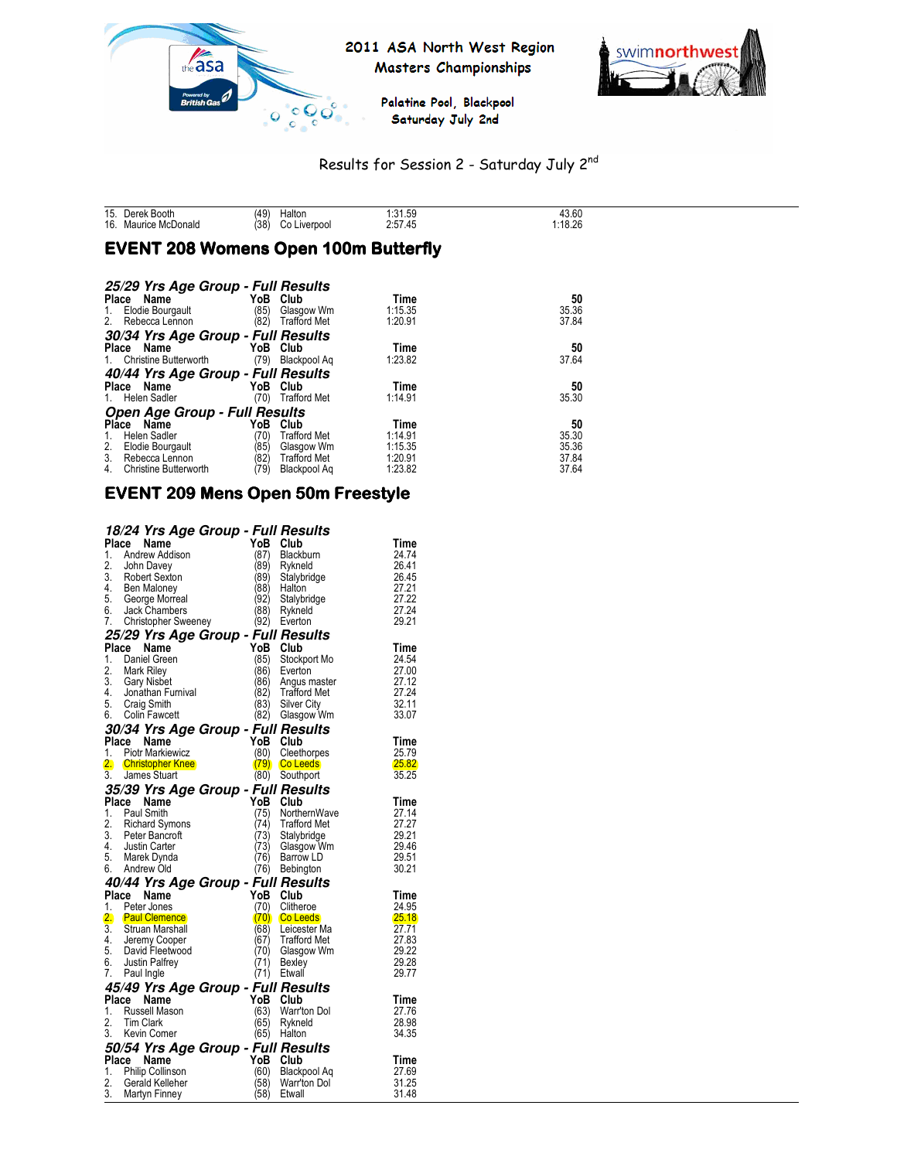



Palatine Pool, Blackpool Saturday July 2nd

# Results for Session 2 - Saturday July 2nd

| 15.<br>16. | <b>Booth</b><br>)erek<br>Donald<br>urice<br>` MC | (49)<br>(38) | <b>Halton</b><br>-<br><i>iverpoc</i> | 31 50<br>ت∪.∟ ب.<br>. н.<br>7.40<br>" ان __<br>------- | 43.60<br>1.10.20 |
|------------|--------------------------------------------------|--------------|--------------------------------------|--------------------------------------------------------|------------------|

# **EVENT 208 Womens Open 100m Butterfly**

| 25/29 Yrs Age Group - Full Results   |      |                     |         |       |
|--------------------------------------|------|---------------------|---------|-------|
| Place<br>Name                        | YoB  | Club                | Time    | 50    |
| Elodie Bourgault<br>1.               | (85) | Glasgow Wm          | 1:15.35 | 35.36 |
| Rebecca Lennon<br>2.                 | (82) | <b>Trafford Met</b> | 1:20.91 | 37.84 |
| 30/34 Yrs Age Group - Full Results   |      |                     |         |       |
| Name<br>Place                        | YoB  | Club                | Time    | 50    |
| Christine Butterworth<br>1.          | (79) | Blackpool Ag        | 1:23.82 | 37.64 |
| 40/44 Yrs Age Group - Full Results   |      |                     |         |       |
| Name<br>Place                        | YoB  | Club                | Time    | 50    |
| Helen Sadler<br>1.                   | (70) | <b>Trafford Met</b> | 1:14.91 | 35.30 |
| <b>Open Age Group - Full Results</b> |      |                     |         |       |
| Name<br><b>Place</b>                 | YoB  | Club                | Time    | 50    |
| Helen Sadler<br>1.                   | (70) | <b>Trafford Met</b> | 1:14.91 | 35.30 |
| 2.<br>Elodie Bourgault               | (85) | Glasgow Wm          | 1:15.35 | 35.36 |
| 3.<br>Rebecca Lennon                 | (82) | <b>Trafford Met</b> | 1:20.91 | 37.84 |
| <b>Christine Butterworth</b><br>4.   | (79) | Blackpool Ag        | 1:23.82 | 37.64 |

# EVENT 209 Mens Open 50m Freestyle

|    | 18/24 Yrs Age Group - Full Results                                                                   |          |                     |              |
|----|------------------------------------------------------------------------------------------------------|----------|---------------------|--------------|
|    | Place<br>Name                                                                                        | YoB      | Club                | Time         |
| 1. | Andrew Addison                                                                                       | (87)     | Blackburn           | 24.74        |
|    |                                                                                                      | (89)     | Rykneld             | 26.41        |
|    |                                                                                                      | (89)     | Stalybridge         | 26.45        |
|    |                                                                                                      | (88)     | Halton              | 27.21        |
|    | 2. John Davey<br>3. Robert Sexton<br>4. Ben Maloney<br>5. George Morreal<br>6. Jack Chambers         | (92)     | Stalybridge         | 27.22        |
|    |                                                                                                      | (88)     | Rykneld             | 27.24        |
|    | 7. Christopher Sweeney                                                                               | (92)     | Everton             | 29.21        |
|    | 25/29 Yrs Age Group - Full Results                                                                   |          |                     |              |
|    | Place Name                                                                                           | YoB Club |                     | Time         |
| 1. | Daniel Green                                                                                         | (85)     | Stockport Mo        | 24.54        |
|    |                                                                                                      | (86)     | Everton             | 27.00        |
|    |                                                                                                      | (86)     | Angus master        | 27.12        |
|    |                                                                                                      | (82)     | <b>Trafford Met</b> | 27.24        |
|    |                                                                                                      | (83)     | Silver City         | 32.11        |
|    | 2. Mark Riley<br>3. Gary Nisbet<br>4. Jonathan Furnival<br>5. Craig Smith<br>6. Colin Fawcett        | (82)     | Glasgow Wm          | 33.07        |
|    | 30/34 Yrs Age Group - Full Results                                                                   |          |                     |              |
|    | Place<br><b>Continued Trainie<br/>1. Piotr Markiewicz<br/>2. Christopher Knee</b><br>3. James Stuart | YoB Club |                     | Time         |
|    |                                                                                                      | (80)     | Cleethorpes         | 25.79        |
|    |                                                                                                      |          | $(79)$ Co Leeds     | <b>25.82</b> |
|    |                                                                                                      | (80)     | Southport           | 35.25        |
|    | 35/39 Yrs Age Group - Full Results                                                                   |          |                     |              |
|    | Place Name                                                                                           | YoB Club |                     | Time         |
| 1. | Paul Smith                                                                                           | (75)     | NorthernWave        | 27.14        |
|    |                                                                                                      | (74)     | <b>Trafford Met</b> | 27.27        |
|    |                                                                                                      | (73)     | Stalybridge         | 29.21        |
|    |                                                                                                      | (73)     | Glasgow Wm          | 29.46        |
|    |                                                                                                      | (76)     | Barrow LD           | 29.51        |
|    | 2. Richard Symons<br>3. Peter Bancroft<br>4. Justin Carter<br>5. Marek Dynda<br>6. Andrew Old        | (76)     | Bebington           | 30.21        |
|    | 40/44 Yrs Age Group - Full Results                                                                   |          |                     |              |
|    | Place Name                                                                                           | YoB Club |                     | Time         |
|    | 1. Peter Jones                                                                                       | (70)     | Clitheroe           | 24.95        |
|    | 2. Paul Clemence                                                                                     |          | (70) Co Leeds       | 25.18        |
|    | 3. Struan Marshall<br>4. Jeremy Cooper<br>5. David Fleetwood<br>6. Justin Palfrey                    | (68)     | Leicester Ma        | 27.71        |
|    |                                                                                                      | (67)     | Trafford Met        | 27.83        |
|    |                                                                                                      | (70)     | Glasgow Wm          | 29.22        |
|    |                                                                                                      | (71)     | Bexley              | 29.28        |
| 7. | Paul Ingle                                                                                           | (71)     | Etwall              | 29.77        |
|    | 45/49 Yrs Age Group - Full Results                                                                   |          |                     |              |
|    | Place<br>Name                                                                                        | YoB Club |                     | Time         |
| 1. | Russell Mason                                                                                        | (63)     | Warr'ton Dol        | 27.76        |
| 2. | <b>Tim Clark</b>                                                                                     | (65)     | Rykneld             | 28.98        |
|    | 3. Kevin Comer                                                                                       |          | (65) Halton         | 34.35        |
|    | 50/54 Yrs Age Group - Full Results                                                                   |          |                     |              |
|    | Place Name                                                                                           | YoB      | Club                | Time         |
| 1. | <b>Philip Collinson</b>                                                                              | (60)     | Blackpool Aq        | 27.69        |
| 2. | Gerald Kelleher                                                                                      | (58)     | Warr'ton Dol        | 31.25        |
| 3. | Martyn Finney                                                                                        | (58)     | Etwall              | 31.48        |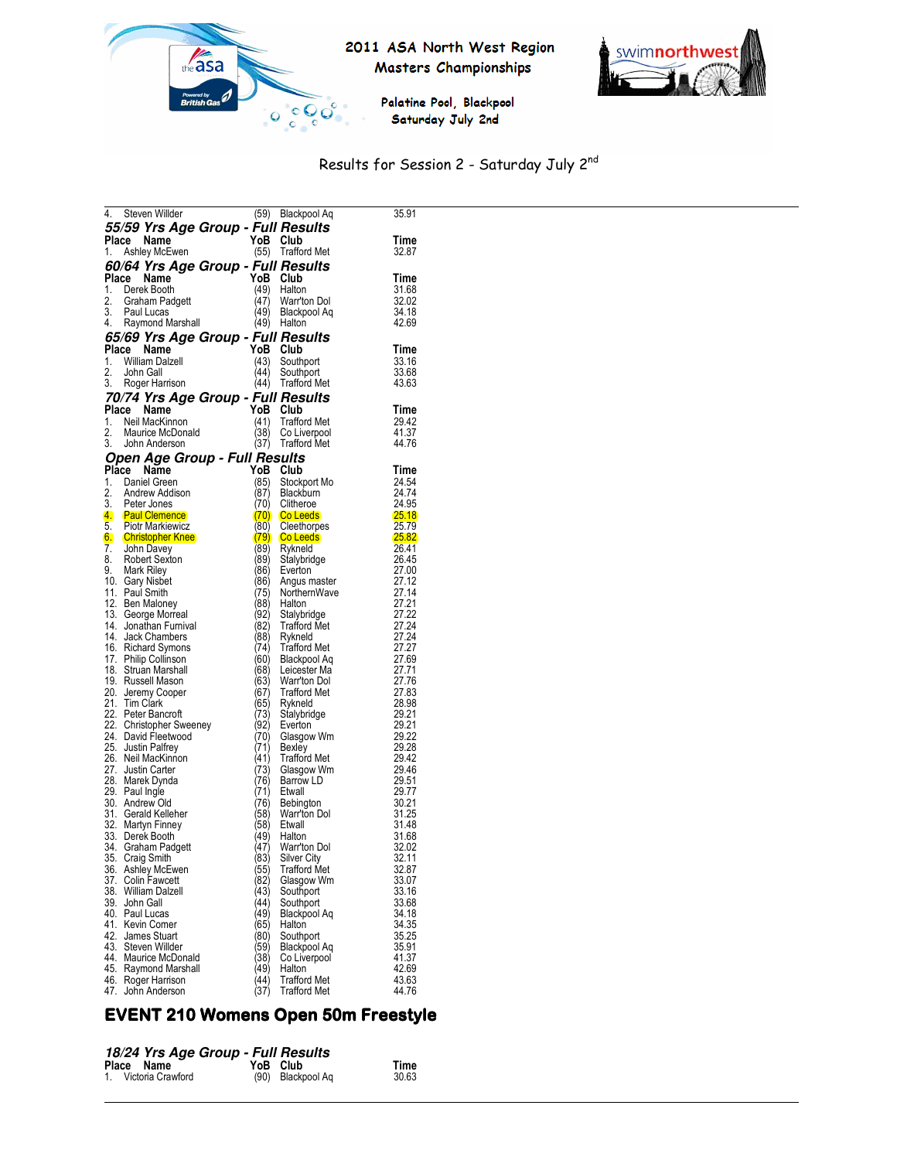



Palatine Pool, Blackpool Saturday July 2nd

# Results for Session 2 - Saturday July 2nd

| 4.    | Steven Willder                        |              | (59) Blackpool Aq           | 35.91          |
|-------|---------------------------------------|--------------|-----------------------------|----------------|
|       | 55/59 Yrs Age Group - Full Results    |              |                             |                |
| Place | Name                                  |              | YoB Club                    | Time           |
| 1.    | Ashley McEwen                         |              | (55) Trafford Met           | 32.87          |
|       | 60/64 Yrs Age Group - Full Results    |              |                             |                |
| Place | Name                                  | YoB          | Club                        | Time           |
|       | 1. Derek Booth                        | (49)         | Halton                      | 31.68          |
| 2.    | Graham Padgett                        | (47)         | Warr'ton Dol                | 32.02          |
|       | 3. Paul Lucas                         | (49)         | Blackpool Aq                | 34.18          |
|       | 4. Raymond Marshall                   | (49)         | Halton                      | 42.69          |
|       | 65/69 Yrs Age Group - Full Results    |              |                             |                |
|       | Place Name                            |              | YoB Club                    | Time           |
| 1.    | William Dalzell                       | (43)         | Southport                   | 33.16          |
| 2.    | John Gall                             | (44)         | Southport                   | 33.68          |
|       | 3. Roger Harrison                     |              | (44) Trafford Met           | 43.63          |
|       | 70/74 Yrs Age Group - Full Results    |              |                             |                |
|       | Place Name                            | YoB          | Club                        | Time           |
|       | 1. Neil MacKinnon                     | (41)         | <b>Trafford Met</b>         | 29.42          |
| 2.    | Maurice McDonald                      | (38)         | Co Liverpool                | 41.37          |
| 3.    | John Anderson                         | (37)         | <b>Trafford Met</b>         | 44.76          |
|       | Open Age Group - Full Results         |              |                             |                |
|       | Place Name                            | YoB          | Club                        | Time           |
|       | 1. Daniel Green                       | (85)         | Stockport Mo                | 24.54          |
| 2.    | Andrew Addison                        | (87)         | <b>Blackburn</b>            | 24.74          |
| 3.    | Peter Jones<br>4. Paul Clemence       | 70)<br>(70)  | Clitheroe<br>Co Leeds       | 24.95<br>25.18 |
|       | 5. Piotr Markiewicz                   | (80)         | Cleethorpes                 | 25.79          |
|       | 6. Christopher Knee                   |              | $(79)$ Co Leeds             | <b>25.82</b>   |
| 7.    | John Davey                            | (89)         | Rykneld                     | 26.41          |
| 8.    | Robert Sexton                         | (89)         | Stalybridge                 | 26.45          |
|       | 9. Mark Riley                         | (86)         | Everton                     | 27.00          |
|       | 10. Gary Nisbet                       | (86)         | Angus master                | 27.12          |
|       | 11. Paul Smith                        | (75)         | NorthernWave                | 27.14          |
|       | 12. Ben Maloney<br>13. George Morreal | (88)<br>(92) | Halton                      | 27.21<br>27.22 |
|       | 14. Jonathan Furnival                 | (82)         | Stalybridge<br>Trafford Met | 27.24          |
|       | 14. Jack Chambers                     | (88)         | Rykneld                     | 27.24          |
|       | 16. Richard Symons                    | (74)         | <b>Trafford Met</b>         | 27.27          |
|       | 17. Philip Collinson                  | (60)         | Blackpool Aq                | 27.69          |
|       | 18. Struan Marshall                   | (68)         | Leicester Ma                | 27.71          |
|       | 19. Russell Mason                     | (63)         | Warr'ton Dol                | 27.76          |
|       | 20. Jeremy Cooper                     | (67)         | <b>Trafford Met</b>         | 27.83          |
|       | 21. Tim Clark<br>22. Peter Bancroft   | (65)<br>(73) | Rykneld                     | 28.98<br>29.21 |
|       | 22. Christopher Sweeney               | (92)         | Stalybridge<br>Everton      | 29.21          |
|       | 24. David Fleetwood                   | (70)         | Glasgow Wm                  | 29.22          |
|       | 25. Justin Palfrey                    | (71)         | Bexley                      | 29.28          |
|       | 26. Neil MacKinnon                    | (41)         | <b>Trafford Met</b>         | 29.42          |
|       | 27. Justin Carter                     | (73)         | Glasgow Wm                  | 29.46          |
|       | 28. Marek Dynda                       | (76)         | Barrow LD                   | 29.51          |
|       | 29. Paul Ingle                        | (71)         | Etwall                      | 29.77          |
|       | 30. Andrew Old<br>31. Gerald Kelleher | (76)<br>(58) | Bebington<br>Warr'ton Dol   | 30.21<br>31.25 |
|       | 32. Martyn Finney                     | (58)         | Etwall                      | 31.48          |
|       | 33. Derek Booth                       | (49)         | Halton                      | 31.68          |
|       | 34. Graham Padgett                    | (47)         | Warr'ton Dol                | 32.02          |
| 35.   | <b>Craig Smith</b>                    | (83)         | Silver City                 | 32.11          |
|       | 36. Ashley McEwen                     | (55)         | Trafford Met                | 32.87          |
|       | 37. Colin Fawcett                     | (82)         | Glasgow Wm                  | 33.07          |
| 38.   | William Dalzell<br>39. John Gall      | (43)<br>44)  | Southport<br>Southport      | 33.16<br>33.68 |
|       | 40. Paul Lucas                        | (49)         | Blackpool Aq                | 34.18          |
|       | 41. Kevin Comer                       | (65)         | Halton                      | 34.35          |
| 42.   | James Stuart                          | (80)         | Southport                   | 35.25          |
|       | 43. Steven Willder                    | (59)         | Blackpool Aq                | 35.91          |
|       | 44. Maurice McDonald                  | (38)         | Co Liverpool                | 41.37          |
|       | 45. Raymond Marshall                  | 49)          | Halton                      | 42.69          |
|       | 46. Roger Harrison                    | (44)         | Trafford Met                | 43.63          |
|       | 47. John Anderson                     | (37)         | <b>Trafford Met</b>         | 44.76          |

# EVENT 210 Womens Open 50m Freestyle

#### **18/24 Yrs Age Group - Full Results**

| Place Name<br>1. Victoria Crawford | -------------<br>YoB Club | (90) Blackpool Ag | Time<br>30.63 |
|------------------------------------|---------------------------|-------------------|---------------|
|                                    |                           |                   |               |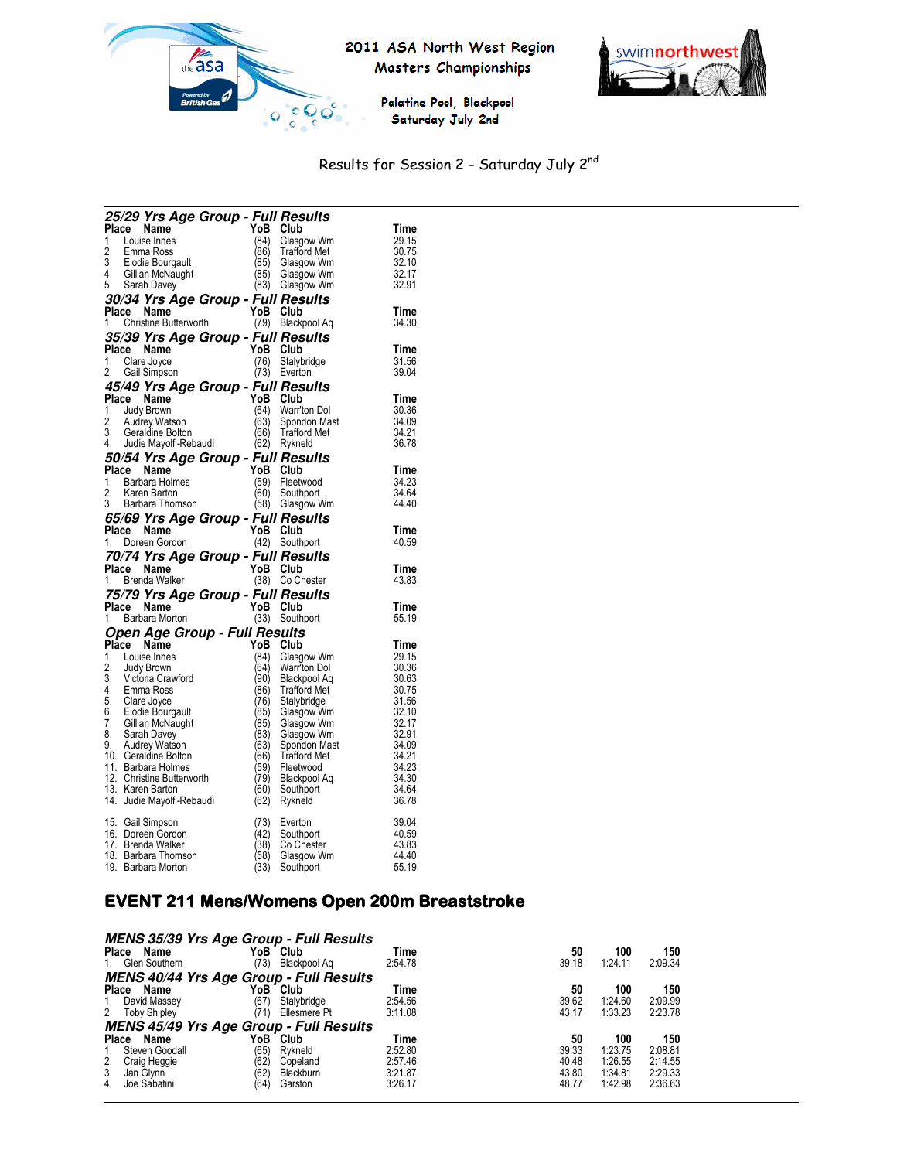

# 2011 ASA North West Region Masters Championships



Palatine Pool, Blackpool Saturday July 2nd

# Results for Session 2 - Saturday July 2nd

|       |       |                                                                                                                                                           | 25/29 Yrs Age Group - Full Results |              |                                   |                |
|-------|-------|-----------------------------------------------------------------------------------------------------------------------------------------------------------|------------------------------------|--------------|-----------------------------------|----------------|
| Place |       | Name                                                                                                                                                      |                                    | YoB Club     |                                   | Time           |
|       |       | 1. Louise Innes                                                                                                                                           |                                    | (84)         | Glasgow Wm                        | 29.15          |
| 2.    |       |                                                                                                                                                           |                                    | (86)         | <b>Trafford Met</b>               | 30.75          |
|       |       |                                                                                                                                                           |                                    |              | (85) Glasgow Wm                   | 32.10          |
|       |       |                                                                                                                                                           |                                    |              | (85) Glasgow Wm                   | 32.17          |
|       |       | -. Contra ROSS<br>3. Elodie Bourgault<br>4. Gillian McNaught<br>5. Sarah Davey                                                                            |                                    | (83)         | Glasgow Wm                        | 32.91          |
|       |       |                                                                                                                                                           | 30/34 Yrs Age Group - Full Results |              |                                   |                |
|       |       | Place Name                                                                                                                                                |                                    | YoB Club     |                                   | Time           |
|       |       | 1. Christine Butterworth                                                                                                                                  |                                    |              | (79) Blackpool Aq                 | 34.30          |
|       |       |                                                                                                                                                           | 35/39 Yrs Age Group - Full Results |              |                                   |                |
|       |       | Place Name                                                                                                                                                |                                    |              | YoB Club                          | Time           |
|       |       | 1. Clare Joyce                                                                                                                                            |                                    | (76)         | Stalybridge                       | 31.56          |
|       |       | 2. Gail Simpson                                                                                                                                           |                                    |              | (73) Everton                      | 39.04          |
|       |       |                                                                                                                                                           | 45/49 Yrs Age Group - Full Results |              |                                   |                |
|       |       | Place Name                                                                                                                                                |                                    | YoB          | Club                              | Time           |
|       |       | 1. Judy Brown                                                                                                                                             |                                    | (64)         | Warr'ton Dol                      | 30.36          |
|       |       | 2. Audrey Watson<br>3. Geraldine Bolton                                                                                                                   |                                    | (63)         | Spondon Mast<br>(66) Trafford Met | 34.09<br>34.21 |
|       |       | 4. Judie Mayolfi-Rebaudi                                                                                                                                  |                                    |              | (62) Rykneld                      | 36.78          |
|       |       |                                                                                                                                                           |                                    |              |                                   |                |
|       |       | Place Name                                                                                                                                                | 50/54 Yrs Age Group - Full Results | YoB Club     |                                   | Time           |
|       |       | 1. Barbara Holmes                                                                                                                                         |                                    | (59)         | Fleetwood                         | 34.23          |
| 2.    |       | Karen Barton                                                                                                                                              |                                    | (60)         | Southport                         | 34.64          |
|       |       | 3. Barbara Thomson                                                                                                                                        |                                    |              | (58) Glasgow Wm                   | 44.40          |
|       |       |                                                                                                                                                           | 65/69 Yrs Age Group - Full Results |              |                                   |                |
|       |       | Place Name                                                                                                                                                |                                    | YoB Club     |                                   | Time           |
|       |       |                                                                                                                                                           |                                    |              |                                   |                |
|       |       |                                                                                                                                                           |                                    |              |                                   |                |
|       |       | 1. Doreen Gordon                                                                                                                                          |                                    |              | (42) Southport                    | 40.59          |
|       |       |                                                                                                                                                           | 70/74 Yrs Age Group - Full Results |              |                                   |                |
|       |       | Place Name                                                                                                                                                |                                    | YoB Club     |                                   | Time           |
|       |       | 1. Brenda Walker                                                                                                                                          |                                    | (38)         | Co Chester                        | 43.83          |
|       |       |                                                                                                                                                           | 75/79 Yrs Age Group - Full Results |              |                                   |                |
|       | Place | Name<br>1. Barbara Morton                                                                                                                                 |                                    | YoB Club     |                                   | Time<br>55.19  |
|       |       |                                                                                                                                                           |                                    |              | (33) Southport                    |                |
|       |       |                                                                                                                                                           | Open Age Group - Full Results      |              |                                   |                |
|       |       | Place Name                                                                                                                                                |                                    | YoB Club     |                                   | Time           |
|       |       | 1. Louise Innes                                                                                                                                           |                                    | (84)<br>(64) | Glasgow Wm<br>Warr'ton Dol        | 29.15          |
|       |       |                                                                                                                                                           |                                    | (90)         | Blackpool Aq                      | 30.36<br>30.63 |
|       |       |                                                                                                                                                           |                                    | (86)         | <b>Trafford Met</b>               | 30.75          |
|       |       |                                                                                                                                                           |                                    | (76)         | Stalybridge                       | 31.56          |
|       |       |                                                                                                                                                           |                                    | (85)         | Glasgow Wm                        | 32.10          |
|       |       |                                                                                                                                                           |                                    | (85)         | Glasgow Wm                        | 32.17          |
|       |       | 1. Louis Since<br>2. Judy Brown<br>3. Victoria Crawford<br>4. Emma Ross<br>5. Clare Joyce<br>6. Elodie Bourgault<br>7. Gillian McNaught<br>8. Sarah Davev |                                    | (83)         | Glasgow Wm                        | 32.91          |
|       |       | 8. Sarah Davey<br>9. Audrey Watson                                                                                                                        |                                    | (63)         | Spondon Mast                      | 34.09          |
|       |       | 10. Geraldine Bolton                                                                                                                                      |                                    | (66)         | <b>Trafford Met</b>               | 34.21          |
|       |       | 11. Barbara Holmes<br>12. Christine Butterworth                                                                                                           |                                    | (59)<br>(79) | Fleetwood                         | 34.23<br>34.30 |
|       |       | 13. Karen Barton                                                                                                                                          |                                    |              | Blackpool Aq<br>Southport         | 34.64          |
|       |       | 14. Judie Mayolfi-Rebaudi                                                                                                                                 |                                    | (60)<br>(62) | Rykneld                           | 36.78          |
|       |       |                                                                                                                                                           |                                    |              |                                   |                |
|       |       | 15. Gail Simpson                                                                                                                                          |                                    | (73)         | Everton                           | 39.04          |
|       |       | 16. Doreen Gordon                                                                                                                                         |                                    | (42)         | Southport                         | 40.59          |
|       |       | 17. Brenda Walker                                                                                                                                         |                                    | (38)         | Co Chester                        | 43.83          |
|       |       | 18. Barbara Thomson<br>19. Barbara Morton                                                                                                                 |                                    | (58)<br>(33) | Glasgow Wm<br>Southport           | 44.40<br>55.19 |

# EVENT 211 Mens/Womens Open 200m Breaststroke

| <b>MENS 35/39 Yrs Age Group - Full Results</b> |       |              |         |       |         |         |
|------------------------------------------------|-------|--------------|---------|-------|---------|---------|
| Place<br>Name                                  | YoB T | Club         | Time    | 50    | 100     | 150     |
| 1. Glen Southern                               | (73)  | Blackpool Ag | 2:54.78 | 39.18 | 1:24.11 | 2:09.34 |
| <b>MENS 40/44 Yrs Age Group - Full Results</b> |       |              |         |       |         |         |
| Place<br>Name                                  | YoB T | Club         | Time    | 50    | 100     | 150     |
| David Massey<br>1.                             | (67)  | Stalybridge  | 2:54.56 | 39.62 | 1:24.60 | 2:09.99 |
| 2.<br><b>Toby Shipley</b>                      | (71)  | Ellesmere Pt | 3:11.08 | 43.17 | 1:33.23 | 2:23.78 |
| <b>MENS 45/49 Yrs Age Group - Full Results</b> |       |              |         |       |         |         |
| Place<br>Name                                  | YoB ` | Club         | Time    | 50    | 100     | 150     |
| Steven Goodall<br>$1_{\cdot}$                  | (65)  | Rvkneld      | 2:52.80 | 39.33 | 1:23.75 | 2:08.81 |
| $\frac{2}{3}$ .<br>Craig Heggie                | (62)  | Copeland     | 2:57.46 | 40.48 | 1:26.55 | 2:14.55 |
| Jan Glynn                                      | (62)  | Blackburn    | 3:21.87 | 43.80 | 1:34.81 | 2:29.33 |
| Joe Sabatini<br>4.                             | (64)  | Garston      | 3:26.17 | 48.77 | 1:42.98 | 2:36.63 |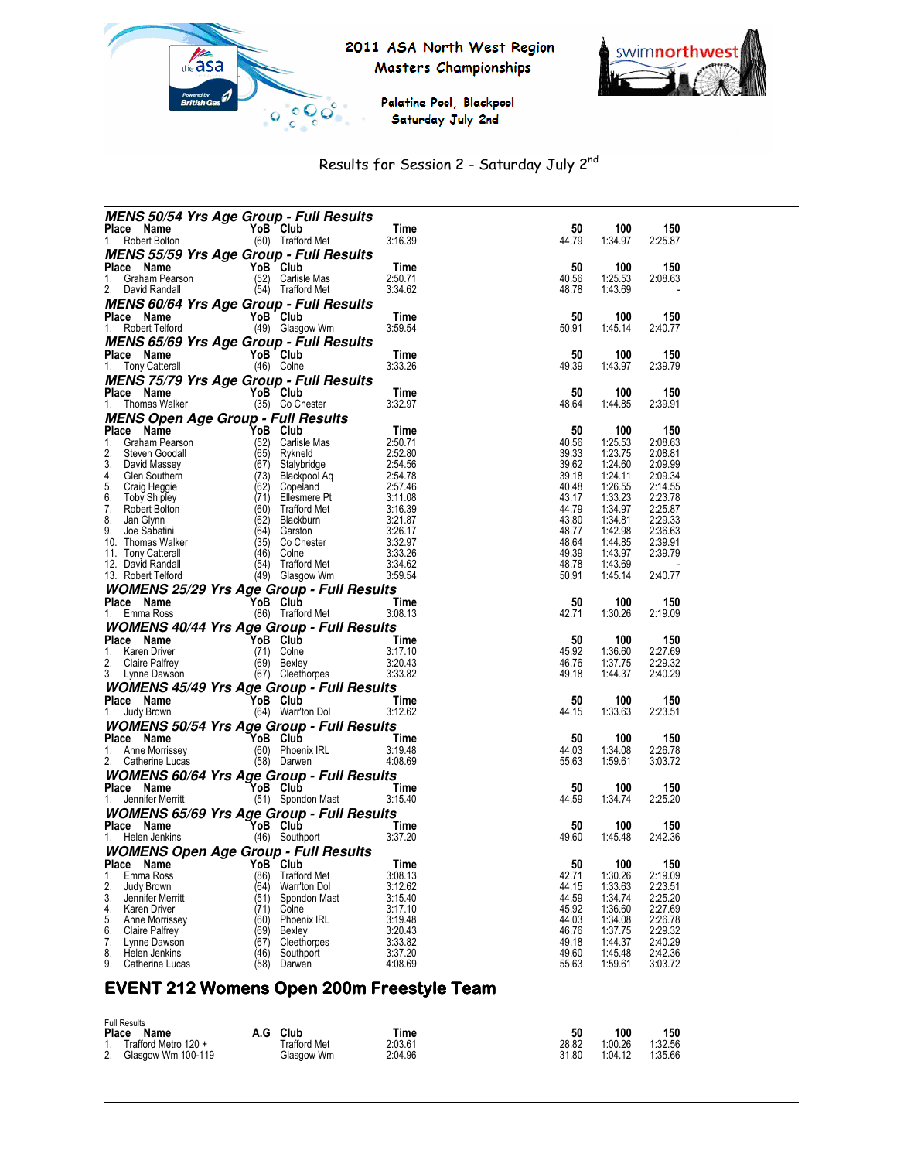

## 2011 ASA North West Region Masters Championships



Palatine Pool, Blackpool Saturday July 2nd

# Results for Session 2 - Saturday July 2nd

|                                             | <b>MENS 50/54 Yrs Age Group - Full Results</b>                      |                    |                |                    |                    |
|---------------------------------------------|---------------------------------------------------------------------|--------------------|----------------|--------------------|--------------------|
| Place Name                                  | YoB Club                                                            | Time               | 50             | 100                | 150                |
| Robert Bolton<br>1.                         | (60) Trafford Met                                                   | 3:16.39            | 44.79          | 1:34.97            | 2:25.87            |
|                                             | MENS 55/59 Yrs Age Group - Full Results                             |                    |                |                    |                    |
| Place Name                                  | YoB Club                                                            | Time               | 50             | 100                | 150                |
| 1.<br>Graham Pearson<br>2.<br>David Randall | (52)<br>Carlisle Mas<br>(54) Trafford Met                           | 2:50.71<br>3:34.62 | 40.56<br>48.78 | 1:25.53<br>1:43.69 | 2:08.63            |
|                                             |                                                                     |                    |                |                    |                    |
|                                             | <i>MENS 60/64 Yrs Age Group - Full Results</i><br>YoB Club          | Time               | 50             | 100                |                    |
| Place Name<br>1.<br>Robert Telford          | (49) Glasgow Wm                                                     | 3:59.54            | 50.91          | 1:45.14            | 150<br>2:40.77     |
|                                             |                                                                     |                    |                |                    |                    |
| Place Name                                  | <b>MENS 65/69 Yrs Age Group - Full Results</b><br>YoB Club          | Time               | 50             | 100                | 150                |
| 1.<br><b>Tony Catterall</b>                 | (46) Colne                                                          | 3:33.26            | 49.39          | 1:43.97            | 2:39.79            |
|                                             | <b>MENS 75/79 Yrs Age Group - Full Results</b>                      |                    |                |                    |                    |
| Place Name                                  | YoB Club                                                            | Time               | 50             | 100                | 150                |
| 1.<br>Thomas Walker                         | (35) Co Chester                                                     | 3:32.97            | 48.64          | 1:44.85            | 2:39.91            |
|                                             |                                                                     |                    |                |                    |                    |
| Place Name                                  | MENS Open Age Group - Full Results<br>Place Name Mane YoB Club      | Time               | 50             | 100                | 150                |
| 1.<br>Graham Pearson                        | (52)<br>Carlisle Mas                                                | 2:50.71            | 40.56          | 1:25.53            | 2:08.63            |
| 2.<br>Steven Goodall                        | (65)<br>Rykneld                                                     | 2:52.80            | 39.33          | 1:23.75            | 2:08.81            |
| 3.<br>David Massey                          | (67)<br>Stalybridge                                                 | 2:54.56            | 39.62          | 1:24.60            | 2:09.99            |
| 4.<br>Glen Southern                         | (73)<br><b>Blackpool Aq</b>                                         | 2:54.78            | 39.18          | 1:24.11            | 2:09.34            |
| 5.<br>Craig Heggie                          | (62)<br>Copeland                                                    | 2:57.46            | 40.48          | 1:26.55            | 2:14.55            |
| 6.<br><b>Toby Shipley</b>                   | (71)<br>Ellesmere Pt                                                | 3:11.08            | 43.17          | 1:33.23            | 2:23.78            |
| 7.<br>Robert Bolton                         | (60)<br><b>Trafford Met</b>                                         | 3:16.39            | 44.79          | 1:34.97            | 2:25.87            |
| 8.<br>Jan Glynn<br>9.<br>Joe Sabatini       | (62)<br>Blackburn<br>(64)<br>Garston                                | 3:21.87<br>3:26.17 | 43.80<br>48.77 | 1:34.81<br>1:42.98 | 2:29.33<br>2:36.63 |
| 10.<br>Thomas Walker                        | (35)<br>Co Chester                                                  | 3:32.97            | 48.64          | 1:44.85            | 2:39.91            |
| 11. Tony Catterall                          | (46)<br>Colne                                                       | 3:33.26            | 49.39          | 1:43.97            | 2:39.79            |
| 12. David Randall                           | (54)<br>Trafford Met                                                | 3:34.62            | 48.78          | 1:43.69            |                    |
| 13. Robert Telford                          | (49) Glasgow Wm                                                     | 3:59.54            | 50.91          | 1:45.14            | 2:40.77            |
|                                             | <b>WOMENS 25/29 Yrs Age Group - Full Results</b>                    |                    |                |                    |                    |
| Place Name                                  | YoB Club                                                            | Time               | 50             | 100                | 150                |
|                                             |                                                                     |                    |                |                    |                    |
| 1.<br>Emma Ross                             | (86) Trafford Met                                                   | 3:08.13            | 42.71          | 1:30.26            | 2:19.09            |
|                                             |                                                                     |                    |                |                    |                    |
|                                             | <i><b>WOMENS 40/44 Yrs Age Group - Full Results</b></i><br>YoB Club | Time               | 50             | 100                | 150                |
| Place Name<br>1.<br>Karen Driver            | (71)<br>Colne                                                       | 3:17.10            | 45.92          | 1:36.60            |                    |
| 2.<br><b>Claire Palfrey</b>                 | (69) Bexley                                                         | 3:20.43            | 46.76          | 1:37.75            | 2:27.69<br>2:29.32 |
| 3.<br>Lynne Dawson                          | (67) Cleethorpes                                                    | 3:33.82            | 49.18          | 1:44.37            | 2:40.29            |
|                                             | <i><b>WOMENS 45/49 Yrs Age Group - Full Results</b></i>             |                    |                |                    |                    |
| Place Name                                  | YoB Club                                                            | Time               | 50             | 100                | 150                |
| Judy Brown<br>1.                            | (64) Warr'ton Dol                                                   | 3:12.62            | 44.15          | 1:33.63            | 2:23.51            |
|                                             | <i><b>WOMENS 50/54 Yrs Age Group - Full Results</b></i>             |                    |                |                    |                    |
| Place Name                                  | YoB Club                                                            | Time               | 50             | 100                | 150                |
| Anne Morrissey<br>1.                        | (60) Phoenix IRL                                                    | 3:19.48            | 44.03          | 1:34.08            | 2:26.78            |
| 2.<br>Catherine Lucas                       | (58) Darwen                                                         | 4:08.69            | 55.63          | 1:59.61            | 3:03.72            |
|                                             | <i><b>WOMENS 60/64 Yrs Age Group - Full Results</b></i>             |                    |                |                    |                    |
| Place Name                                  | YoB Club                                                            | Time               | 50             | 100                | 150                |
| Jennifer Merritt<br>1.                      | (51) Spondon Mast                                                   | 3:15.40            | 44.59          | 1:34.74            | 2:25.20            |
|                                             | <i><b>WOMENS 65/69 Yrs Age Group - Full Results</b></i>             |                    |                |                    |                    |
| Place Name                                  | YoB Club                                                            | Time               | 50             | 100                | 150                |
| 1.<br>Helen Jenkins                         | (46) Southport                                                      | 3:37.20            | 49.60          | 1:45.48            | 2:42.36            |
|                                             | <b>WOMENS Open Age Group - Full Results</b>                         |                    |                |                    |                    |
| Place Name                                  | YoB Club                                                            | Time               | 50             | 100                | 150                |
| 1.<br>Emma Ross                             | (86)<br><b>Trafford Met</b>                                         | 3:08.13            | 42.71          | 1:30.26            | 2:19.09            |
| 2.<br>Judy Brown                            | (64)<br>Warr'ton Dol                                                | 3:12.62            | 44.15          | 1:33.63            | 2:23.51            |
| 3.<br>Jennifer Merritt                      | (51)<br>Spondon Mast                                                | 3:15.40            | 44.59          | 1:34.74            | 2:25.20            |
| 4.<br>Karen Driver                          | (71)<br>Colne                                                       | 3:17.10            | 45.92          | 1:36.60            | 2:27.69            |
| 5.<br>Anne Morrissey<br>6.                  | (60)<br><b>Phoenix IRL</b><br>(69)                                  | 3:19.48<br>3:20.43 | 44.03<br>46.76 | 1:34.08<br>1:37.75 | 2:26.78<br>2:29.32 |
| Claire Palfrey<br>7.<br>Lynne Dawson        | Bexley<br>(67)<br>Cleethorpes                                       | 3:33.82            | 49.18          | 1:44.37            | 2:40.29            |
| 8.<br>Helen Jenkins                         | (46)<br>Southport                                                   | 3:37.20            | 49.60          | 1:45.48            | 2:42.36            |
| 9.<br>Catherine Lucas                       | (58)<br>Darwen                                                      | 4:08.69            | 55.63          | 1:59.61            | 3:03.72            |

# EVENT 212 Womens Open 200m Freestyle Team

| <b>Full Results</b>     |              |         |       |         |         |
|-------------------------|--------------|---------|-------|---------|---------|
| Place Name              | A.G Club     | Time    | 50    | 100     | 150     |
| 1. Trafford Metro 120 + | Trafford Met | 2:03.61 | 28.82 | 1:00.26 | 1:32.56 |
| 2. Glasgow Wm 100-119   | Glasgow Wm   | 2:04.96 | 31.80 | 1:04.12 | 1:35.66 |